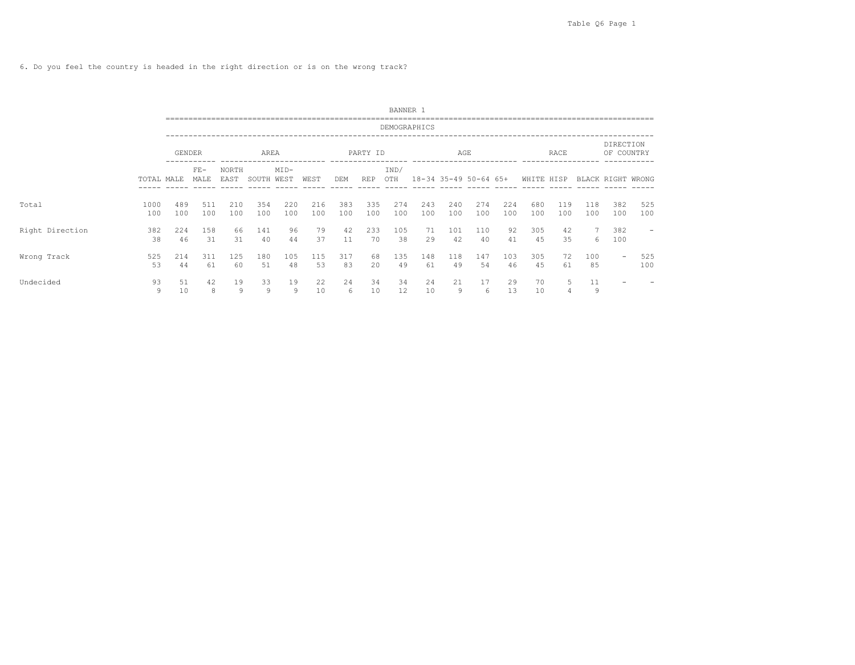6. Do you feel the country is headed in the right direction or is on the wrong track?

|                 |             |            |               |               |            |                |            |            |            | BANNER 1     |            |                       |            |            |            |            |            |                          |            |
|-----------------|-------------|------------|---------------|---------------|------------|----------------|------------|------------|------------|--------------|------------|-----------------------|------------|------------|------------|------------|------------|--------------------------|------------|
|                 |             |            |               |               |            |                |            |            |            | DEMOGRAPHICS |            |                       |            |            |            |            |            |                          |            |
|                 |             | GENDER     |               |               | AREA       |                |            |            | PARTY ID   |              |            | AGE                   |            |            |            | RACE       |            | DIRECTION<br>OF COUNTRY  |            |
|                 | TOTAL MALE  |            | $FE-$<br>MALE | NORTH<br>EAST | SOUTH      | $MID-$<br>WEST | WEST       | DEM        | <b>REP</b> | IND/<br>OTH  |            | 18-34 35-49 50-64 65+ |            |            | WHITE HISP |            |            | BLACK RIGHT WRONG        |            |
| Total           | 1000<br>100 | 489<br>100 | 511<br>100    | 210<br>100    | 354<br>100 | 220<br>100     | 216<br>100 | 383<br>100 | 335<br>100 | 274<br>100   | 243<br>100 | 240<br>100            | 274<br>100 | 224<br>100 | 680<br>100 | 119<br>100 | 118<br>100 | 382<br>100               | 525<br>100 |
| Right Direction | 382<br>38   | 224<br>46  | 158<br>31     | 66<br>31      | 141<br>40  | 96<br>44       | 79<br>37   | 42<br>11   | 233<br>70  | 105<br>38    | 71<br>29   | 101<br>42             | 110<br>40  | 92<br>41   | 305<br>45  | 42<br>35   | 6          | 382<br>100               |            |
| Wrong Track     | 525<br>53   | 214<br>44  | 311<br>61     | 125<br>60     | 180<br>51  | 105<br>48      | 115<br>53  | 317<br>83  | 68<br>20   | 135<br>49    | 148<br>61  | 118<br>49             | 147<br>54  | 103<br>46  | 305<br>45  | 72<br>61   | 100<br>85  | $\overline{\phantom{a}}$ | 525<br>100 |
| Undecided       | 93<br>9     | 51<br>10   | 42<br>8       | 19<br>9       | 33<br>9    | 19<br>9        | 22<br>10   | 24<br>6    | 34<br>10   | 34<br>12     | 24<br>10   | 21<br>9               | 17<br>6    | 29<br>13   | 70<br>10   | 5<br>4     | 11<br>9    |                          |            |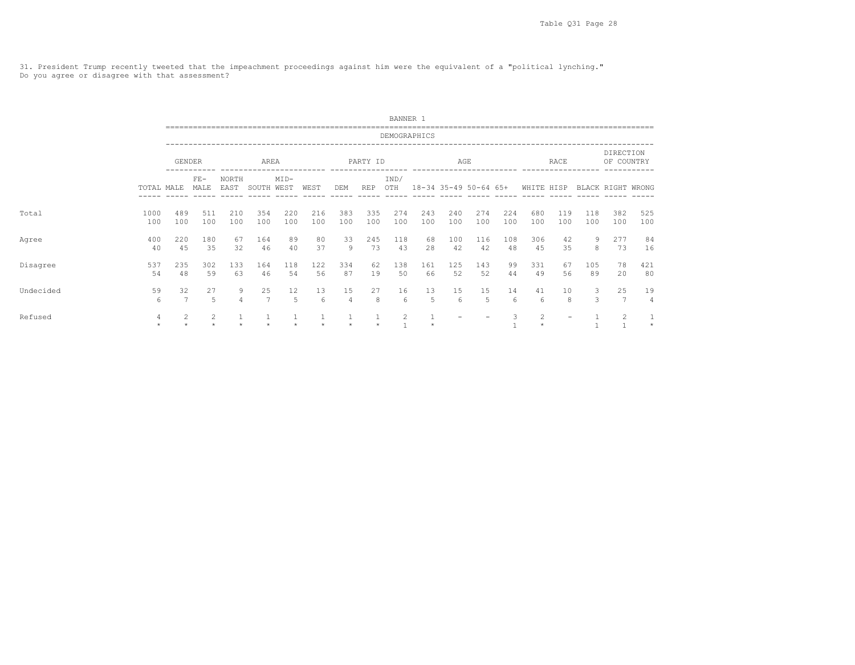31. President Trump recently tweeted that the impeachment proceedings against him were the equivalent of a "political lynching." Do you agree or disagree with that assessment?

|           |              |                      |                |               |                      |                        |               |                      |            | BANNER 1       |            |                       |            |            |            |                          |            |                         |              |
|-----------|--------------|----------------------|----------------|---------------|----------------------|------------------------|---------------|----------------------|------------|----------------|------------|-----------------------|------------|------------|------------|--------------------------|------------|-------------------------|--------------|
|           |              |                      |                |               |                      |                        |               |                      |            | DEMOGRAPHICS   |            |                       |            |            |            |                          |            |                         |              |
|           |              | <b>GENDER</b>        |                |               | AREA                 |                        |               |                      | PARTY ID   |                |            | AGE                   |            |            |            | RACE                     |            | DIRECTION<br>OF COUNTRY |              |
|           | TOTAL MALE   |                      | $FE-$<br>MALE  | NORTH<br>EAST | SOUTH WEST           | $MID-$                 | WEST          | DEM                  | <b>REP</b> | IND/<br>OTH    |            | 18-34 35-49 50-64 65+ |            |            | WHITE HISP |                          |            | BLACK RIGHT WRONG       |              |
| Total     | 1000<br>100  | 489<br>100           | 511<br>100     | 210<br>100    | 354<br>100           | 220<br>100             | 216<br>100    | 383<br>100           | 335<br>100 | 274<br>100     | 243<br>100 | 240<br>100            | 274<br>100 | 224<br>100 | 680<br>100 | 119<br>100               | 118<br>100 | 382<br>100              | 525<br>100   |
| Agree     | 400<br>40    | 220<br>45            | 180<br>35      | 67<br>32      | 164<br>46            | 89<br>40               | 80<br>37      | 33<br>9              | 245<br>73  | 118<br>43      | 68<br>28   | 100<br>42             | 116<br>42  | 108<br>48  | 306<br>45  | 42<br>35                 | 9<br>8     | 277<br>73               | 84<br>16     |
| Disagree  | 537<br>54    | 235<br>48            | 302<br>59      | 133<br>63     | 164<br>46            | 118<br>54              | 122<br>56     | 334<br>87            | 62<br>19   | 138<br>50      | 161<br>66  | 125<br>52             | 143<br>52  | 99<br>44   | 331<br>49  | 67<br>56                 | 105<br>89  | 78<br>20                | 421<br>80    |
| Undecided | 59<br>6      | 32<br>$\overline{7}$ | 27<br>5        | 9<br>$\Delta$ | 25<br>$\overline{7}$ | $12 \overline{ }$<br>5 | 13<br>6       | 15<br>$\overline{4}$ | 27<br>8    | 16<br>6        | 13<br>5    | 15<br>6               | 15<br>5    | 14<br>6    | 41<br>6    | 10<br>8                  | 3<br>3     | 25<br>$\overline{7}$    | 19<br>4      |
| Refused   | 4<br>$\star$ | $\overline{2}$       | $\overline{2}$ |               |                      | ÷                      | $\rightarrow$ |                      | $\star$    | $\overline{2}$ |            |                       |            | 3          | 2          | $\overline{\phantom{0}}$ |            | 2                       | 1<br>$\star$ |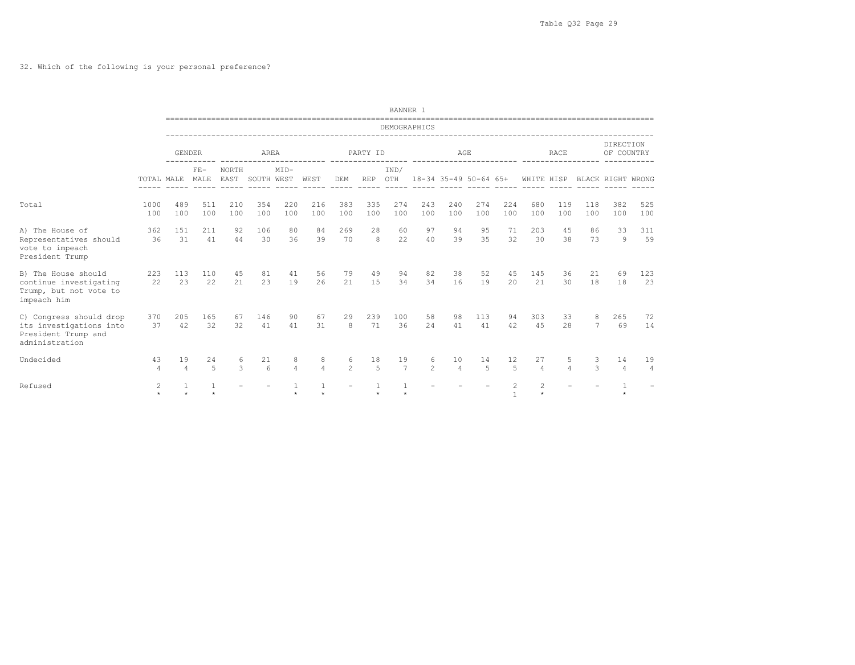## 32. Which of the following is your personal preference?

|                                                                                             |                           |                      |                    |               |            |                         |                           |                     |            | BANNER 1             |                     |                       |            |                                |                      |                     |            |                         |                      |
|---------------------------------------------------------------------------------------------|---------------------------|----------------------|--------------------|---------------|------------|-------------------------|---------------------------|---------------------|------------|----------------------|---------------------|-----------------------|------------|--------------------------------|----------------------|---------------------|------------|-------------------------|----------------------|
|                                                                                             |                           |                      |                    |               |            |                         |                           |                     |            | DEMOGRAPHICS         |                     |                       |            |                                |                      |                     |            |                         |                      |
|                                                                                             |                           | <b>GENDER</b>        |                    |               | AREA       |                         |                           |                     | PARTY ID   |                      |                     | AGE                   |            |                                |                      | <b>RACE</b>         |            | DIRECTION<br>OF COUNTRY |                      |
|                                                                                             | TOTAL MALE                |                      | $FE-$<br>MALE      | NORTH<br>EAST | SOUTH WEST | $MID-$                  | WEST                      | DEM                 | <b>REP</b> | IND/<br>OTH          |                     | 18-34 35-49 50-64 65+ |            |                                | WHITE HISP           |                     |            | BLACK RIGHT WRONG       |                      |
| Total                                                                                       | 1000<br>100               | 489<br>100           | 511<br>100         | 210<br>100    | 354<br>100 | 220<br>100              | 216<br>100                | 383<br>100          | 335<br>100 | 274<br>100           | 243<br>100          | 240<br>100            | 274<br>100 | 224<br>100                     | 680<br>100           | 119<br>100          | 118<br>100 | 382<br>100              | 525<br>100           |
| A) The House of<br>Representatives should<br>vote to impeach<br>President Trump             | 362<br>36                 | 151<br>31            | 211<br>41          | 92<br>44      | 106<br>30  | 80<br>36                | 84<br>39                  | 269<br>70           | 28<br>8    | 60<br>22             | 97<br>40            | 94<br>39              | 95<br>35   | 71<br>32                       | 203<br>30            | 45<br>38            | 86<br>73   | 33<br>$\overline{9}$    | 311<br>59            |
| B) The House should<br>continue investigating<br>Trump, but not vote to<br>impeach him      | 223<br>22                 | 113<br>23            | 110<br>22          | 45<br>2.1     | 81<br>23   | 41<br>19                | 56<br>26                  | 79<br>21            | 49<br>1.5  | 94<br>34             | 82<br>34            | 38<br>16              | 52<br>19   | 45<br>2.0                      | 145<br>2.1           | 36<br>30            | 21<br>18   | 69<br>18                | 123<br>23            |
| C) Congress should drop<br>its investigations into<br>President Trump and<br>administration | 370<br>37                 | 205<br>42            | 165<br>32          | 67<br>32      | 146<br>41  | 90<br>41                | 67<br>31                  | 29<br>8             | 239<br>71  | 100<br>36            | 58<br>24            | 98<br>41              | 113<br>41  | 94<br>42                       | 303<br>4.5           | 33<br>2.8           | 8<br>7     | 265<br>69               | 72<br>14             |
| Undecided                                                                                   | 43<br>$\overline{4}$      | 19<br>$\overline{4}$ | 24<br>5            | 6<br>3        | 21<br>6    | 8<br>$\overline{4}$     | 8<br>$\overline{4}$       | 6<br>$\mathfrak{D}$ | 18<br>5    | 19<br>$\overline{7}$ | 6<br>$\overline{c}$ | 10<br>$\overline{4}$  | 14<br>5    | 12<br>5                        | 27<br>$\overline{4}$ | 5<br>$\overline{4}$ | 3<br>3     | 14<br>$\overline{4}$    | 19<br>$\overline{4}$ |
| Refused                                                                                     | $\overline{c}$<br>$\star$ |                      | 1<br>$\ddot{\psi}$ |               |            | $\mathbf{1}$<br>$\star$ | $\overline{1}$<br>$\star$ |                     | 1<br>$\pm$ | $\mathbf{1}$         |                     |                       |            | $\overline{c}$<br>$\mathbf{1}$ | 2<br>$\star$         |                     |            | $\pm$                   |                      |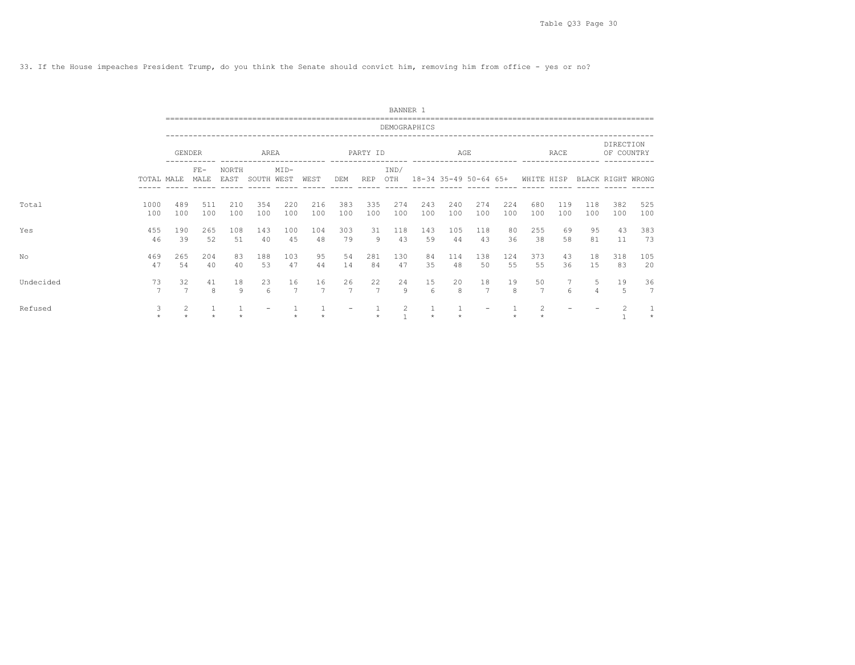33. If the House impeaches President Trump, do you think the Senate should convict him, removing him from office - yes or no?

|           |                      |                      |                | --------------------- |            |            |                      |            |                      | BANNER 1     |                         |                        |                      |            |                      |              |            |                         |            |
|-----------|----------------------|----------------------|----------------|-----------------------|------------|------------|----------------------|------------|----------------------|--------------|-------------------------|------------------------|----------------------|------------|----------------------|--------------|------------|-------------------------|------------|
|           |                      |                      |                |                       |            |            |                      |            |                      | DEMOGRAPHICS |                         |                        |                      |            |                      |              |            |                         |            |
|           |                      | <b>GENDER</b>        |                |                       | AREA       |            |                      |            | PARTY ID             |              |                         | AGE<br>--------------- |                      |            |                      | <b>RACE</b>  |            | DIRECTION<br>OF COUNTRY |            |
|           | TOTAL MALE           |                      | $FF -$<br>MALE | NORTH<br>EAST         | SOUTH WEST | $MID-$     | WEST                 | DEM        | <b>REP</b>           | IND/<br>OTH  | 18-34 35-49 50-64 65+   |                        |                      |            | WHITE HISP           |              |            | BLACK RIGHT WRONG       |            |
| Total     | 1000<br>100          | 489<br>100           | 511<br>100     | 210<br>100            | 354<br>100 | 220<br>100 | 216<br>100           | 383<br>100 | 335<br>100           | 274<br>100   | 243<br>100              | 240<br>100             | 274<br>100           | 224<br>100 | 680<br>100           | 119<br>100   | 118<br>100 | 382<br>100              | 525<br>100 |
| Yes       | 455<br>46            | 190<br>39            | 265<br>52      | 108<br>51             | 143<br>40  | 100<br>45  | 104<br>48            | 303<br>79  | 31<br>9              | 118<br>43    | 143<br>59               | 105<br>44              | 118<br>43            | 80<br>36   | 255<br>38            | 69<br>58     | 95<br>81   | 43<br>11                | 383<br>73  |
| No        | 469<br>47            | 265<br>54            | 204<br>40      | 83<br>40              | 188<br>53  | 103<br>47  | 95<br>44             | 54<br>14   | 281<br>84            | 130<br>47    | 84<br>35                | 114<br>48              | 138<br>50            | 124<br>55  | 373<br>55            | 43<br>36     | 18<br>15   | 318<br>83               | 105<br>20  |
| Undecided | 73<br>$\overline{7}$ | 32<br>$\overline{7}$ | 41<br>8        | 18<br>9               | 23<br>6    | 16<br>7    | 16<br>$\overline{7}$ | 26<br>7    | 22<br>$\overline{7}$ | 24<br>9      | 15<br>$6\overline{6}$   | 20<br>8                | 18<br>$\overline{7}$ | 19<br>8    | 50<br>$\overline{7}$ | 7<br>$6^{6}$ | 5<br>4     | 19<br>5                 | 36<br>7    |
| Refused   | 3<br>÷               | 2                    |                |                       |            | ÷          |                      |            | $\star$              | 2            | $\mathbf{1}$<br>$\star$ |                        |                      | $\star$    | 2                    |              |            | $\overline{c}$          | $\star$    |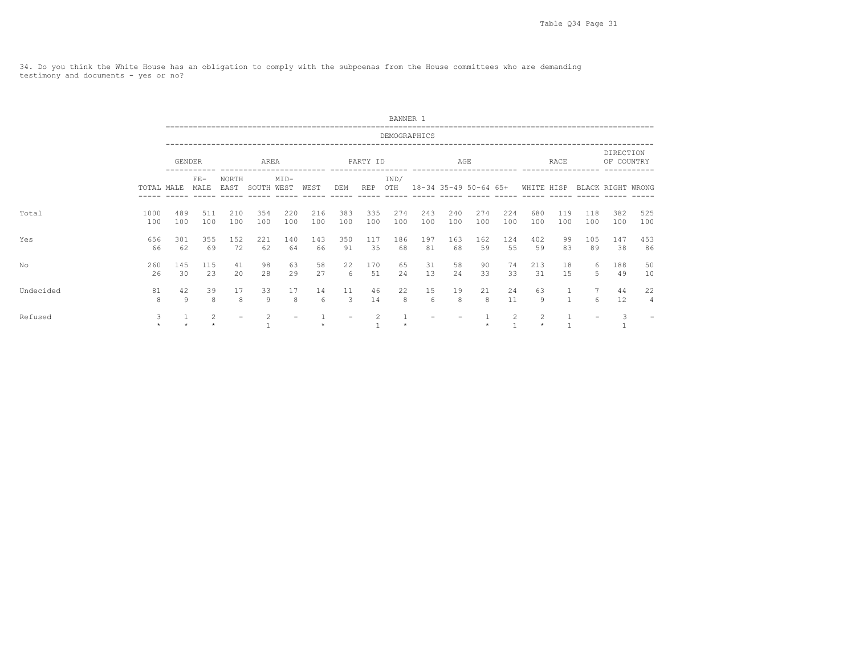34. Do you think the White House has an obligation to comply with the subpoenas from the House committees who are demanding testimony and documents - yes or no?

|           |             |               |                |               |            |            |            |            |            | BANNER 1     |            |            |            |                   |                                  |                   |                          |                         |            |  |
|-----------|-------------|---------------|----------------|---------------|------------|------------|------------|------------|------------|--------------|------------|------------|------------|-------------------|----------------------------------|-------------------|--------------------------|-------------------------|------------|--|
|           |             |               |                |               |            |            |            |            |            | DEMOGRAPHICS |            |            |            |                   |                                  |                   |                          |                         |            |  |
|           |             | <b>GENDER</b> |                |               | AREA       |            |            |            | PARTY ID   |              |            | AGE        |            |                   |                                  | RACE              |                          | DIRECTION<br>OF COUNTRY |            |  |
|           | TOTAL MALE  |               | $FF -$<br>MALE | NORTH<br>EAST | SOUTH WEST | $MID-$     | WEST       | DEM        | REP        | IND/<br>OTH  |            |            |            |                   | 18-34 35-49 50-64 65+ WHITE HISP |                   |                          | BLACK RIGHT WRONG       |            |  |
| Total     | 1000<br>100 | 489<br>100    | 511<br>100     | 210<br>100    | 354<br>100 | 220<br>100 | 216<br>100 | 383<br>100 | 335<br>100 | 274<br>100   | 243<br>100 | 240<br>100 | 274<br>100 | 224<br>100        | 680<br>100                       | 119<br>100        | 118<br>100               | 382<br>100              | 525<br>100 |  |
| Yes       | 656<br>66   | 301<br>62     | 355<br>69      | 1.52<br>72    | 221<br>62  | 140<br>64  | 143<br>66  | 350<br>91  | 117<br>35  | 186<br>68    | 197<br>81  | 163<br>68  | 162<br>59  | 124<br>55         | 402<br>59                        | 99<br>83          | 105<br>89                | 147<br>38               | 453<br>86  |  |
| No        | 260<br>26   | 145<br>30     | 115<br>23      | 41<br>20      | 98<br>28   | 63<br>29   | 58<br>27   | 22<br>6    | 170<br>51  | 65<br>24     | 31<br>13   | 58<br>2.4  | 90<br>33   | 74<br>33          | 213<br>31                        | 18<br>15          | 6<br>5.                  | 188<br>49               | 50<br>10   |  |
| Undecided | 81<br>8     | 42<br>9       | 39<br>8        | 17<br>8       | 33<br>9    | 17<br>8    | 14<br>6    | 11<br>3    | 46<br>14   | 22<br>8      | 15<br>6    | 19<br>8    | 21<br>8    | 24<br>11          | 63<br>9                          | $\mathbf{1}$<br>1 | 6                        | 44<br>12                | 22<br>4    |  |
| Refused   | 3           |               | 2              |               | 2          |            |            |            | 2          |              |            |            |            | 2<br>$\mathbf{1}$ | 2                                |                   | $\overline{\phantom{0}}$ | 3                       |            |  |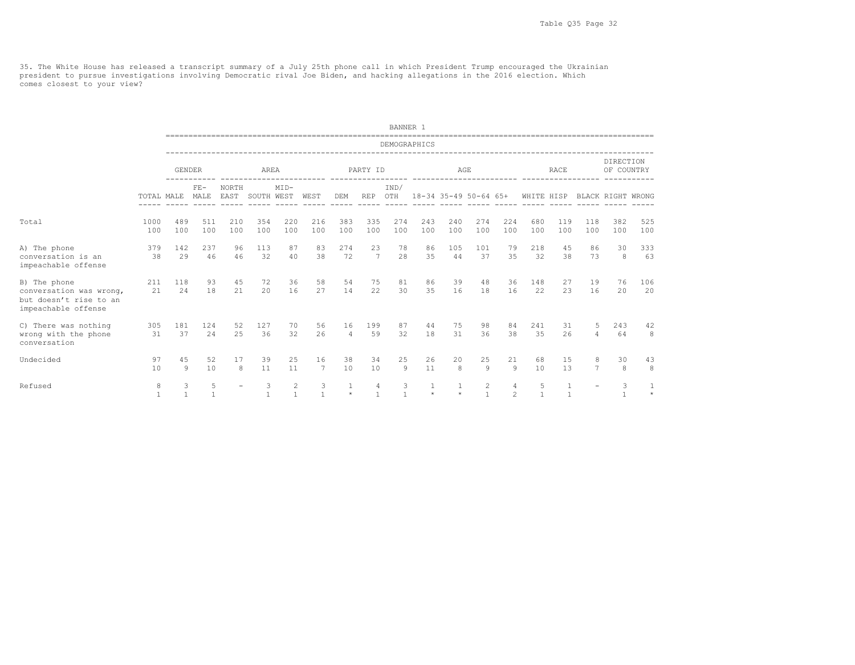35. The White House has released a transcript summary of a July 25th phone call in which President Trump encouraged the Ukrainian<br>president to pursue investigations involving Democratic rival Joe Biden, and hacking allegat comes closest to your view?

|                                                                                          |             |                   |               |               |                   |                   |                   |                         |                   | BANNER 1          |                       |            |                                |                     |            |                   |                     |                         |            |  |
|------------------------------------------------------------------------------------------|-------------|-------------------|---------------|---------------|-------------------|-------------------|-------------------|-------------------------|-------------------|-------------------|-----------------------|------------|--------------------------------|---------------------|------------|-------------------|---------------------|-------------------------|------------|--|
|                                                                                          |             |                   |               |               |                   |                   |                   |                         |                   | DEMOGRAPHICS      |                       |            |                                |                     |            |                   |                     |                         |            |  |
|                                                                                          |             | <b>GENDER</b>     |               |               | AREA              |                   |                   |                         | PARTY ID          |                   |                       | AGE        |                                |                     |            | <b>RACE</b>       |                     | DIRECTION<br>OF COUNTRY |            |  |
|                                                                                          | TOTAL MALE  |                   | $FE-$<br>MALE | NORTH<br>EAST | SOUTH WEST        | $MID-$            | WEST              | DEM                     | <b>REP</b>        | IND/<br>OTH       | 18-34 35-49 50-64 65+ |            |                                |                     | WHITE HISP |                   |                     | BLACK RIGHT WRONG       |            |  |
| Total                                                                                    | 1000<br>100 | 489<br>100        | 511<br>100    | 210<br>100    | 354<br>100        | 220<br>100        | 216<br>100        | 383<br>100              | 335<br>100        | 274<br>100        | 243<br>100            | 240<br>100 | 274<br>100                     | 224<br>100          | 680<br>100 | 119<br>100        | 118<br>100          | 382<br>100              | 525<br>100 |  |
| A) The phone<br>conversation is an<br>impeachable offense                                | 379<br>38   | 142<br>29         | 237<br>46     | 96<br>46      | 113<br>32         | 87<br>40          | 83<br>38          | 274<br>72               | 23<br>7           | 78<br>28          | 86<br>35              | 105<br>44  | 101<br>37                      | 79<br>35            | 218<br>32  | 45<br>38          | 86<br>73            | 30<br>8                 | 333<br>63  |  |
| B) The phone<br>conversation was wrong,<br>but doesn't rise to an<br>impeachable offense | 211<br>21   | 118<br>24         | 93<br>18      | 45<br>21      | 72<br>20          | 36<br>16          | 58<br>27          | 54<br>14                | 75<br>22          | 81<br>30          | 86<br>35              | 39<br>16   | 48<br>18                       | 36<br>16            | 148<br>22  | 27<br>23          | 19<br>16            | 76<br>20                | 106<br>20  |  |
| C) There was nothing<br>wrong with the phone<br>conversation                             | 305<br>31   | 181<br>37         | 124<br>24     | 52<br>25      | 127<br>36         | 70<br>32          | 56<br>26          | 16<br>$\overline{4}$    | 199<br>59         | 87<br>32          | 44<br>18              | 75<br>31   | 98<br>36                       | 84<br>38            | 241<br>35  | 31<br>26          | 5<br>4              | 243<br>64               | 42<br>8    |  |
| Undecided                                                                                | 97<br>10    | 45<br>9           | 52<br>10      | 17<br>8       | 39<br>11          | 25<br>11          | 16<br>7           | 38<br>10                | 34<br>10          | 25<br>$\circ$     | 26<br>11              | 20<br>8    | 25<br>$\mathcal{Q}$            | 21<br>$\mathsf{Q}$  | 68<br>10   | 15<br>13          | 8<br>$\overline{7}$ | 30<br>8                 | 43<br>8    |  |
| Refused                                                                                  | 8           | 3<br>$\mathbf{1}$ | 5             |               | 3<br>$\mathbf{1}$ | 2<br>$\mathbf{1}$ | 3<br>$\mathbf{1}$ | $\mathbf{1}$<br>$\star$ | 4<br>$\mathbf{1}$ | 3<br>$\mathbf{1}$ | 1<br>$\star$          | $\star$    | $\overline{c}$<br>$\mathbf{1}$ | 4<br>$\mathfrak{D}$ | 5          | 1<br>$\mathbf{1}$ |                     | 3<br>$\mathbf{1}$       | $\star$    |  |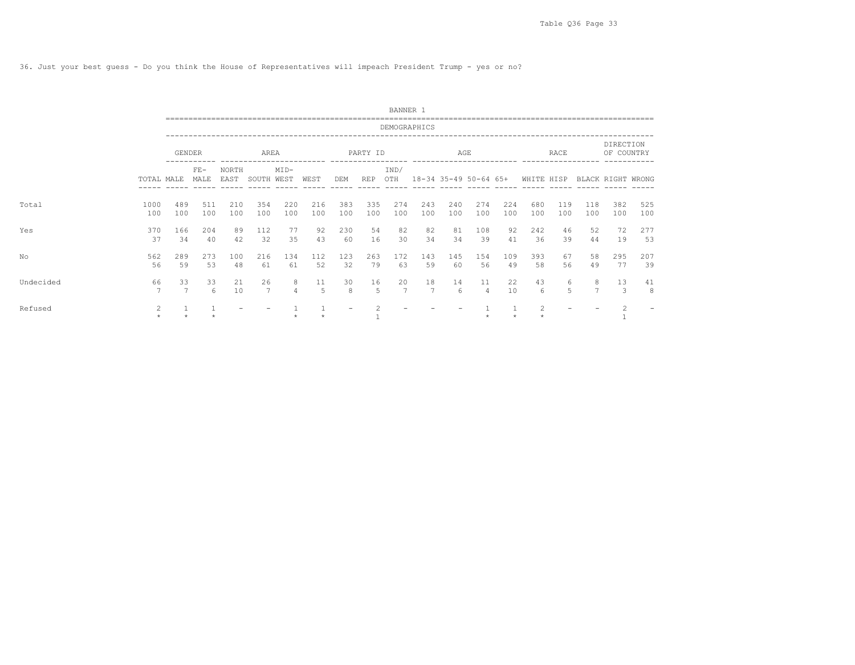36. Just your best guess - Do you think the House of Representatives will impeach President Trump - yes or no?

|           |             |               |               |               |                      |                     |            |            |                      | BANNER 1             |                       |            |                      |            |                  |             |                     |                         |            |
|-----------|-------------|---------------|---------------|---------------|----------------------|---------------------|------------|------------|----------------------|----------------------|-----------------------|------------|----------------------|------------|------------------|-------------|---------------------|-------------------------|------------|
|           |             |               |               |               |                      |                     |            |            |                      | DEMOGRAPHICS         |                       |            |                      |            |                  |             |                     |                         |            |
|           |             | <b>GENDER</b> |               |               | AREA                 |                     |            |            | PARTY ID             |                      |                       | AGE        |                      |            |                  | <b>RACE</b> |                     | DIRECTION<br>OF COUNTRY |            |
|           | TOTAL MALE  |               | $FE-$<br>MALE | NORTH<br>EAST | SOUTH WEST           | $MID-$              | WEST       | DEM        | REP                  | IND/<br>OTH          | 18-34 35-49 50-64 65+ |            |                      |            | WHITE HISP       |             |                     | BLACK RIGHT WRONG       |            |
| Total     | 1000<br>100 | 489<br>100    | 511<br>100    | 210<br>100    | 354<br>100           | 220<br>100          | 216<br>100 | 383<br>100 | 335<br>100           | 274<br>100           | 243<br>100            | 240<br>100 | 274<br>100           | 224<br>100 | 680<br>100       | 119<br>100  | 118<br>100          | 382<br>100              | 525<br>100 |
| Yes       | 370<br>37   | 166<br>34     | 204<br>40     | 89<br>42      | 112<br>32            | 77<br>35            | 92<br>43   | 230<br>60  | 54<br>16             | 82<br>30             | 82<br>34              | 81<br>34   | 108<br>39            | 92<br>41   | 242<br>36        | 46<br>39    | 52<br>44            | 72<br>19                | 277<br>53  |
| No        | 562<br>56   | 289<br>59     | 273<br>53     | 100<br>48     | 216<br>61            | 134<br>61           | 112<br>52  | 123<br>32  | 263<br>79            | 172<br>63            | 143<br>59             | 145<br>60  | 154<br>56            | 109<br>49  | 393<br>58        | 67<br>56    | 58<br>49            | 295<br>77               | 207<br>39  |
| Undecided | 66<br>7     | 33            | 33<br>6       | 21<br>10      | 26<br>$\overline{7}$ | 8<br>$\overline{4}$ | 11<br>5    | 30<br>8    | 16<br>$\overline{5}$ | 20<br>$\overline{7}$ | 18<br>7               | 14<br>6    | 11<br>$\overline{4}$ | 22<br>10   | 43<br>$\epsilon$ | 6<br>5      | 8<br>$\overline{7}$ | 13<br>3                 | 41<br>8    |
| Refused   | 2           |               |               |               |                      |                     |            |            |                      |                      |                       |            |                      |            | 2                |             |                     |                         |            |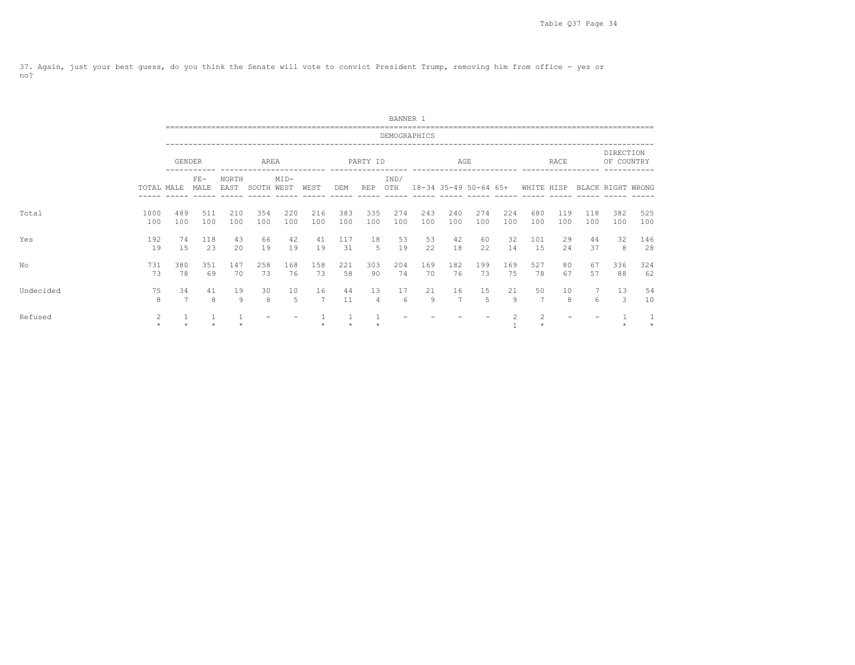37. Again, just your best guess, do you think the Senate will vote to convict President Trump, removing him from office - yes or no?

|           |                           |               |               |               |            |            |                      |            |            | BANNER 1     |            |                      |                      |            |                                                                                                                                                               |            |            |                         |            |
|-----------|---------------------------|---------------|---------------|---------------|------------|------------|----------------------|------------|------------|--------------|------------|----------------------|----------------------|------------|---------------------------------------------------------------------------------------------------------------------------------------------------------------|------------|------------|-------------------------|------------|
|           |                           |               |               |               |            |            |                      |            |            | DEMOGRAPHICS |            |                      |                      |            |                                                                                                                                                               |            |            |                         |            |
|           |                           | <b>GENDER</b> |               |               | AREA       |            |                      |            | PARTY ID   |              |            | AGE<br>------------- |                      |            |                                                                                                                                                               | RACE       |            | DIRECTION<br>OF COUNTRY |            |
|           | TOTAL MALE                |               | $FE-$<br>MALE | NORTH<br>EAST | SOUTH WEST | $MID-$     | WEST                 | DEM        | REP        | IND/<br>OTH  |            |                      |                      |            | 18-34 35-49 50-64 65+ WHITE HISP                                                                                                                              |            |            | BLACK RIGHT WRONG       |            |
| Total     | 1000<br>100               | 489<br>100    | 511<br>100    | 210<br>100    | 354<br>100 | 220<br>100 | 216<br>100           | 383<br>100 | 335<br>100 | 274<br>100   | 243<br>100 | 240<br>100           | 274<br>100           | 224<br>100 | 680<br>100                                                                                                                                                    | 119<br>100 | 118<br>100 | 382<br>100              | 525<br>100 |
| Yes       | 192<br>19                 | 74<br>15      | 118<br>23     | 43<br>20      | 66<br>19   | 42<br>19   | 41<br>19             | 117<br>31  | 18<br>.5   | 53<br>19     | 53<br>22   | 42<br>18             | 60<br>22             | 32<br>14   | 101<br>15                                                                                                                                                     | 29<br>24   | 44<br>37   | 32<br>8                 | 146<br>28  |
| No        | 731<br>73                 | 380<br>78     | 351<br>69     | 147<br>70     | 258<br>73  | 168<br>76  | 158<br>73            | 221<br>58  | 303<br>90  | 204<br>74    | 169<br>70  | 182<br>76            | 199<br>73            | 169<br>75  | 527<br>78                                                                                                                                                     | 80<br>67   | 67<br>57   | 336<br>88               | 324<br>62  |
| Undecided | 75<br>8                   | 34<br>7       | 41<br>8       | 19<br>9       | 30<br>8    | 10<br>-5   | 16<br>$\overline{7}$ | 44<br>11   | 13<br>4    | 17<br>6      | 21<br>9    | 16<br>7              | 15<br>$\overline{5}$ | 21<br>9    | 50<br>$\overline{7}$                                                                                                                                          | 10<br>8    | 6          | 13<br>3                 | 54<br>10   |
| Refused   | $\overline{2}$<br>$\star$ |               | $\mathbf{1}$  |               |            |            |                      |            |            |              |            |                      |                      | 2          | $\mathfrak{D}_{1}^{2}(\mathfrak{D}_{1})=\mathfrak{D}_{2}^{2}(\mathfrak{D}_{2})=\mathfrak{D}_{2}^{2}(\mathfrak{D}_{1})=\mathfrak{D}_{2}^{2}(\mathfrak{D}_{2})$ |            |            |                         | $\star$    |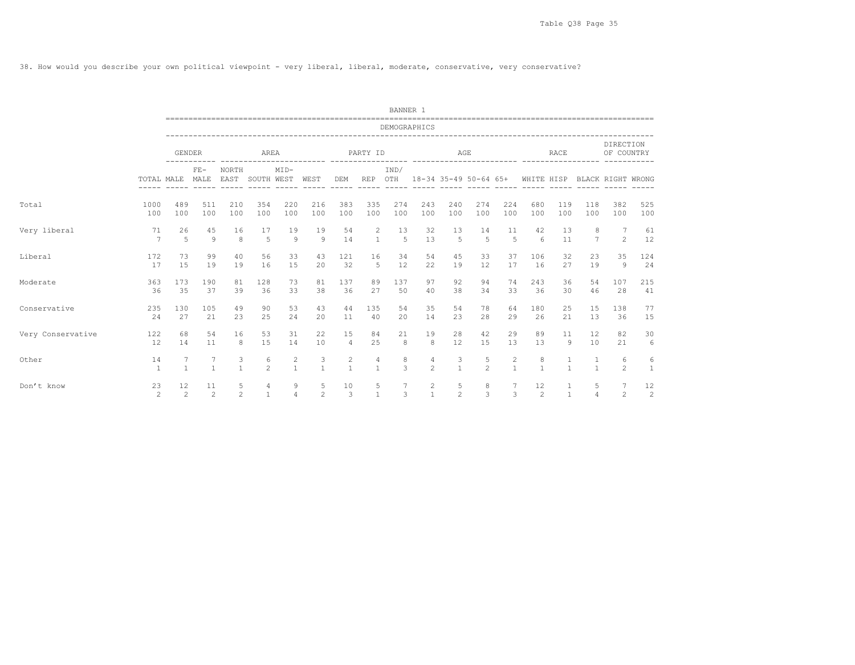38. How would you describe your own political viewpoint - very liberal, liberal, moderate, conservative, very conservative?

|                   |                      |                |               |                   |                     |                     |                   |                   |                   | BANNER 1                 |                     |                       |                     |                                |                   |                   |                |                         |                   |
|-------------------|----------------------|----------------|---------------|-------------------|---------------------|---------------------|-------------------|-------------------|-------------------|--------------------------|---------------------|-----------------------|---------------------|--------------------------------|-------------------|-------------------|----------------|-------------------------|-------------------|
|                   |                      |                |               |                   |                     |                     |                   |                   |                   | DEMOGRAPHICS             |                     |                       |                     |                                |                   |                   |                |                         |                   |
|                   |                      | <b>GENDER</b>  |               |                   | AREA                |                     |                   |                   | PARTY ID          | --------- -------------- |                     | AGE                   |                     | ---------- ----                |                   | <b>RACE</b>       |                | DIRECTION<br>OF COUNTRY |                   |
|                   | TOTAL MALE           |                | $FE-$<br>MALE | NORTH<br>EAST     | SOUTH WEST          | $MID-$              | WEST              | DEM               | <b>REP</b>        | IND/<br>OTH              |                     | 18-34 35-49 50-64 65+ |                     |                                | WHITE HISP        |                   |                | BLACK RIGHT WRONG       |                   |
| Total             | 1000                 | 489            | 511           | 210               | 354                 | 220                 | 216               | 383               | 335               | 274                      | 243                 | 240                   | 274                 | 224                            | 680               | 119               | 118            | 382                     | 525               |
|                   | 100                  | 100            | 100           | 100               | 100                 | 100                 | 100               | 100               | 100               | 100                      | 100                 | 100                   | 100                 | 100                            | 100               | 100               | 100            | 100                     | 100               |
| Very liberal      | 71                   | 26             | 45            | 16                | 17                  | 19                  | 19                | 54                | 2                 | 13                       | 32                  | 13                    | 14                  | 11                             | 42                | 13                | 8              | 7                       | 61                |
|                   | 7                    | $\overline{5}$ | $\circ$       | 8                 | 5                   | $\overline{9}$      | $\mathcal{Q}$     | 14                | $\mathbf{1}$      | 5                        | 13                  | 5                     | 5                   | 5                              | 6                 | 11                | $\overline{7}$ | $\overline{2}$          | 12                |
| Liberal           | 172                  | 73             | 99            | 40                | 56                  | 33                  | 43                | 121               | 16                | 34                       | 54                  | 45                    | 33                  | 37                             | 106               | 32                | 23             | 35                      | 124               |
|                   | 17                   | 1.5            | 19            | 19                | 16                  | 15                  | 20                | 32                | 5                 | 12                       | 22                  | 19                    | 12                  | 17                             | 16                | 27                | 19             | 9                       | 24                |
| Moderate          | 363                  | 173            | 190           | 81                | 128                 | 73                  | 81                | 137               | 89                | 137                      | 97                  | 92                    | 94                  | 74                             | 243               | 36                | 54             | 107                     | 215               |
|                   | 36                   | 35             | 37            | 39                | 36                  | 33                  | 38                | 36                | 27                | 50                       | 40                  | 38                    | 34                  | 33                             | 36                | 30                | 46             | 28                      | 41                |
| Conservative      | 235                  | 130            | 105           | 49                | 90                  | 53                  | 43                | 44                | 135               | 54                       | 35                  | 54                    | 78                  | 64                             | 180               | 25                | 15             | 138                     | 77                |
|                   | 24                   | 27             | 21            | 23                | 25                  | 24                  | 20                | 11                | 40                | 20                       | 14                  | 23                    | 28                  | 29                             | 26                | 21                | 13             | 36                      | 15                |
| Very Conservative | 122                  | 68             | 54            | 16                | 53                  | 31                  | 22                | 15                | 84                | 21                       | 19                  | 28                    | 42                  | 29                             | 89                | 11                | 12             | 82                      | 30                |
|                   | 12                   | 14             | 11            | 8                 | 15                  | 14                  | 10                | $\overline{4}$    | 25                | 8                        | 8                   | 12                    | 15                  | 13                             | 13                | 9                 | 10             | 21                      | 6                 |
| Other             | 14<br>$\overline{1}$ | $\overline{1}$ | $\mathbf{1}$  | 3<br>$\mathbf{1}$ | 6<br>$\mathfrak{D}$ | 2<br>$\overline{1}$ | 3<br>$\mathbf{1}$ | 2<br>$\mathbf{1}$ | 4<br>$\mathbf{1}$ | 8<br>$\mathcal{L}$       | 4<br>$\mathfrak{D}$ | 3<br>$\mathbf{1}$     | 5<br>$\overline{2}$ | $\overline{c}$<br>$\mathbf{1}$ | 8<br>$\mathbf{1}$ | 1<br>$\mathbf{1}$ |                | 6<br>$\mathfrak{D}$     | 6<br><sup>1</sup> |
| Don't know        | 23                   | 12             | 11            | 5                 | 4                   | 9                   | 5                 | 10                | 5                 | 7                        | $\overline{c}$      | 5                     | 8                   | 7                              | 12                | 1                 | 5              | 7                       | 12                |
|                   | 2                    | $\overline{2}$ | 2             | $\overline{2}$    | $\mathbf{1}$        | $\overline{4}$      | 2                 | 3                 | $\mathbf{1}$      | 3                        | $\mathbf{1}$        | $\overline{2}$        | $\mathcal{L}$       | 3                              | $\overline{2}$    | $\overline{1}$    | $\overline{4}$ | $\overline{2}$          | 2                 |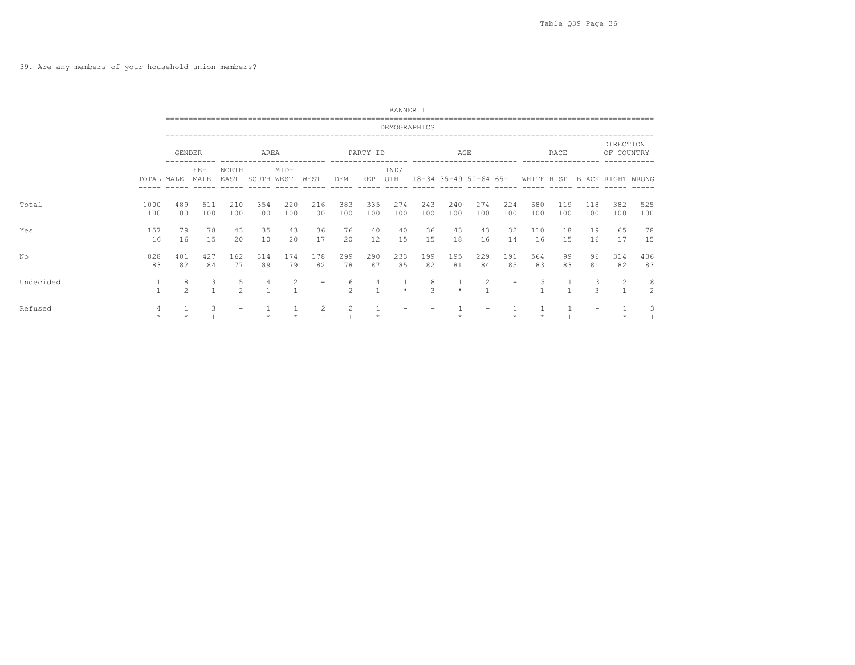## 39. Are any members of your household union members?

|           |              |                     |                   |                     |            |                |                   |                     |                         | BANNER 1     |            |                       |            |            |            |              |            |                         |                     |
|-----------|--------------|---------------------|-------------------|---------------------|------------|----------------|-------------------|---------------------|-------------------------|--------------|------------|-----------------------|------------|------------|------------|--------------|------------|-------------------------|---------------------|
|           |              |                     |                   |                     |            |                |                   |                     |                         | DEMOGRAPHICS |            |                       |            |            |            |              |            |                         |                     |
|           |              | GENDER              |                   |                     | AREA       |                |                   |                     | PARTY ID                |              |            | AGE                   |            |            |            | RACE         |            | DIRECTION<br>OF COUNTRY |                     |
|           | TOTAL MALE   |                     | $FE-$<br>MALE     | NORTH<br>EAST       | SOUTH WEST | $MID-$         | WEST              | DEM                 | REP                     | IND/<br>OTH  |            | 18-34 35-49 50-64 65+ |            |            | WHITE HISP |              |            | BLACK RIGHT WRONG       |                     |
| Total     | 1000<br>100  | 489<br>100          | 511<br>100        | 210<br>100          | 354<br>100 | 220<br>100     | 216<br>100        | 383<br>100          | 335<br>100              | 274<br>100   | 243<br>100 | 240<br>100            | 274<br>100 | 224<br>100 | 680<br>100 | 119<br>100   | 118<br>100 | 382<br>100              | 525<br>100          |
| Yes       | 157<br>16    | 79<br>16            | 78<br>15          | 43<br>20            | 35<br>10   | 43<br>20       | 36<br>17          | 76<br>20            | 40<br>$12 \overline{ }$ | 40<br>15     | 36<br>15   | 43<br>18              | 43<br>16   | 32<br>14   | 110<br>16  | 18<br>15     | 19<br>16   | 65<br>17                | 78<br>15            |
| No        | 828<br>83    | 401<br>82           | 427<br>84         | 162<br>77           | 314<br>89  | 174<br>79      | 178<br>82         | 299<br>78           | 290<br>87               | 233<br>85    | 199<br>82  | 195<br>81             | 229<br>84  | 191<br>85  | 564<br>83  | 99<br>83     | 96<br>81   | 314<br>82               | 436<br>83           |
| Undecided | 11           | 8<br>$\mathfrak{D}$ | 3<br>$\mathbf{1}$ | 5<br>$\mathfrak{D}$ | 4          | $\overline{2}$ | $\qquad \qquad -$ | 6<br>$\mathfrak{D}$ | 4                       | $\star$      | 8<br>3     | $\star$               | 2          |            | 5          | $\mathbf{1}$ | 3<br>3     | 2<br>$\overline{1}$     | 8<br>$\overline{2}$ |
| Refused   | 4<br>$\star$ |                     | 3                 |                     |            |                | 2                 | 2                   |                         |              |            |                       |            |            |            |              |            |                         | 3<br>$\mathbf{1}$   |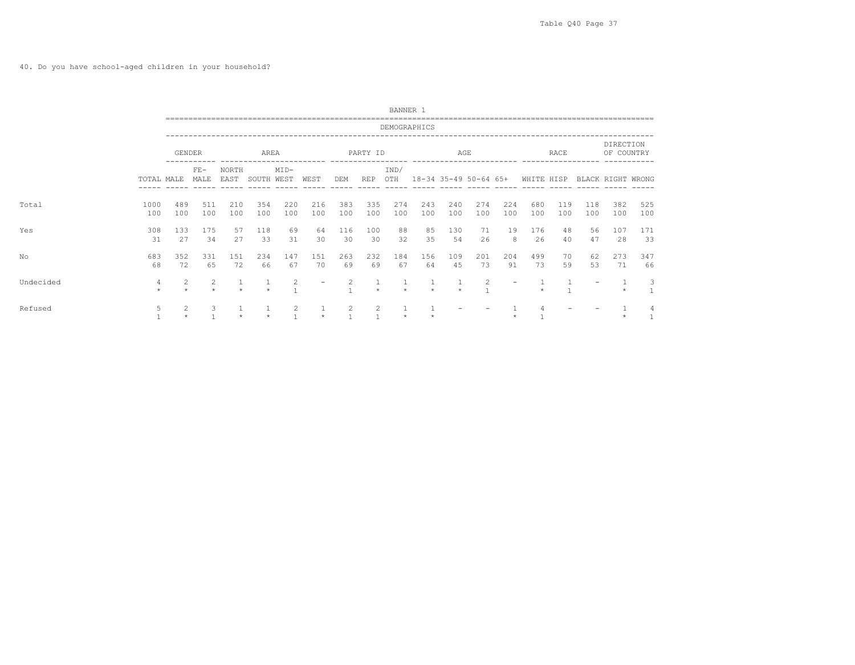40. Do you have school-aged children in your household?

|           |              |                |               |                       |            |                     |                          |            |            | BANNER 1     |                       |            |            |            |            |            |            |                         |                   |  |
|-----------|--------------|----------------|---------------|-----------------------|------------|---------------------|--------------------------|------------|------------|--------------|-----------------------|------------|------------|------------|------------|------------|------------|-------------------------|-------------------|--|
|           |              |                |               | _____________________ |            |                     |                          |            |            | DEMOGRAPHICS |                       |            |            |            |            |            |            |                         |                   |  |
|           |              | GENDER         |               |                       | AREA       |                     |                          |            | PARTY ID   |              |                       | AGE        |            |            |            | RACE       |            | DIRECTION<br>OF COUNTRY |                   |  |
|           | TOTAL MALE   |                | $FE-$<br>MALE | NORTH<br>EAST         | SOUTH WEST | $MID-$              | WEST                     | DEM        | <b>REP</b> | IND/<br>OTH  | 18-34 35-49 50-64 65+ |            |            |            | WHITE HISP |            |            |                         | BLACK RIGHT WRONG |  |
| Total     | 1000<br>100  | 489<br>100     | 511<br>100    | 210<br>100            | 354<br>100 | 220<br>100          | 216<br>100               | 383<br>100 | 335<br>100 | 274<br>100   | 243<br>100            | 240<br>100 | 274<br>100 | 224<br>100 | 680<br>100 | 119<br>100 | 118<br>100 | 382<br>100              | 525<br>100        |  |
| Yes       | 308<br>31    | 133<br>27      | 175<br>34     | 57<br>27              | 118<br>33  | 69<br>31            | 64<br>30                 | 116<br>30  | 100<br>30  | 88<br>32     | 85<br>35              | 130<br>54  | 71<br>26   | 19<br>8    | 176<br>26  | 48<br>40   | 56<br>47   | 107<br>28               | 171<br>33         |  |
| No        | 683<br>68    | 352<br>72      | 331<br>65     | 151<br>72             | 234<br>66  | 147<br>67           | 151<br>70                | 263<br>69  | 232<br>69  | 184<br>67    | 156<br>64             | 109<br>45  | 201<br>73  | 204<br>91  | 499<br>73  | 70<br>59   | 62<br>53   | 273<br>71               | 347<br>66         |  |
| Undecided | 4<br>$\star$ | $\overline{c}$ | 2<br>$\star$  |                       |            | 2                   | $\overline{\phantom{m}}$ | 2          |            |              | $\star$               |            | 2          |            |            |            |            |                         | 3                 |  |
| Refused   | 5            | $\overline{c}$ | 3             |                       |            | 2<br>$\overline{1}$ | $\star$                  | 2          | 2          |              |                       |            |            |            |            |            |            |                         | 4<br>$\mathbf{1}$ |  |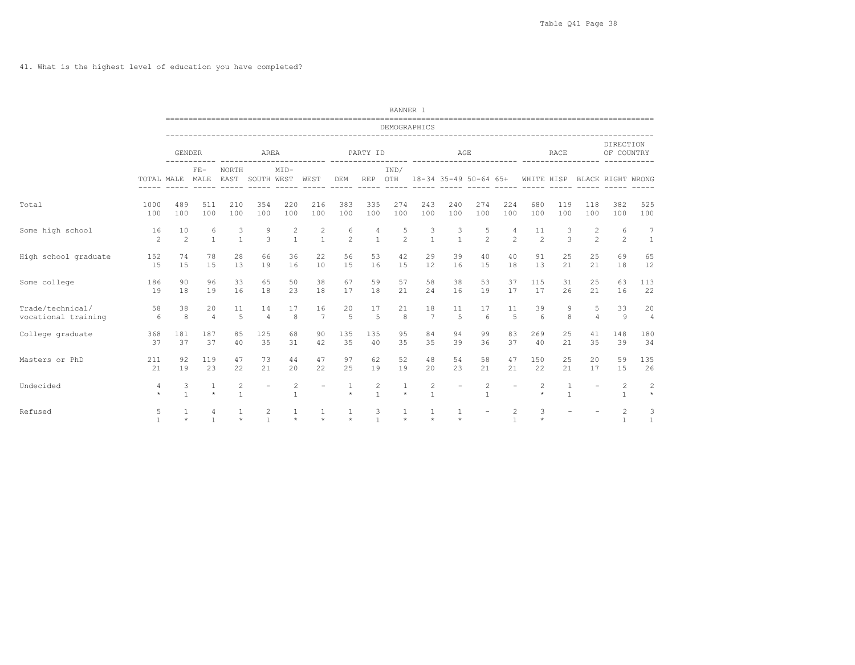41. What is the highest level of education you have completed?

|                      |                |                   |                   |                     |                          |                   |                          |                         |                                  | BANNER 1                            |                   |                                            |                                |                          |                |                              |                          |                                |                   |
|----------------------|----------------|-------------------|-------------------|---------------------|--------------------------|-------------------|--------------------------|-------------------------|----------------------------------|-------------------------------------|-------------------|--------------------------------------------|--------------------------------|--------------------------|----------------|------------------------------|--------------------------|--------------------------------|-------------------|
|                      |                |                   |                   |                     |                          |                   |                          |                         |                                  | DEMOGRAPHICS                        |                   |                                            |                                |                          |                |                              |                          |                                |                   |
|                      |                | <b>GENDER</b>     |                   |                     | AREA                     |                   |                          |                         | PARTY ID                         |                                     |                   | -----------------------------------<br>AGE |                                |                          |                | RACE                         |                          | DIRECTION<br>OF COUNTRY        |                   |
|                      | TOTAL MALE     |                   | $FE-$<br>MALE     | NORTH<br>EAST       | SOUTH WEST               | $MID-$            | ---------- ----<br>WEST  | DEM                     | <b>REP</b>                       | -------- -----------<br>IND/<br>OTH |                   | 18-34 35-49 50-64 65+                      |                                | ------------ -----       | WHITE HISP     |                              | ---------                | BLACK RIGHT WRONG              |                   |
| Total                | 1000           | 489               | 511               | 210                 | 354                      | 220               | 216                      | 383                     | 335                              | 274                                 | 243               | 240                                        | 274                            | 224                      | 680            | 119                          | 118                      | 382                            | 525               |
|                      | 100            | 100               | 100               | 100                 | 100                      | 100               | 100                      | 100                     | 100                              | 100                                 | 100               | 100                                        | 100                            | 100                      | 100            | 100                          | 100                      | 100                            | 100               |
| Some high school     | 16             | 10                | 6                 | 3                   | 9                        | $\overline{c}$    | 2                        | 6                       | 4                                | 5                                   | 3                 | 3                                          | 5                              | 4                        | 11             | 3                            | 2                        | 6                              | 7                 |
|                      | $\mathfrak{D}$ | $\mathfrak{D}$    | $\mathbf{1}$      | $\overline{1}$      | 3                        | $\overline{1}$    | $\mathbf{1}$             | $\overline{c}$          | $\overline{1}$                   | $\mathfrak{D}$                      | $\mathbf{1}$      | $\overline{1}$                             | $\mathfrak{D}$                 | $\mathfrak{D}$           | $\mathfrak{D}$ | 3                            | $\mathfrak{D}$           | $\mathfrak{D}$                 | $\overline{1}$    |
| High school graduate | 152            | 74                | 78                | 28                  | 66                       | 36                | 22                       | 56                      | 53                               | 42                                  | 29                | 39                                         | 40                             | 40                       | 91             | 25                           | 25                       | 69                             | 65                |
|                      | 15             | 15                | 15                | 13                  | 19                       | 16                | 10                       | 15                      | 16                               | 15                                  | 12                | 16                                         | 15                             | 18                       | 13             | 21                           | 21                       | 18                             | 12                |
| Some college         | 186            | 90                | 96                | 33                  | 65                       | 50                | 38                       | 67                      | 59                               | 57                                  | 58                | 38                                         | 53                             | 37                       | 115            | 31                           | 25                       | 63                             | 113               |
|                      | 19             | 18                | 19                | 16                  | 18                       | 23                | 18                       | 17                      | 18                               | 21                                  | 24                | 16                                         | 19                             | 17                       | 17             | 26                           | 21                       | 16                             | 22                |
| Trade/technical/     | 58             | 38                | 20                | 11                  | 14                       | 17                | 16                       | 20                      | 17                               | 21                                  | 18                | 11                                         | 17                             | 11                       | 39             | 9                            | 5                        | 33                             | 20                |
| vocational training  | 6              | 8                 | $\overline{4}$    | $\overline{5}$      | $\overline{4}$           | 8                 | 7                        | $\overline{5}$          | $\overline{5}$                   | 8                                   | 7                 | $\overline{5}$                             | 6                              | $\overline{5}$           | 6              | 8                            | $\overline{4}$           | $\mathcal{Q}$                  | $\overline{4}$    |
| College graduate     | 368            | 181               | 187               | 85                  | 125                      | 68                | 90                       | 135                     | 135                              | 95                                  | 84                | 94                                         | 99                             | 83                       | 269            | 25                           | 41                       | 148                            | 180               |
|                      | 37             | 37                | 37                | 40                  | 35                       | 31                | 42                       | 35                      | 40                               | 35                                  | 35                | 39                                         | 36                             | 37                       | 40             | 21                           | 35                       | 39                             | 34                |
| Masters or PhD       | 211            | 92                | 119               | 47                  | 73                       | 44                | 47                       | 97                      | 62                               | 52                                  | 48                | 54                                         | 58                             | 47                       | 150            | 25                           | 20                       | 59                             | 135               |
|                      | 21             | 19                | 23                | 22                  | 21                       | 20                | 22                       | 25                      | 19                               | 19                                  | 20                | 23                                         | 21                             | 21                       | 22             | 21                           | 17                       | 15                             | 26                |
| Undecided            | 4<br>$\star$   | 3<br>$\mathbf{1}$ | 1<br>$\star$      | 2<br>$\overline{1}$ | $\overline{\phantom{a}}$ | 2<br>$\mathbf{1}$ | $\overline{\phantom{a}}$ | $\mathbf{1}$<br>$\star$ | $\overline{c}$<br>$\overline{1}$ | 1<br>$\star$                        | 2<br>$\mathbf{1}$ | $\overline{\phantom{a}}$                   | $\overline{2}$<br>$\mathbf{1}$ | $\overline{\phantom{a}}$ | 2<br>$\star$   | $\mathbf{1}$<br>$\mathbf{1}$ | $\overline{\phantom{a}}$ | 2<br>$\mathbf{1}$              | 2<br>$\star$      |
| Refused              | 5              | $\star$           | 4<br>$\mathbf{1}$ | $\star$             | 2<br>$\mathbf{1}$        | $\star$           | $\star$                  | 1<br>$\star$            | 3<br>$\mathbf{1}$                | $\star$                             | 1<br>$\star$      | 1<br>$\star$                               | $\overline{\phantom{m}}$       | 2<br>$\overline{1}$      | 3<br>$\star$   |                              |                          | $\overline{c}$<br>$\mathbf{1}$ | 3<br>$\mathbf{1}$ |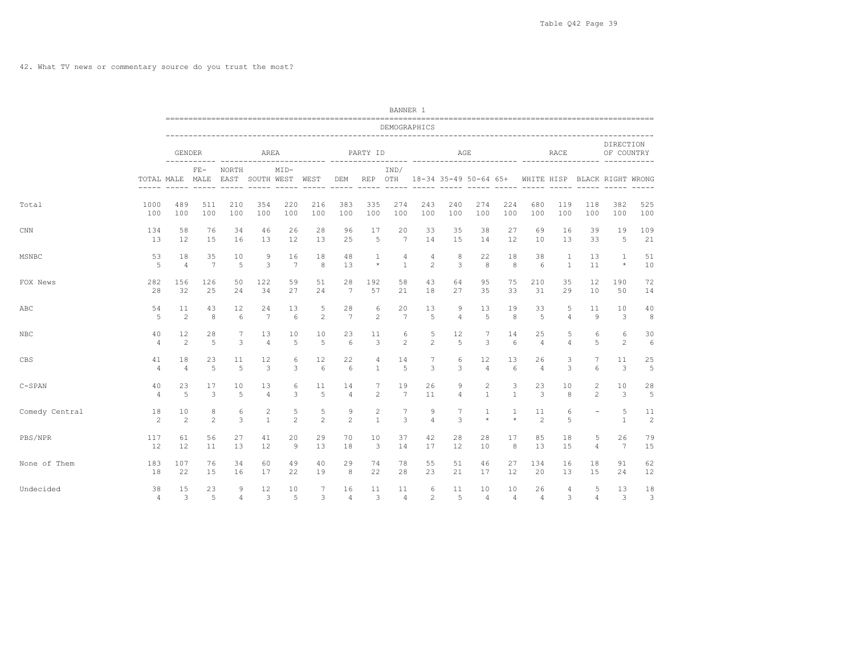|                |                     |                      |        |                |                     |                     |                     |                                                                                                                                                                                                                                                                                                                                                                                                                                                                                   |                                                                                                                                                                                                                                                                                                                                                                                                         | BANNER 1              |                     |                       |                |                |                      |                |                                              |                         |                      |
|----------------|---------------------|----------------------|--------|----------------|---------------------|---------------------|---------------------|-----------------------------------------------------------------------------------------------------------------------------------------------------------------------------------------------------------------------------------------------------------------------------------------------------------------------------------------------------------------------------------------------------------------------------------------------------------------------------------|---------------------------------------------------------------------------------------------------------------------------------------------------------------------------------------------------------------------------------------------------------------------------------------------------------------------------------------------------------------------------------------------------------|-----------------------|---------------------|-----------------------|----------------|----------------|----------------------|----------------|----------------------------------------------|-------------------------|----------------------|
|                |                     |                      |        |                |                     |                     |                     |                                                                                                                                                                                                                                                                                                                                                                                                                                                                                   |                                                                                                                                                                                                                                                                                                                                                                                                         | DEMOGRAPHICS          |                     |                       |                |                |                      |                |                                              |                         |                      |
|                |                     | GENDER               |        |                | AREA                |                     |                     |                                                                                                                                                                                                                                                                                                                                                                                                                                                                                   | PARTY ID                                                                                                                                                                                                                                                                                                                                                                                                |                       |                     | AGE                   |                |                |                      | RACE           |                                              | DIRECTION<br>OF COUNTRY |                      |
|                |                     | TOTAL MALE MALE      | $FE-$  | NORTH<br>EAST  | SOUTH WEST          | $MTD-$              | WEST                | DEM<br>$\frac{1}{2} \left( \frac{1}{2} \right) \left( \frac{1}{2} \right) \left( \frac{1}{2} \right) \left( \frac{1}{2} \right) \left( \frac{1}{2} \right) \left( \frac{1}{2} \right) \left( \frac{1}{2} \right) \left( \frac{1}{2} \right) \left( \frac{1}{2} \right) \left( \frac{1}{2} \right) \left( \frac{1}{2} \right) \left( \frac{1}{2} \right) \left( \frac{1}{2} \right) \left( \frac{1}{2} \right) \left( \frac{1}{2} \right) \left( \frac{1}{2} \right) \left( \frac$ | REP OTH<br>$\frac{1}{2} \frac{1}{2} \frac{1}{2} \frac{1}{2} \frac{1}{2} \frac{1}{2} \frac{1}{2} \frac{1}{2} \frac{1}{2} \frac{1}{2} \frac{1}{2} \frac{1}{2} \frac{1}{2} \frac{1}{2} \frac{1}{2} \frac{1}{2} \frac{1}{2} \frac{1}{2} \frac{1}{2} \frac{1}{2} \frac{1}{2} \frac{1}{2} \frac{1}{2} \frac{1}{2} \frac{1}{2} \frac{1}{2} \frac{1}{2} \frac{1}{2} \frac{1}{2} \frac{1}{2} \frac{1}{2} \frac{$ | IND/<br>$\frac{1}{2}$ |                     | 18-34 35-49 50-64 65+ |                |                | ------ -----         |                | WHITE HISP BLACK RIGHT WRONG<br>------ ----- |                         |                      |
| Total          | 1000                | 489                  | 511    | 210            | 354                 | 220                 | 216                 | 383                                                                                                                                                                                                                                                                                                                                                                                                                                                                               | 335                                                                                                                                                                                                                                                                                                                                                                                                     | 274                   | 243                 | 240                   | 274            | 224            | 680                  | 119            | 118                                          | 382                     | 525                  |
|                | 100                 | 100                  | 100    | 100            | 100                 | 100                 | 100                 | 100                                                                                                                                                                                                                                                                                                                                                                                                                                                                               | 100                                                                                                                                                                                                                                                                                                                                                                                                     | 100                   | 100                 | 100                   | 100            | 100            | 100                  | 100            | 100                                          | 100                     | 100                  |
| $\text{CNN}$   | 134                 | 58                   | 76     | 34             | 46                  | 26                  | 28                  | 96                                                                                                                                                                                                                                                                                                                                                                                                                                                                                | 17                                                                                                                                                                                                                                                                                                                                                                                                      | 20                    | 33                  | 35                    | 38             | 27             | 69                   | 16             | 39                                           | 19                      | 109                  |
|                | 13                  | 12                   | 15     | 16             | 13                  | 12                  | 13                  | 25                                                                                                                                                                                                                                                                                                                                                                                                                                                                                | 5                                                                                                                                                                                                                                                                                                                                                                                                       | $7\phantom{.0}$       | 14                  | 15                    | 14             | 12             | 10                   | 13             | 33                                           | 5                       | 21                   |
| MSNBC          | 53                  | 18                   | 35     | 10             | 9                   | 16                  | 18                  | 48                                                                                                                                                                                                                                                                                                                                                                                                                                                                                | 1                                                                                                                                                                                                                                                                                                                                                                                                       | 4                     | 4                   | 8                     | 22             | 18             | 38                   | 1              | 13                                           | $\mathbf{1}$            | 51                   |
|                | 5                   | $\overline{4}$       | 7      | 5              | 3                   | $7\phantom{.0}$     | 8                   | 13                                                                                                                                                                                                                                                                                                                                                                                                                                                                                | $\star$                                                                                                                                                                                                                                                                                                                                                                                                 | $\mathbf{1}$          | $\overline{c}$      | 3                     | 8              | 8              | 6                    | $\mathbf{1}$   | 11                                           | $\star$                 | 10                   |
| FOX News       | 282                 | 156                  | 126    | 50             | 122                 | 59                  | 51                  | 28                                                                                                                                                                                                                                                                                                                                                                                                                                                                                | 192                                                                                                                                                                                                                                                                                                                                                                                                     | 58                    | 43                  | 64                    | 95             | 75             | 210                  | 35             | 12                                           | 190                     | 72                   |
|                | 28                  | 32                   | 25     | 24             | 34                  | 27                  | 24                  | 7                                                                                                                                                                                                                                                                                                                                                                                                                                                                                 | 57                                                                                                                                                                                                                                                                                                                                                                                                      | 21                    | 18                  | 27                    | 35             | 33             | 31                   | 29             | 10                                           | 50                      | 14                   |
| ABC            | 54                  | 11                   | 43     | 12             | 24                  | 13                  | 5                   | 28                                                                                                                                                                                                                                                                                                                                                                                                                                                                                | 6                                                                                                                                                                                                                                                                                                                                                                                                       | 20                    | 13                  | 9                     | 13             | 19             | 33                   | 5              | 11                                           | 10                      | 40                   |
|                | 5                   | 2                    | 8      | 6              | $7\phantom{.0}$     | 6                   | 2                   | 7                                                                                                                                                                                                                                                                                                                                                                                                                                                                                 | $\overline{c}$                                                                                                                                                                                                                                                                                                                                                                                          | $7\phantom{.0}$       | 5                   | $\overline{4}$        | 5              | 8              | 5                    | $\overline{4}$ | 9                                            | 3                       | 8                    |
| NBC            | 40                  | 12                   | 28     | 7              | 13                  | 10                  | 10                  | 23                                                                                                                                                                                                                                                                                                                                                                                                                                                                                | 11                                                                                                                                                                                                                                                                                                                                                                                                      | 6                     | 5                   | 12                    | 7              | 14             | 25                   | 5              | 6                                            | 6                       | 30                   |
|                | $\overline{4}$      | 2                    | 5      | 3              | $\overline{4}$      | 5                   | 5                   | 6                                                                                                                                                                                                                                                                                                                                                                                                                                                                                 | 3                                                                                                                                                                                                                                                                                                                                                                                                       | $\overline{c}$        | $\overline{c}$      | 5                     | 3              | 6              | $\overline{4}$       | $\overline{4}$ | 5                                            | $\overline{c}$          | 6                    |
| CBS            | 41                  | 18                   | 23     | 11             | 12                  | 6                   | 12                  | 22                                                                                                                                                                                                                                                                                                                                                                                                                                                                                | 4                                                                                                                                                                                                                                                                                                                                                                                                       | 14                    | $7\phantom{.0}$     | 6                     | 12             | 13             | 26                   | 3              | 7                                            | 11                      | 25                   |
|                | $\overline{4}$      | $\overline{4}$       | 5      | 5              | 3                   | 3                   | 6                   | 6                                                                                                                                                                                                                                                                                                                                                                                                                                                                                 | $\mathbf{1}$                                                                                                                                                                                                                                                                                                                                                                                            | 5                     | 3                   | 3                     | $\overline{4}$ | 6              | $\overline{4}$       | 3              | 6                                            | 3                       | 5                    |
| $C-SPAN$       | 40                  | 23                   | 17     | 10             | 13                  | 6                   | 11                  | 14                                                                                                                                                                                                                                                                                                                                                                                                                                                                                | 7                                                                                                                                                                                                                                                                                                                                                                                                       | 19                    | 26                  | 9                     | $\overline{c}$ | 3              | 23                   | 10             | $\mathbf{2}$                                 | 10                      | 28                   |
|                | $\overline{4}$      | 5                    | 3      | 5              | $\overline{4}$      | 3                   | 5                   | $\overline{4}$                                                                                                                                                                                                                                                                                                                                                                                                                                                                    | $\overline{c}$                                                                                                                                                                                                                                                                                                                                                                                          | $7\phantom{.0}$       | 11                  | $\overline{4}$        | $\mathbf{1}$   | 1              | 3                    | 8              | $\overline{2}$                               | 3                       | 5                    |
| Comedy Central | 18<br>$\mathcal{L}$ | 10<br>$\mathfrak{D}$ | 8<br>2 | 6<br>3         | 2<br>$\overline{1}$ | 5<br>$\mathfrak{D}$ | 5<br>$\mathfrak{D}$ | 9<br>$\overline{c}$                                                                                                                                                                                                                                                                                                                                                                                                                                                               | 2<br>$\overline{1}$                                                                                                                                                                                                                                                                                                                                                                                     | 7<br>3                | 9<br>$\overline{4}$ | 7<br>3                | 1<br>$\star$   | 1<br>$\star$   | 11<br>$\mathfrak{D}$ | 6<br>5         | $\overline{\phantom{a}}$                     | 5<br>$\overline{1}$     | 11<br>$\overline{c}$ |
| PBS/NPR        | 117                 | 61                   | 56     | 27             | 41                  | 20                  | 29                  | 70                                                                                                                                                                                                                                                                                                                                                                                                                                                                                | 10                                                                                                                                                                                                                                                                                                                                                                                                      | 37                    | 42                  | 28                    | 28             | 17             | 85                   | 18             | 5                                            | 26                      | 79                   |
|                | 12                  | 12                   | 11     | 13             | $12 \overline{ }$   | 9                   | 13                  | 18                                                                                                                                                                                                                                                                                                                                                                                                                                                                                | 3                                                                                                                                                                                                                                                                                                                                                                                                       | 14                    | 17                  | 12                    | 10             | 8              | 13                   | 15             | $\overline{4}$                               | 7                       | 15                   |
| None of Them   | 183                 | 107                  | 76     | 34             | 60                  | 49                  | 40                  | 29                                                                                                                                                                                                                                                                                                                                                                                                                                                                                | 74                                                                                                                                                                                                                                                                                                                                                                                                      | 78                    | 55                  | 51                    | 46             | 27             | 134                  | 16             | 18                                           | 91                      | 62                   |
|                | 18                  | 22                   | 15     | 16             | 17                  | 22                  | 19                  | 8                                                                                                                                                                                                                                                                                                                                                                                                                                                                                 | 22                                                                                                                                                                                                                                                                                                                                                                                                      | 28                    | 23                  | 21                    | 17             | 12             | 20                   | 13             | 15                                           | 24                      | 12                   |
| Undecided      | 38                  | 15                   | 23     | 9              | 12                  | 10                  | 7                   | 16                                                                                                                                                                                                                                                                                                                                                                                                                                                                                | 11                                                                                                                                                                                                                                                                                                                                                                                                      | 11                    | 6                   | 11                    | 10             | 10             | 26                   | 4              | 5                                            | 13                      | 18                   |
|                | $\overline{4}$      | 3                    | 5      | $\overline{4}$ | 3                   | 5                   | 3                   | $\overline{4}$                                                                                                                                                                                                                                                                                                                                                                                                                                                                    | 3                                                                                                                                                                                                                                                                                                                                                                                                       | $\overline{4}$        | $\overline{2}$      | 5                     | $\overline{4}$ | $\overline{4}$ | $\overline{4}$       | 3              | $\overline{4}$                               | 3                       | 3                    |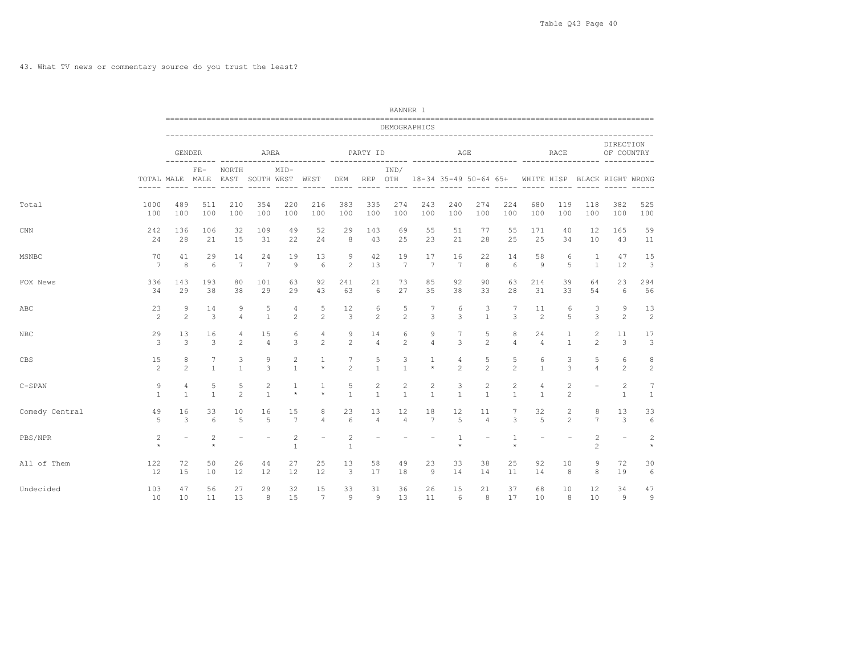|                |                           |                                |                                    |                          |                                |                            |                          |                                |                                                                                                                                                                                                                                                                                                                                                                                                         | BANNER 1          |                                       |                         |                                |                                |                                                                         |                          |                                |                                                                                                                                                                                                                                                                                                                                                                                                                                                                            |                           |
|----------------|---------------------------|--------------------------------|------------------------------------|--------------------------|--------------------------------|----------------------------|--------------------------|--------------------------------|---------------------------------------------------------------------------------------------------------------------------------------------------------------------------------------------------------------------------------------------------------------------------------------------------------------------------------------------------------------------------------------------------------|-------------------|---------------------------------------|-------------------------|--------------------------------|--------------------------------|-------------------------------------------------------------------------|--------------------------|--------------------------------|----------------------------------------------------------------------------------------------------------------------------------------------------------------------------------------------------------------------------------------------------------------------------------------------------------------------------------------------------------------------------------------------------------------------------------------------------------------------------|---------------------------|
|                |                           |                                |                                    |                          |                                |                            |                          |                                |                                                                                                                                                                                                                                                                                                                                                                                                         | DEMOGRAPHICS      |                                       |                         |                                |                                |                                                                         |                          |                                |                                                                                                                                                                                                                                                                                                                                                                                                                                                                            |                           |
|                |                           | GENDER                         |                                    |                          | AREA                           |                            |                          |                                | PARTY ID                                                                                                                                                                                                                                                                                                                                                                                                |                   |                                       | AGE                     |                                |                                |                                                                         | RACE                     |                                | DIRECTION<br>OF COUNTRY                                                                                                                                                                                                                                                                                                                                                                                                                                                    |                           |
|                |                           | TOTAL MALE MALE                | $FE-$                              | NORTH                    | EAST SOUTH WEST WEST           | $MID-$                     |                          | DEM                            | REP OTH<br>$\frac{1}{2} \frac{1}{2} \frac{1}{2} \frac{1}{2} \frac{1}{2} \frac{1}{2} \frac{1}{2} \frac{1}{2} \frac{1}{2} \frac{1}{2} \frac{1}{2} \frac{1}{2} \frac{1}{2} \frac{1}{2} \frac{1}{2} \frac{1}{2} \frac{1}{2} \frac{1}{2} \frac{1}{2} \frac{1}{2} \frac{1}{2} \frac{1}{2} \frac{1}{2} \frac{1}{2} \frac{1}{2} \frac{1}{2} \frac{1}{2} \frac{1}{2} \frac{1}{2} \frac{1}{2} \frac{1}{2} \frac{$ | IND/              | ----- -----                           |                         |                                |                                | 18-34 35-49 50-64 65+ WHITE HISP BLACK RIGHT WRONG<br>----- ----- ----- |                          | ------ -----                   | $\frac{1}{2} \left( \frac{1}{2} \right) \left( \frac{1}{2} \right) \left( \frac{1}{2} \right) \left( \frac{1}{2} \right) \left( \frac{1}{2} \right) \left( \frac{1}{2} \right) \left( \frac{1}{2} \right) \left( \frac{1}{2} \right) \left( \frac{1}{2} \right) \left( \frac{1}{2} \right) \left( \frac{1}{2} \right) \left( \frac{1}{2} \right) \left( \frac{1}{2} \right) \left( \frac{1}{2} \right) \left( \frac{1}{2} \right) \left( \frac{1}{2} \right) \left( \frac$ | $- - - - - -$             |
| Total          | 1000                      | 489                            | 511                                | 210                      | 354                            | 220                        | 216                      | 383                            | 335                                                                                                                                                                                                                                                                                                                                                                                                     | 274               | 243                                   | 240                     | 274                            | 224                            | 680                                                                     | 119                      | 118                            | 382                                                                                                                                                                                                                                                                                                                                                                                                                                                                        | 525                       |
|                | 100                       | 100                            | 100                                | 100                      | 100                            | 100                        | 100                      | 100                            | 100                                                                                                                                                                                                                                                                                                                                                                                                     | 100               | 100                                   | 100                     | 100                            | 100                            | 100                                                                     | 100                      | 100                            | 100                                                                                                                                                                                                                                                                                                                                                                                                                                                                        | 100                       |
| $\text{CNN}$   | 242                       | 136                            | 106                                | 32                       | 109                            | 49                         | 52                       | 29                             | 143                                                                                                                                                                                                                                                                                                                                                                                                     | 69                | 55                                    | 51                      | 77                             | 55                             | 171                                                                     | 40                       | 12                             | 165                                                                                                                                                                                                                                                                                                                                                                                                                                                                        | 59                        |
|                | 24                        | 28                             | 21                                 | 15                       | 31                             | 22                         | 24                       | 8                              | 43                                                                                                                                                                                                                                                                                                                                                                                                      | 25                | 23                                    | 21                      | 28                             | 25                             | 25                                                                      | 34                       | 10                             | 43                                                                                                                                                                                                                                                                                                                                                                                                                                                                         | 11                        |
| MSNBC          | 70                        | 41                             | 29                                 | 14                       | 24                             | 19                         | 13                       | 9                              | 42                                                                                                                                                                                                                                                                                                                                                                                                      | 19                | 17                                    | 16                      | 22                             | 14                             | 58                                                                      | 6                        | 1                              | 47                                                                                                                                                                                                                                                                                                                                                                                                                                                                         | 15                        |
|                | 7                         | 8                              | 6                                  | 7                        | $7\phantom{.0}$                | $\overline{9}$             | 6                        | $\mathbf{2}$                   | 13                                                                                                                                                                                                                                                                                                                                                                                                      | $7\phantom{.0}$   | $7\phantom{.0}$                       | 7                       | 8                              | 6                              | 9                                                                       | 5                        | $\mathbf{1}$                   | 12                                                                                                                                                                                                                                                                                                                                                                                                                                                                         | 3                         |
| FOX News       | 336                       | 143                            | 193                                | 80                       | 101                            | 63                         | 92                       | 241                            | 21                                                                                                                                                                                                                                                                                                                                                                                                      | 73                | 85                                    | 92                      | 90                             | 63                             | 214                                                                     | 39                       | 64                             | 23                                                                                                                                                                                                                                                                                                                                                                                                                                                                         | 294                       |
|                | 34                        | 29                             | 38                                 | 38                       | 29                             | 29                         | 43                       | 63                             | 6                                                                                                                                                                                                                                                                                                                                                                                                       | 27                | 35                                    | 38                      | 33                             | 28                             | 31                                                                      | 33                       | 54                             | 6                                                                                                                                                                                                                                                                                                                                                                                                                                                                          | 56                        |
| ABC            | 23                        | 9                              | 14                                 | 9                        | 5                              | 4                          | 5                        | 12                             | 6                                                                                                                                                                                                                                                                                                                                                                                                       | 5                 | 7                                     | 6                       | 3                              | 7                              | 11                                                                      | 6                        | 3                              | 9                                                                                                                                                                                                                                                                                                                                                                                                                                                                          | 13                        |
|                | 2                         | 2                              | 3                                  | $\overline{4}$           | $\mathbf{1}$                   | $\overline{2}$             | $\overline{c}$           | 3                              | $\overline{c}$                                                                                                                                                                                                                                                                                                                                                                                          | $\overline{c}$    | 3                                     | 3                       | $\mathbf{1}$                   | 3                              | 2                                                                       | 5                        | 3                              | $\overline{2}$                                                                                                                                                                                                                                                                                                                                                                                                                                                             | 2                         |
| NBC            | 29                        | 13                             | 16                                 | 4                        | 15                             | 6                          | 4                        | 9                              | 14                                                                                                                                                                                                                                                                                                                                                                                                      | 6                 | 9                                     | $7\phantom{.0}$         | 5                              | 8                              | 24                                                                      | $\mathbf{1}$             | 2                              | 11                                                                                                                                                                                                                                                                                                                                                                                                                                                                         | 17                        |
|                | 3                         | 3                              | 3                                  | 2                        | $\overline{4}$                 | 3                          | 2                        | $\overline{c}$                 | $\overline{4}$                                                                                                                                                                                                                                                                                                                                                                                          | $\overline{c}$    | $\overline{4}$                        | 3                       | $\overline{c}$                 | 4                              | $\overline{4}$                                                          | $\mathbf{1}$             | $\overline{2}$                 | 3                                                                                                                                                                                                                                                                                                                                                                                                                                                                          | 3                         |
| CBS            | 15                        | 8                              | 7                                  | 3                        | 9                              | 2                          | $\mathbf{1}$             | 7                              | 5                                                                                                                                                                                                                                                                                                                                                                                                       | 3                 | $\mathbf{1}$                          | 4                       | 5                              | 5                              | 6                                                                       | 3                        | 5                              | 6                                                                                                                                                                                                                                                                                                                                                                                                                                                                          | 8                         |
|                | 2                         | 2                              | $\mathbf{1}$                       | $\mathbf{1}$             | 3                              | $\mathbf{1}$               | $\star$                  | $\overline{c}$                 | $\mathbf{1}$                                                                                                                                                                                                                                                                                                                                                                                            | $\mathbf{1}$      | $\star$                               | $\overline{2}$          | $\overline{c}$                 | 2                              | $\mathbf{1}$                                                            | 3                        | $\overline{4}$                 | $\overline{2}$                                                                                                                                                                                                                                                                                                                                                                                                                                                             | 2                         |
| $C-SPAN$       | 9<br>$\mathbf{1}$         | $\overline{4}$<br>$\mathbf{1}$ | 5<br>$\mathbf{1}$                  | 5<br>2                   | $\overline{c}$<br>$\mathbf{1}$ | $\mathbf{1}$<br>$\star$    | $\mathbf{1}$<br>$\star$  | 5<br>$\mathbf{1}$              | $\overline{c}$<br>$\overline{1}$                                                                                                                                                                                                                                                                                                                                                                        | 2<br>$\mathbf{1}$ | $\mathbf{2}^{\prime}$<br>$\mathbf{1}$ | 3<br>$\mathbf{1}$       | $\overline{c}$<br>$\mathbf{1}$ | $\overline{c}$<br>$\mathbf{1}$ | 4<br>$\mathbf{1}$                                                       | 2<br>2                   | $\overline{\phantom{a}}$       | 2<br>$\mathbf{1}$                                                                                                                                                                                                                                                                                                                                                                                                                                                          | 7<br>$\mathbf{1}$         |
| Comedy Central | 49                        | 16                             | 33                                 | 10                       | 16                             | 15                         | 8                        | 23                             | 13                                                                                                                                                                                                                                                                                                                                                                                                      | 12                | 18                                    | 12                      | 11                             | 7                              | 32                                                                      | 2                        | 8                              | 13                                                                                                                                                                                                                                                                                                                                                                                                                                                                         | 33                        |
|                | .5                        | 3                              | 6                                  | 5                        | 5                              | $7\phantom{.0}$            | $\overline{4}$           | 6                              | $\overline{4}$                                                                                                                                                                                                                                                                                                                                                                                          | $\overline{4}$    | $7\phantom{.0}$                       | 5                       | $\overline{4}$                 | 3                              | 5                                                                       | $\mathfrak{D}$           | $\overline{7}$                 | 3                                                                                                                                                                                                                                                                                                                                                                                                                                                                          | 6                         |
| PBS/NPR        | $\overline{c}$<br>$\star$ | $\overline{\phantom{0}}$       | $\overline{\mathbf{c}}$<br>$\star$ | $\overline{\phantom{a}}$ | $\overline{\phantom{a}}$       | $\sqrt{2}$<br>$\mathbf{1}$ | $\overline{\phantom{m}}$ | $\overline{c}$<br>$\mathbf{1}$ |                                                                                                                                                                                                                                                                                                                                                                                                         |                   |                                       | $\mathbf{1}$<br>$\star$ | $\overline{\phantom{a}}$       | $\mathbf{1}$<br>$\star$        | $\overline{\phantom{0}}$                                                | $\overline{\phantom{m}}$ | $\mathbf{2}$<br>$\overline{c}$ | $\overline{\phantom{a}}$                                                                                                                                                                                                                                                                                                                                                                                                                                                   | $\overline{c}$<br>$\star$ |
| All of Them    | 122                       | 72                             | 50                                 | 26                       | 44                             | 27                         | 25                       | 13                             | 58                                                                                                                                                                                                                                                                                                                                                                                                      | 49                | 23                                    | 33                      | 38                             | 25                             | 92                                                                      | 10                       | 9                              | 72                                                                                                                                                                                                                                                                                                                                                                                                                                                                         | 30                        |
|                | 12                        | 15                             | 10                                 | 12                       | 12                             | 12                         | 12                       | 3                              | 17                                                                                                                                                                                                                                                                                                                                                                                                      | 18                | 9                                     | 14                      | 14                             | 11                             | 14                                                                      | 8                        | 8                              | 19                                                                                                                                                                                                                                                                                                                                                                                                                                                                         | 6                         |
| Undecided      | 103                       | 47                             | 56                                 | 27                       | 29                             | 32                         | 15                       | 33                             | 31                                                                                                                                                                                                                                                                                                                                                                                                      | 36                | 26                                    | 15                      | 21                             | 37                             | 68                                                                      | 10                       | 12                             | 34                                                                                                                                                                                                                                                                                                                                                                                                                                                                         | 47                        |
|                | 10                        | 10                             | 11                                 | 13                       | 8                              | 15                         | 7                        | 9                              | $\overline{9}$                                                                                                                                                                                                                                                                                                                                                                                          | 13                | 11                                    | 6                       | 8                              | 17                             | 10                                                                      | 8                        | 10                             | 9                                                                                                                                                                                                                                                                                                                                                                                                                                                                          | 9                         |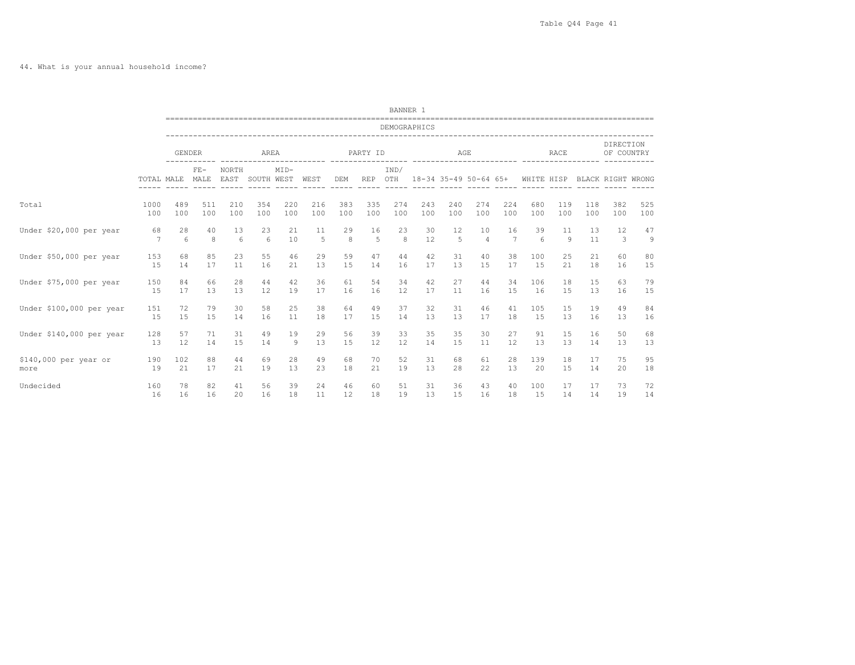44. What is your annual household income?

|                          |            |               |               |                 |                 |        |                    |     |          | BANNER 1           |                       |     |                |                 |                 |                |     |                         |     |
|--------------------------|------------|---------------|---------------|-----------------|-----------------|--------|--------------------|-----|----------|--------------------|-----------------------|-----|----------------|-----------------|-----------------|----------------|-----|-------------------------|-----|
|                          |            |               |               |                 |                 |        |                    |     |          | DEMOGRAPHICS       |                       |     |                |                 |                 |                |     |                         |     |
|                          |            | <b>GENDER</b> |               |                 | AREA            |        | ---------- ------- |     | PARTY ID | ------- ---------- |                       | AGE |                | ---------- ---- |                 | RACE           |     | DIRECTION<br>OF COUNTRY |     |
|                          | TOTAL MALE |               | $FE-$<br>MALE | NORTH<br>EAST   | SOUTH WEST WEST | $MID-$ |                    | DEM | REP OTH  | IND/               | 18-34 35-49 50-64 65+ |     |                |                 | WHITE HISP      |                |     | BLACK RIGHT WRONG       |     |
| Total                    | 1000       | 489           | 511           | 210             | 354             | 220    | 216                | 383 | 335      | 274                | 243                   | 240 | 274            | 224             | 680             | 119            | 118 | 382                     | 525 |
|                          | 100        | 100           | 100           | 100             | 100             | 100    | 100                | 100 | 100      | 100                | 100                   | 100 | 100            | 100             | 100             | 100            | 100 | 100                     | 100 |
| Under \$20,000 per year  | 68         | 28            | 40            | 13              | 23              | 21     | 11                 | 29  | 16       | 23                 | 30                    | 12  | 10             | 16              | 39              | 11             | 13  | 12                      | 47  |
|                          | 7          | 6             | 8             | $6\overline{6}$ | 6               | 10     | 5                  | 8   | 5        | 8                  | 12                    | 5   | $\overline{4}$ | 7               | $6\overline{6}$ | $\overline{9}$ | 11  | 3                       | 9   |
| Under \$50,000 per year  | 153        | 68            | 85            | 23              | 55              | 46     | 29                 | 59  | 47       | 44                 | 42                    | 31  | 40             | 38              | 100             | 25             | 21  | 60                      | 80  |
|                          | 15         | 14            | 17            | 11              | 16              | 21     | 13                 | 15  | 14       | 16                 | 17                    | 13  | 15             | 17              | 15              | 21             | 18  | 16                      | 15  |
| Under \$75,000 per year  | 150        | 84            | 66            | 28              | 44              | 42     | 36                 | 61  | 54       | 34                 | 42                    | 27  | 44             | 34              | 106             | 18             | 15  | 63                      | 79  |
|                          | 15         | 17            | 13            | 13              | 12              | 19     | 17                 | 16  | 16       | 12                 | 17                    | 11  | 16             | 15              | 16              | 15             | 13  | 16                      | 15  |
| Under \$100,000 per year | 151        | 72            | 79            | 30              | 58              | 25     | 38                 | 64  | 49       | 37                 | 32                    | 31  | 46             | 41              | 105             | 15             | 19  | 49                      | 84  |
|                          | 15         | 15            | 15            | 14              | 16              | 11     | 18                 | 17  | 15       | 14                 | 13                    | 13  | 17             | 18              | 15              | 13             | 16  | 13                      | 16  |
| Under \$140,000 per year | 128        | 57            | 71            | 31              | 49              | 19     | 29                 | 56  | 39       | 33                 | 35                    | 35  | 30             | 27              | 91              | 15             | 16  | 50                      | 68  |
|                          | 13         | 12            | 14            | 15              | 14              | 9      | 13                 | 15  | 12       | 12                 | 14                    | 15  | 11             | 12              | 13              | 13             | 14  | 13                      | 13  |
| \$140,000 per year or    | 190        | 102           | 88            | 44              | 69              | 28     | 49                 | 68  | 70       | 52                 | 31                    | 68  | 61             | 28              | 139             | 18             | 17  | 75                      | 95  |
| more                     | 19         | 21            | 17            | 21              | 19              | 13     | 23                 | 18  | 21       | 19                 | 13                    | 28  | 22             | 13              | 20              | 15             | 14  | 20                      | 18  |
| Undecided                | 160        | 78            | 82            | 41              | 56              | 39     | 24                 | 46  | 60       | 51                 | 31                    | 36  | 43             | 40              | 100             | 17             | 17  | 73                      | 72  |
|                          | 16         | 16            | 16            | 20              | 16              | 18     | 11                 | 12  | 18       | 19                 | 13                    | 15  | 16             | 18              | 15              | 14             | 14  | 19                      | 14  |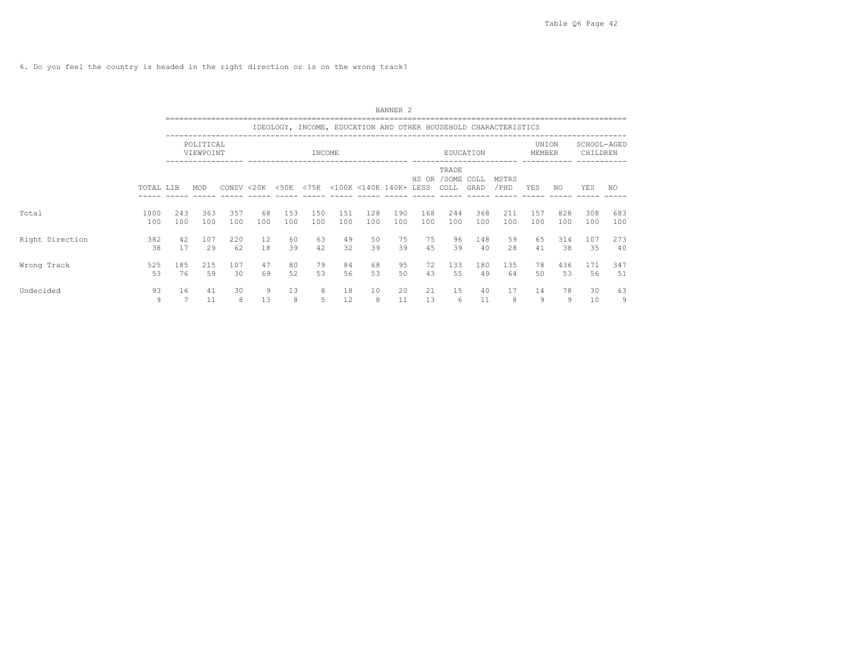6. Do you feel the country is headed in the right direction or is on the wrong track?

|                 |             |            |                        |            |           |                   |            |            |                             | BANNER <sub>2</sub> |            |                                    |            |                                                                 |                 |            |                         |            |
|-----------------|-------------|------------|------------------------|------------|-----------|-------------------|------------|------------|-----------------------------|---------------------|------------|------------------------------------|------------|-----------------------------------------------------------------|-----------------|------------|-------------------------|------------|
|                 |             |            |                        |            |           |                   |            |            |                             |                     |            |                                    |            | IDEOLOGY, INCOME, EDUCATION AND OTHER HOUSEHOLD CHARACTERISTICS |                 |            |                         |            |
|                 |             |            | POLITICAL<br>VIEWPOINT |            |           |                   | INCOME     |            |                             |                     |            |                                    | EDUCATION  |                                                                 | UNION<br>MEMBER |            | SCHOOL-AGED<br>CHILDREN |            |
|                 | TOTAL LIB   |            | MOD                    |            |           | CONSV < 20K < 50K |            |            | <75K <100K <140K 140K+ LESS |                     |            | TRADE<br>HS OR / SOME COLL<br>COLL | GRAD       | MSTRS<br>/ PHD                                                  | <b>YES</b>      | NO.        | YES                     | NO.        |
| Total           | 1000<br>100 | 243<br>100 | 363<br>100             | 357<br>100 | 68<br>100 | 153<br>100        | 150<br>100 | 151<br>100 | 128<br>100                  | 190<br>100          | 168<br>100 | 244<br>100                         | 368<br>100 | 211<br>100                                                      | 157<br>100      | 828<br>100 | 308<br>100              | 683<br>100 |
| Right Direction | 382<br>38   | 42<br>17   | 107<br>29              | 220<br>62  | 12<br>18  | 60<br>39          | 63<br>42   | 49<br>32   | 50<br>39                    | 75<br>39            | 75<br>45   | 96<br>39                           | 148<br>40  | 59<br>28                                                        | 65<br>41        | 314<br>38  | 107<br>35               | 273<br>40  |
| Wrong Track     | 525<br>53   | 185<br>76  | 215<br>59              | 107<br>30  | 47<br>69  | 80<br>52          | 79<br>53   | 84<br>56   | 68<br>53                    | 95<br>50            | 72<br>43   | 133<br>55                          | 180<br>49  | 135<br>64                                                       | 78<br>50        | 436<br>53  | 171<br>56               | 347<br>51  |
| Undecided       | 93<br>9     | 16         | 41<br>11               | 30<br>8    | 9<br>13   | 13<br>8           | 8<br>5     | 18<br>12   | 10<br>8                     | 20<br>11            | 21<br>13   | 15<br>6                            | 40<br>11   | 17<br>8                                                         | 14<br>9         | 78<br>9    | 30<br>10                | 63<br>9    |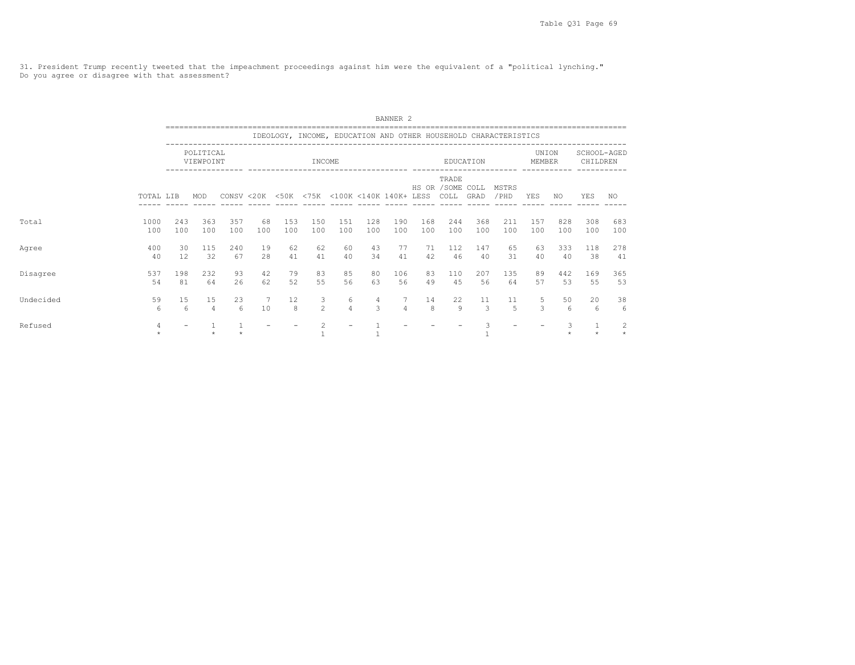31. President Trump recently tweeted that the impeachment proceedings against him were the equivalent of a "political lynching." Do you agree or disagree with that assessment?

|           |             |            |                        |            |           |                                             |                     |                     |                    | BANNER <sub>2</sub> |            |                                    |                     |                                                                 |                 |            |                         |                |
|-----------|-------------|------------|------------------------|------------|-----------|---------------------------------------------|---------------------|---------------------|--------------------|---------------------|------------|------------------------------------|---------------------|-----------------------------------------------------------------|-----------------|------------|-------------------------|----------------|
|           |             |            |                        |            |           |                                             |                     |                     |                    |                     |            |                                    |                     | IDEOLOGY, INCOME, EDUCATION AND OTHER HOUSEHOLD CHARACTERISTICS |                 |            |                         |                |
|           |             |            | POLITICAL<br>VIEWPOINT |            |           |                                             | INCOME              |                     |                    |                     |            |                                    | EDUCATION           |                                                                 | UNION<br>MEMBER |            | SCHOOL-AGED<br>CHILDREN |                |
|           | TOTAL LIB   |            | MOD                    |            |           | CONSV <20K <50K <75K <100K <140K 140K+ LESS |                     |                     |                    |                     |            | TRADE<br>HS OR / SOME COLL<br>COLL | GRAD                | MSTRS<br>/PHD                                                   | YES             | NO.        | YES                     | NO.            |
| Total     | 1000<br>100 | 243<br>100 | 363<br>100             | 357<br>100 | 68<br>100 | 153<br>100                                  | 150<br>100          | 151<br>100          | 128<br>100         | 190<br>100          | 168<br>100 | 244<br>100                         | 368<br>100          | 211<br>100                                                      | 157<br>100      | 828<br>100 | 308<br>100              | 683<br>100     |
| Agree     | 400<br>40   | 30<br>12   | 115<br>32              | 240<br>67  | 19<br>28  | 62<br>41                                    | 62<br>41            | 60<br>40            | 43<br>34           | 77<br>41            | 71<br>42   | 112<br>46                          | 147<br>40           | 65<br>31                                                        | 63<br>40        | 333<br>40  | 118<br>38               | 278<br>41      |
| Disagree  | 537<br>54   | 198<br>81  | 232<br>64              | 93<br>26   | 42<br>62  | 79<br>52                                    | 83<br>55            | 85<br>56            | 80<br>63           | 106<br>56           | 83<br>49   | 110<br>45                          | 207<br>56           | 135<br>64                                                       | 89<br>57        | 442<br>53  | 169<br>55               | 365<br>53      |
| Undecided | 59<br>6     | 15<br>6    | 15<br>$\overline{4}$   | 23<br>6    | 7<br>10   | 12<br>8                                     | 3<br>$\overline{2}$ | 6<br>$\overline{a}$ | 4<br>$\mathcal{L}$ | 7<br>$\overline{4}$ | 14<br>8    | 22<br>9                            | 11<br>$\mathcal{E}$ | 11<br>$\overline{5}$                                            | 5<br>3          | 50<br>6    | 20<br>6                 | 38<br>6        |
| Refused   | 4           |            |                        |            |           |                                             | $\overline{c}$      |                     |                    |                     |            |                                    | 3                   |                                                                 |                 | 3          |                         | $\overline{c}$ |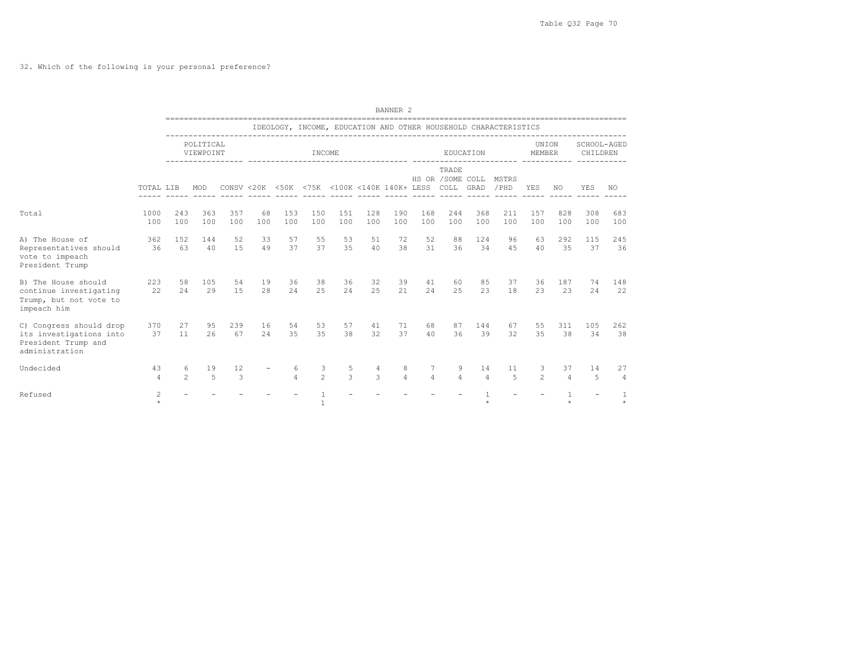32. Which of the following is your personal preference?

|                                                                                             |                      |                     |                        |            |           |               |                     |                                                                        |                    | BANNER <sub>2</sub> |                     |                           |                |                                                                 |                     |                      |                         |            |
|---------------------------------------------------------------------------------------------|----------------------|---------------------|------------------------|------------|-----------|---------------|---------------------|------------------------------------------------------------------------|--------------------|---------------------|---------------------|---------------------------|----------------|-----------------------------------------------------------------|---------------------|----------------------|-------------------------|------------|
|                                                                                             |                      |                     |                        |            |           |               |                     |                                                                        |                    |                     |                     |                           |                | IDEOLOGY, INCOME, EDUCATION AND OTHER HOUSEHOLD CHARACTERISTICS |                     |                      |                         |            |
|                                                                                             |                      |                     | POLITICAL<br>VIEWPOINT |            |           |               | INCOME              |                                                                        |                    |                     |                     |                           | EDUCATION      |                                                                 | UNION<br>MEMBER     |                      | SCHOOL-AGED<br>CHILDREN |            |
|                                                                                             | TOTAL LIB            |                     | MOD                    |            |           |               |                     | CONSV <20K <50K <75K <100K <140K 140K+ LESS COLL GRAD<br>$- - - - - -$ |                    | $- - - - - -$       |                     | TRADE<br>HS OR /SOME COLL |                | MSTRS<br>/PHD                                                   | YES                 | NO.                  | YES                     | NO.        |
| Total                                                                                       | 1000<br>100          | 243<br>100          | 363<br>100             | 357<br>100 | 68<br>100 | 153<br>100    | 150<br>100          | 151<br>100                                                             | 128<br>100         | 190<br>100          | 168<br>100          | 244<br>100                | 368<br>100     | 211<br>100                                                      | 157<br>100          | 828<br>100           | 308<br>100              | 683<br>100 |
| A) The House of<br>Representatives should<br>vote to impeach<br>President Trump             | 362<br>36            | 152<br>63           | 144<br>40              | 52<br>1.5  | 33<br>49  | 57<br>37      | 55<br>37            | 53<br>35                                                               | 51<br>40           | 72<br>38            | 52<br>31            | 88<br>36                  | 124<br>34      | 96<br>4.5                                                       | 63<br>40            | 292<br>35            | 115<br>37               | 245<br>36  |
| B) The House should<br>continue investigating<br>Trump, but not vote to<br>impeach him      | 223<br>22            | 58<br>24            | 105<br>29              | 54<br>15   | 19<br>28  | 36<br>24      | 38<br>25            | 36<br>24                                                               | 32<br>25           | 39<br>21            | 41<br>24            | 60<br>25                  | 85<br>23       | 37<br>18                                                        | 36<br>23            | 187<br>23            | 74<br>24                | 148<br>22  |
| C) Congress should drop<br>its investigations into<br>President Trump and<br>administration | 370<br>37            | 27<br>11            | 95<br>26               | 239<br>67  | 16<br>2.4 | 54<br>35      | 53<br>35            | 57<br>38                                                               | 41<br>32           | 71<br>37            | 68<br>40            | 87<br>36                  | 144<br>39      | 67<br>32                                                        | 55<br>35            | 311<br>38            | 105<br>34               | 262<br>38  |
| Undecided                                                                                   | 43<br>$\overline{4}$ | 6<br>$\mathfrak{D}$ | 19<br>$\overline{5}$   | 12<br>3    |           | 6<br>$\Delta$ | 3<br>$\mathfrak{D}$ | 5<br>$\mathcal{L}$                                                     | 4<br>$\mathcal{L}$ | 8<br>$\overline{4}$ | 7<br>$\overline{4}$ | 9<br>$\Delta$             | 14<br>$\Delta$ | 11<br>5                                                         | 3<br>$\mathfrak{D}$ | 37<br>$\overline{4}$ | 14<br>5                 | 27<br>4    |
| Refused                                                                                     | 2<br>$\star$         |                     |                        |            |           |               |                     |                                                                        |                    |                     |                     |                           |                |                                                                 |                     |                      |                         |            |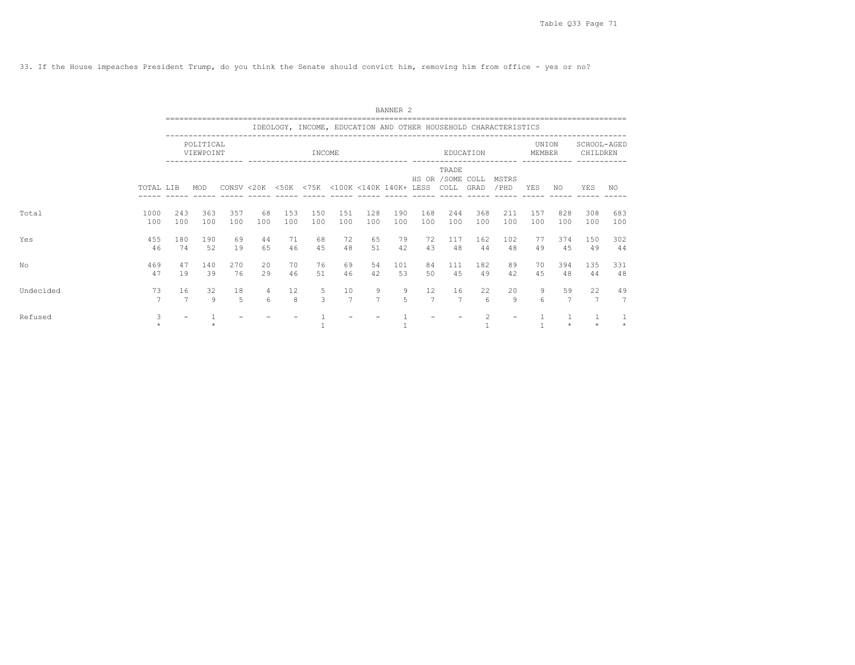33. If the House impeaches President Trump, do you think the Senate should convict him, removing him from office - yes or no?

|           |             |                      |                        |            |           |                                             |            |                      |            | BANNER 2   |                      |                                    |                |                                                                 |                 |            |                         |                      |
|-----------|-------------|----------------------|------------------------|------------|-----------|---------------------------------------------|------------|----------------------|------------|------------|----------------------|------------------------------------|----------------|-----------------------------------------------------------------|-----------------|------------|-------------------------|----------------------|
|           |             |                      |                        |            |           |                                             |            |                      |            |            |                      |                                    |                | IDEOLOGY, INCOME, EDUCATION AND OTHER HOUSEHOLD CHARACTERISTICS |                 |            |                         |                      |
|           |             |                      | POLITICAL<br>VIEWPOINT |            |           |                                             | INCOME     |                      |            |            |                      |                                    | EDUCATION      |                                                                 | UNION<br>MEMBER |            | SCHOOL-AGED<br>CHILDREN |                      |
|           | TOTAL LIB   |                      | MOD                    |            |           | CONSV <20K <50K <75K <100K <140K 140K+ LESS |            |                      |            |            |                      | TRADE<br>HS OR / SOME COLL<br>COLL | GRAD           | MSTRS<br>/PHD                                                   | YES             | NO.        | <b>YES</b>              | NO.                  |
| Total     | 1000<br>100 | 243<br>100           | 363<br>100             | 357<br>100 | 68<br>100 | 153<br>100                                  | 150<br>100 | 151<br>100           | 128<br>100 | 190<br>100 | 168<br>100           | 244<br>100                         | 368<br>100     | 211<br>100                                                      | 157<br>100      | 828<br>100 | 308<br>100              | 683<br>100           |
| Yes       | 455<br>46   | 180<br>74            | 190<br>52              | 69<br>19   | 44<br>65  | 71<br>46                                    | 68<br>45   | 72<br>48             | 65<br>51   | 79<br>42   | 72<br>43             | 117<br>48                          | 162<br>44      | 102<br>48                                                       | 77<br>49        | 374<br>4.5 | 150<br>49               | 302<br>44            |
| No        | 469<br>47   | 47<br>19             | 140<br>39              | 270<br>76  | 20<br>29  | 70<br>46                                    | 76<br>51   | 69<br>46             | 54<br>42   | 101<br>53  | 84<br>50             | 111<br>45                          | 182<br>49      | 89<br>42                                                        | 70<br>45        | 394<br>48  | 135<br>44               | 331<br>48            |
| Undecided | 73          | 16<br>$\overline{7}$ | 32<br>Q                | 18<br>5    | 4<br>6    | 12<br>8                                     | 5<br>3     | 10<br>$\overline{7}$ | 9<br>7     | 9<br>5     | 12<br>$\overline{7}$ | 16<br>$\overline{7}$               | 22<br>6        | 20<br>9                                                         | 9<br>6          | 59<br>7    | 22                      | 49<br>$\overline{7}$ |
| Refused   | 3           |                      |                        |            |           |                                             |            |                      |            |            |                      |                                    | $\mathfrak{D}$ |                                                                 |                 | $\star$    |                         | 1<br>$\star$         |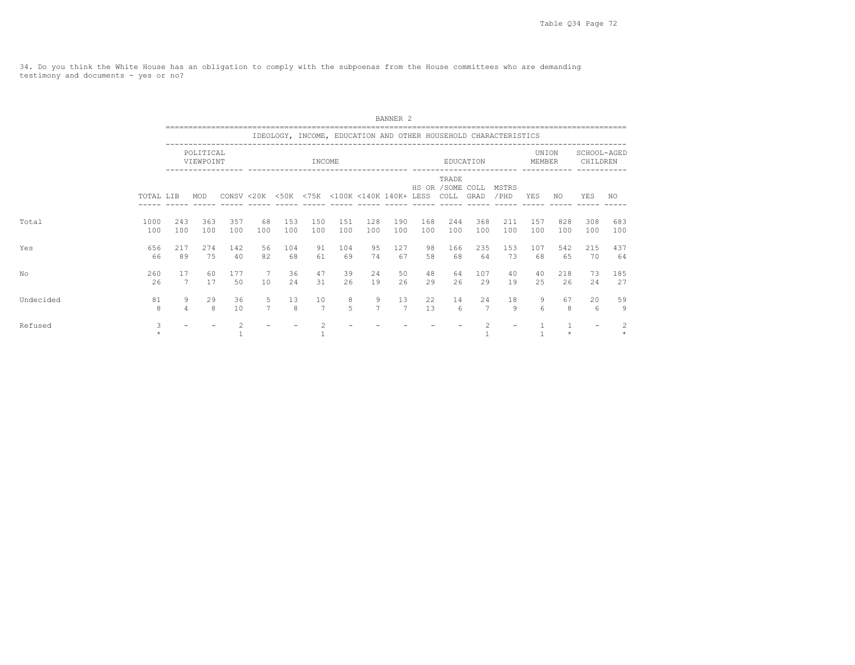34. Do you think the White House has an obligation to comply with the subpoenas from the House committees who are demanding testimony and documents - yes or no?

|           |             |                      |                        |            |                       |                     |                      |                                             |                     | BANNER <sub>2</sub>  |            |                                    |                      |                                                                 |                 |            |                         |                           |
|-----------|-------------|----------------------|------------------------|------------|-----------------------|---------------------|----------------------|---------------------------------------------|---------------------|----------------------|------------|------------------------------------|----------------------|-----------------------------------------------------------------|-----------------|------------|-------------------------|---------------------------|
|           |             |                      |                        |            |                       |                     |                      |                                             |                     |                      |            |                                    |                      | IDEOLOGY, INCOME, EDUCATION AND OTHER HOUSEHOLD CHARACTERISTICS |                 |            |                         |                           |
|           |             |                      | POLITICAL<br>VIEWPOINT |            |                       |                     | INCOME               |                                             |                     |                      |            |                                    | EDUCATION            |                                                                 | UNION<br>MEMBER |            | SCHOOL-AGED<br>CHILDREN |                           |
|           | TOTAL LIB   |                      | MOD                    |            |                       |                     |                      | CONSV <20K <50K <75K <100K <140K 140K+ LESS |                     |                      |            | TRADE<br>HS OR / SOME COLL<br>COLL | GRAD                 | MSTRS<br>/ PHD                                                  | YES             | NO.        | YES                     | NO                        |
| Total     | 1000<br>100 | 243<br>100           | 363<br>100             | 357<br>100 | 68<br>100             | 153<br>100          | 150<br>100           | 151<br>100                                  | 128<br>100          | 190<br>100           | 168<br>100 | 244<br>100                         | 368<br>100           | 211<br>100                                                      | 157<br>100      | 828<br>100 | 308<br>100              | 683<br>100                |
| Yes       | 656<br>66   | 217<br>89            | 274<br>75              | 142<br>40  | 56<br>82              | 104<br>68           | 91<br>61             | 104<br>69                                   | 95<br>74            | 127<br>67            | 98<br>58   | 166<br>68                          | 235<br>64            | 153<br>73                                                       | 107<br>68       | 542<br>65  | 215<br>70               | 437<br>64                 |
| No        | 260<br>26   | 17<br>$\overline{7}$ | 60<br>17               | 177<br>50  | $7\phantom{.0}$<br>10 | 36<br>24            | 47<br>31             | 39<br>26                                    | 24<br>19            | 50<br>26             | 48<br>29   | 64<br>26                           | 107<br>29            | 40<br>19                                                        | 40<br>25        | 218<br>26  | 73<br>24                | 185<br>27                 |
| Undecided | 81<br>8     | 9<br>$\overline{4}$  | 29<br>8                | 36<br>10   | 5<br>$\overline{7}$   | 13<br>$\mathcal{R}$ | 10<br>$\overline{7}$ | 8<br>5                                      | 9<br>$\overline{7}$ | 13<br>$\overline{7}$ | 22<br>13   | 14<br>6                            | 24<br>$\overline{7}$ | 18<br>Q                                                         | 9<br>$\epsilon$ | 67<br>8    | 20<br>6                 | 59<br>9                   |
| Refused   | 3           |                      |                        |            |                       |                     |                      |                                             |                     |                      |            |                                    | $\mathfrak{D}$       |                                                                 |                 | $\star$    |                         | $\overline{c}$<br>$\star$ |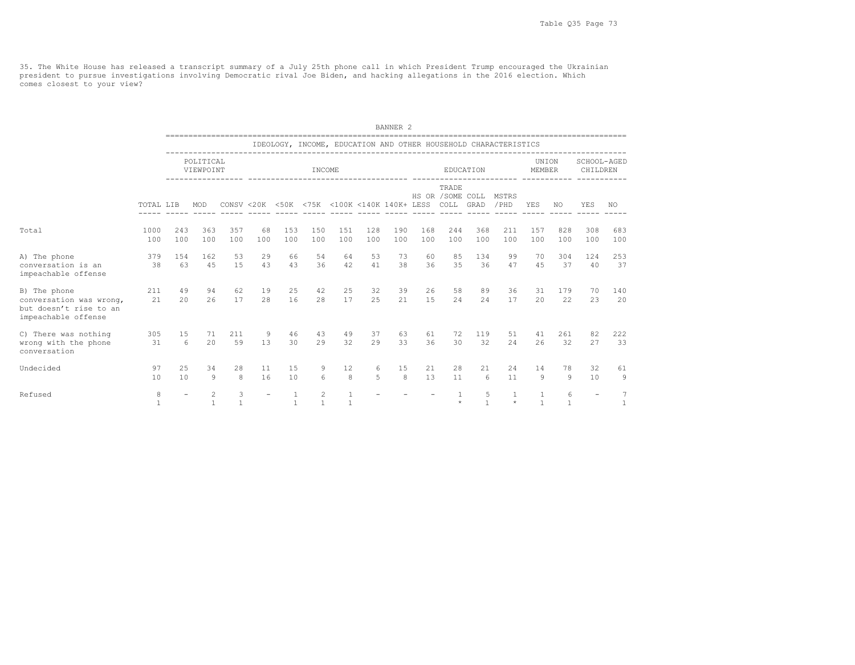35. The White House has released a transcript summary of a July 25th phone call in which President Trump encouraged the Ukrainian<br>president to pursue investigations involving Democratic rival Joe Biden, and hacking allegat comes closest to your view?

|                                                                                          |             |            |                        |                   |                          |                    |                 |                                                       |                     | BANNER <sub>2</sub> |                                     |                            |                        |                                                                 |                 |                   |                          |                     |
|------------------------------------------------------------------------------------------|-------------|------------|------------------------|-------------------|--------------------------|--------------------|-----------------|-------------------------------------------------------|---------------------|---------------------|-------------------------------------|----------------------------|------------------------|-----------------------------------------------------------------|-----------------|-------------------|--------------------------|---------------------|
|                                                                                          |             |            |                        |                   |                          |                    |                 |                                                       |                     |                     | =================================== |                            |                        | IDEOLOGY, INCOME, EDUCATION AND OTHER HOUSEHOLD CHARACTERISTICS |                 |                   |                          |                     |
|                                                                                          |             |            | POLITICAL<br>VIEWPOINT |                   |                          |                    | INCOME          |                                                       |                     |                     |                                     |                            | EDUCATION              |                                                                 | UNION<br>MEMBER |                   | SCHOOL-AGED<br>CHILDREN  |                     |
|                                                                                          | TOTAL LIB   |            | <b>MOD</b>             |                   |                          |                    |                 | CONSV <20K <50K <75K <100K <140K 140K+ LESS COLL GRAD | ------------        |                     | $- - - - - -$                       | TRADE<br>HS OR / SOME COLL |                        | MSTRS<br>/PHD                                                   | <b>YES</b>      | NO.               | <b>YES</b>               | NO.                 |
| Total                                                                                    | 1000<br>100 | 243<br>100 | 363<br>100             | 357<br>100        | 68<br>100                | 153<br>100         | 150<br>100      | 151<br>100                                            | 128<br>100          | 190<br>100          | 168<br>100                          | 244<br>100                 | 368<br>100             | 211<br>100                                                      | 157<br>100      | 828<br>100        | 308<br>100               | 683<br>100          |
| A) The phone<br>conversation is an<br>impeachable offense                                | 379<br>38   | 154<br>63  | 162<br>4.5             | 53<br>15          | 29<br>43                 | 66<br>43           | 54<br>36        | 64<br>42                                              | 53<br>41            | 73<br>38            | 60<br>36                            | 85<br>35                   | 134<br>36              | 99<br>47                                                        | 70<br>45        | 304<br>37         | 124<br>40                | 253<br>37           |
| B) The phone<br>conversation was wrong,<br>but doesn't rise to an<br>impeachable offense | 211<br>21   | 49<br>20   | 94<br>26               | 62<br>17          | 19<br>28                 | 25<br>16           | 42<br>28        | 25<br>17                                              | 32<br>2.5           | 39<br>21            | 26<br>15                            | 58<br>24                   | 89<br>24               | 36<br>17                                                        | 31<br>20        | 179<br>22         | 70<br>23                 | 140<br>20           |
| C) There was nothing<br>wrong with the phone<br>conversation                             | 305<br>31   | 15<br>6    | 71<br>20               | 211<br>59         | 9<br>13                  | 46<br>30           | 43<br>29        | 49<br>32                                              | 37<br>29            | 63<br>33            | 61<br>36                            | 72<br>30                   | 119<br>32              | 51<br>24                                                        | 41<br>26        | 261<br>32         | 82<br>27                 | 222<br>33           |
| Undecided                                                                                | 97<br>10    | 25<br>10   | 34<br>Q                | 28<br>8           | 11<br>16                 | 15<br>10           | 9<br>$\epsilon$ | 12<br>8                                               | 6<br>$\overline{5}$ | 15<br>8             | 21<br>13                            | 28<br>11                   | 21<br>$6 \overline{6}$ | 24<br>11                                                        | 14<br>Q         | 78<br>9           | 32<br>10                 | 61<br>9             |
| Refused                                                                                  | 8           |            | 2<br>$\mathbf{1}$      | 3<br>$\mathbf{1}$ | $\overline{\phantom{0}}$ | -1<br>$\mathbf{1}$ | 2               | 1<br>1                                                |                     |                     |                                     | -1.<br>$\star$             | 5<br>$\mathbf{1}$      | 1<br>$\star$                                                    | $\mathbf{1}$    | 6<br>$\mathbf{1}$ | $\overline{\phantom{a}}$ | $\overline{7}$<br>1 |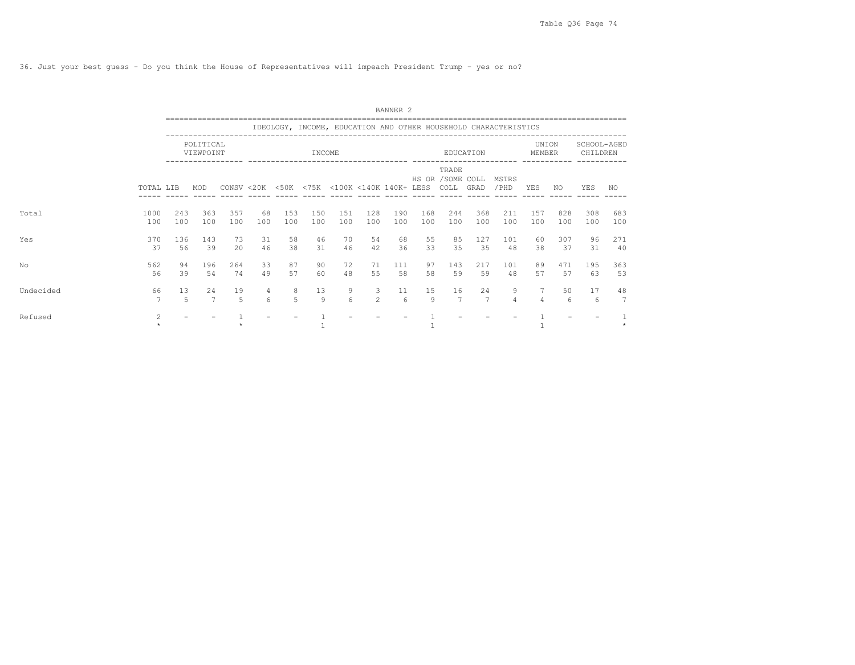36. Just your best guess - Do you think the House of Representatives will impeach President Trump - yes or no?

|           |                |            |                        |            |                       |                     |            |                                             |                     | BANNER 2   |            |                                    |                      |                                                                 |                 |            |                         |            |
|-----------|----------------|------------|------------------------|------------|-----------------------|---------------------|------------|---------------------------------------------|---------------------|------------|------------|------------------------------------|----------------------|-----------------------------------------------------------------|-----------------|------------|-------------------------|------------|
|           |                |            |                        |            |                       |                     |            |                                             |                     |            |            |                                    |                      | IDEOLOGY, INCOME, EDUCATION AND OTHER HOUSEHOLD CHARACTERISTICS |                 |            |                         |            |
|           |                |            | POLITICAL<br>VIEWPOINT |            |                       |                     | INCOME     |                                             |                     |            |            |                                    | EDUCATION            |                                                                 | UNION<br>MEMBER |            | SCHOOL-AGED<br>CHILDREN |            |
|           | TOTAL LIB      |            | MOD                    |            |                       |                     |            | CONSV <20K <50K <75K <100K <140K 140K+ LESS |                     |            |            | TRADE<br>HS OR / SOME COLL<br>COLL | GRAD                 | MSTRS<br>/PHD                                                   | YES             | NO.        | YES                     | NO.        |
| Total     | 1000<br>100    | 243<br>100 | 363<br>100             | 357<br>100 | 68<br>100             | 153<br>100          | 150<br>100 | 151<br>100                                  | 128<br>100          | 190<br>100 | 168<br>100 | 244<br>100                         | 368<br>100           | 211<br>100                                                      | 157<br>100      | 828<br>100 | 308<br>100              | 683<br>100 |
| Yes       | 370<br>37      | 136<br>56  | 143<br>39              | 73<br>2.0  | 31<br>46              | 58<br>38            | 46<br>31   | 70<br>46                                    | 54<br>42            | 68<br>36   | 55<br>33   | 85<br>35                           | 127<br>35            | 101<br>48                                                       | 60<br>38        | 307<br>37  | 96<br>31                | 271<br>40  |
| No        | 562<br>56      | 94<br>39   | 196<br>54              | 264<br>74  | 33<br>49              | 87<br>57            | 90<br>60   | 72<br>48                                    | 71<br>55            | 111<br>58  | 97<br>58   | 143<br>59                          | 217<br>59            | 101<br>48                                                       | 89<br>57        | 471<br>57  | 195<br>63               | 363<br>53  |
| Undecided | 66             | 13<br>5    | 24<br>$\overline{7}$   | 19<br>5    | 4<br>$6 \overline{6}$ | 8<br>$\overline{5}$ | 13<br>9    | 9<br>6                                      | 3<br>$\mathfrak{D}$ | 11<br>6    | 15<br>9    | 16<br>$\overline{7}$               | 24<br>$\overline{7}$ | 9<br>$\overline{4}$                                             | 4               | 50<br>6    | 17<br>6                 | 48<br>7    |
| Refused   | $\overline{c}$ |            |                        |            |                       |                     |            |                                             |                     |            |            |                                    |                      |                                                                 |                 |            |                         |            |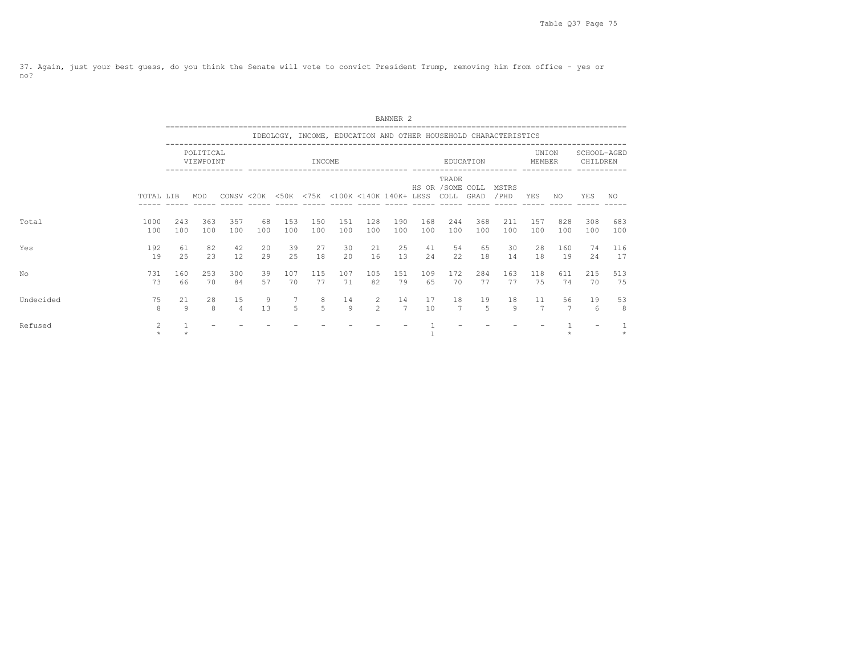37. Again, just your best guess, do you think the Senate will vote to convict President Trump, removing him from office - yes or no?

|           |                |                      |                        |                                             |           |                                   |                     |               |              | BANNER <sub>2</sub>  |            |                                    |            |                                                                 |                        |            |                         |            |
|-----------|----------------|----------------------|------------------------|---------------------------------------------|-----------|-----------------------------------|---------------------|---------------|--------------|----------------------|------------|------------------------------------|------------|-----------------------------------------------------------------|------------------------|------------|-------------------------|------------|
|           |                |                      |                        |                                             |           |                                   |                     |               |              |                      |            |                                    |            | IDEOLOGY, INCOME, EDUCATION AND OTHER HOUSEHOLD CHARACTERISTICS |                        |            |                         |            |
|           |                |                      | POLITICAL<br>VIEWPOINT |                                             |           |                                   | INCOME              |               |              |                      |            |                                    | EDUCATION  |                                                                 | UNION<br><b>MEMBER</b> |            | SCHOOL-AGED<br>CHILDREN |            |
|           | TOTAL LIB      |                      | MOD                    | CONSV <20K <50K <75K <100K <140K 140K+ LESS |           |                                   |                     |               |              |                      |            | TRADE<br>HS OR / SOME COLL<br>COLL | GRAD       | MSTRS<br>/PHD                                                   | YES                    | NO.        | YES                     | NO.        |
| Total     | 1000<br>100    | 243<br>100           | 363<br>100             | 357<br>100                                  | 68<br>100 | 153<br>100                        | 150<br>100          | 151<br>100    | 128<br>100   | 190<br>100           | 168<br>100 | 244<br>100                         | 368<br>100 | 211<br>100                                                      | 157<br>100             | 828<br>100 | 308<br>100              | 683<br>100 |
| Yes       | 192<br>19      | 61<br>25             | 82<br>23               | 42<br>12                                    | 20<br>29  | 39<br>25                          | 27<br>18            | 30<br>20      | 21<br>16     | 25<br>13             | 41<br>24   | 54<br>22                           | 65<br>18   | 30<br>14                                                        | 28<br>18               | 160<br>19  | 74<br>24                | 116<br>17  |
| NΟ        | 731<br>73      | 160<br>66            | 2.53<br>70             | 300<br>84                                   | 39<br>57  | 107<br>70                         | 115<br>77           | 107<br>71     | 105<br>82    | 151<br>79            | 109<br>65  | 172<br>70                          | 284<br>77  | 163<br>77                                                       | 118<br>75              | 611<br>74  | 215<br>70               | 513<br>75  |
| Undecided | 75<br>8        | 21<br>$\overline{9}$ | 28<br>8                | 15<br>$\overline{4}$                        | 9<br>13   | $7\phantom{.0}$<br>$\overline{5}$ | 8<br>$\overline{5}$ | 14<br>$\circ$ | 2<br>$2^{1}$ | 14<br>$\overline{7}$ | 17<br>10   | 18<br>7                            | 19<br>5    | 18<br>9                                                         | 11<br>7                | 56<br>7    | 19<br>6                 | 53<br>8    |
| Refused   | $\mathfrak{D}$ | $\mathbf{1}$         |                        |                                             |           |                                   |                     |               |              |                      |            |                                    |            |                                                                 |                        |            |                         |            |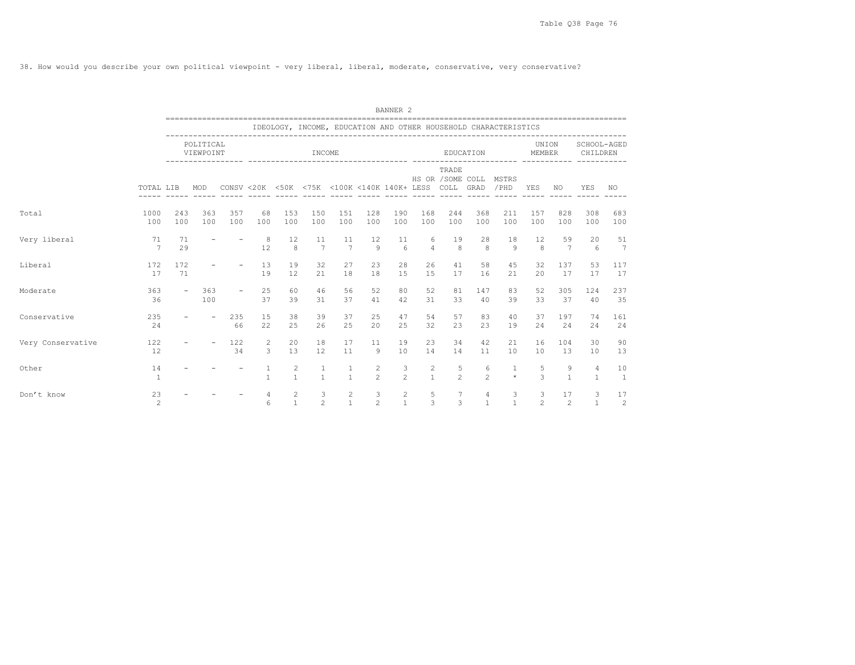38. How would you describe your own political viewpoint - very liberal, liberal, moderate, conservative, very conservative?

|                   |                      |                          |                        | ______________________   |                     |                   |                                                       |                              |                     | BANNER <sub>2</sub>                   |                     | ---------------------------      |                                |                                                                 |                     |                   |                                |                       |
|-------------------|----------------------|--------------------------|------------------------|--------------------------|---------------------|-------------------|-------------------------------------------------------|------------------------------|---------------------|---------------------------------------|---------------------|----------------------------------|--------------------------------|-----------------------------------------------------------------|---------------------|-------------------|--------------------------------|-----------------------|
|                   |                      |                          |                        |                          |                     |                   |                                                       |                              |                     |                                       |                     |                                  |                                | IDEOLOGY, INCOME, EDUCATION AND OTHER HOUSEHOLD CHARACTERISTICS |                     |                   |                                |                       |
|                   |                      |                          | POLITICAL<br>VIEWPOINT |                          |                     |                   | INCOME<br>------------------                          |                              |                     |                                       |                     |                                  | EDUCATION                      |                                                                 | UNION<br>MEMBER     |                   | SCHOOL-AGED<br>CHILDREN        |                       |
|                   | TOTAL LIB            |                          | MOD                    |                          |                     |                   | CONSV <20K <50K <75K <100K <140K 140K+ LESS COLL GRAD |                              |                     |                                       |                     | TRADE<br>HS OR / SOME COLL MSTRS |                                | /PHD                                                            | YES                 | NO.               | YES                            | NO.                   |
| Total             | 1000<br>100          | 243<br>100               | 363<br>100             | 357<br>100               | 68<br>100           | 153<br>100        | 150<br>100                                            | 151<br>100                   | 128<br>100          | 190<br>100                            | 168<br>100          | 244<br>100                       | 368<br>100                     | 211<br>100                                                      | 157<br>100          | 828<br>100        | 308<br>100                     | 683<br>100            |
| Very liberal      | 71<br>7              | 71<br>29                 |                        |                          | - 8<br>12           | 12<br>8           | 11<br>7                                               | 11<br>7                      | 12<br>9             | 11<br>$6 \overline{6}$                | 6<br>$\overline{4}$ | 19<br>8                          | 28<br>8                        | 18<br>$\mathcal{Q}$                                             | 12<br>8             | 59<br>7           | 20<br>-6                       | 51<br>$7\overline{ }$ |
| Liberal           | 172<br>17            | 172<br>71                |                        |                          | 13<br>19            | 19<br>12          | 32<br>21                                              | 27<br>18                     | 23<br>18            | 28<br>15                              | 26<br>15            | 41<br>17                         | 58<br>16                       | 45<br>21                                                        | 32<br>20            | 137<br>17         | 53<br>17                       | 117<br>17             |
| Moderate          | 363<br>36            | $\overline{\phantom{a}}$ | 363<br>100             | $\overline{\phantom{a}}$ | 25<br>37            | 60<br>39          | 46<br>31                                              | 56<br>37                     | 52<br>41            | 80<br>42                              | 52<br>31            | 81<br>33                         | 147<br>40                      | 83<br>39                                                        | 52<br>33            | 305<br>37         | 124<br>40                      | 237<br>35             |
| Conservative      | 235<br>24            |                          |                        | 235<br>66                | 15<br>22            | 38<br>25          | 39<br>26                                              | 37<br>25                     | 25<br>20            | 47<br>25                              | 54<br>32            | 57<br>23                         | 83<br>23                       | 40<br>19                                                        | 37<br>24            | 197<br>24         | 74<br>24                       | 161<br>24             |
| Very Conservative | 122<br>12            | $\sim$                   |                        | 122<br>34                | $\overline{2}$<br>3 | 20<br>13          | 18<br>12                                              | 17<br>11                     | 11<br>9             | 19<br>10                              | 23<br>14            | 34<br>14                         | 42<br>11                       | 21<br>10                                                        | 16<br>10            | 104<br>13         | 30<br>10                       | 90<br>13              |
| Other             | 14<br>$\mathbf{1}$   |                          |                        |                          | 1<br>$\mathbf{1}$   | 2<br>$\mathbf{1}$ | $\mathbf{1}$<br>$\overline{1}$                        | $\mathbf{1}$<br>$\mathbf{1}$ | 2<br>$\mathfrak{D}$ | 3<br>$\overline{2}$                   | 2<br>$\mathbf{1}$   | 5<br>$\mathfrak{D}$              | 6<br>$\mathfrak{D}$            | 1<br>$\star$                                                    | 5<br>3              | 9<br>$\mathbf{1}$ | $\overline{4}$<br>$\mathbf{1}$ | 10<br>$\overline{1}$  |
| Don't know        | 23<br>$\overline{c}$ |                          |                        |                          | 4<br>6              | 2<br>$\mathbf{1}$ | 3<br>$\mathfrak{D}$                                   | 2<br>$\mathbf{1}$            | 3<br>$\overline{c}$ | $\mathbf{2}^{\prime}$<br>$\mathbf{1}$ | 5<br>3              | $\overline{7}$<br>3              | $\overline{4}$<br>$\mathbf{1}$ | 3<br>$\overline{1}$                                             | 3<br>$\overline{c}$ | 17<br>2           | 3<br>$\mathbf{1}$              | 17<br>$\overline{c}$  |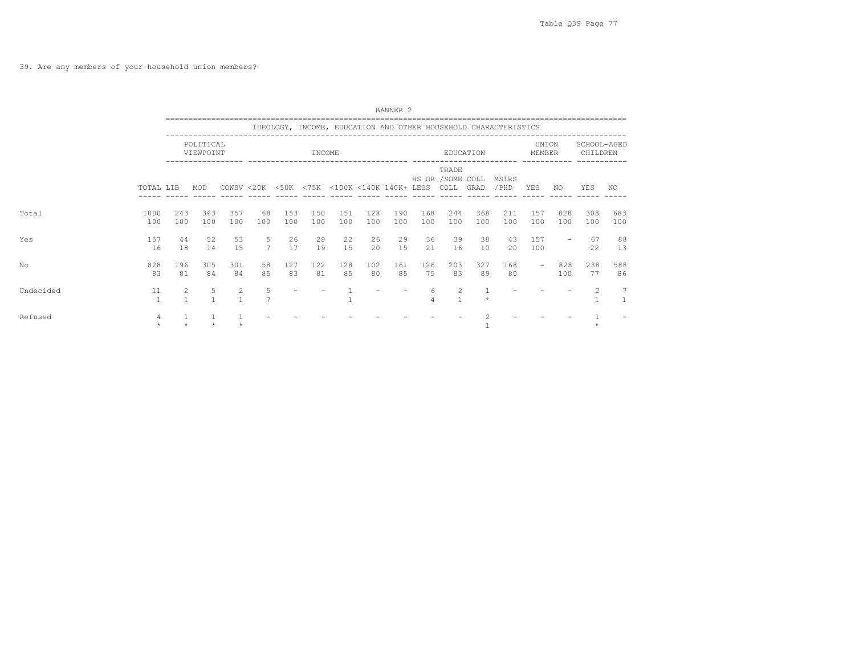39. Are any members of your household union members?

|           |             |                                |                        |                |                     |            |            |                                             |            | BANNER <sub>2</sub> |                     |                                         |            |                                                                 |                 |            |                         |              |
|-----------|-------------|--------------------------------|------------------------|----------------|---------------------|------------|------------|---------------------------------------------|------------|---------------------|---------------------|-----------------------------------------|------------|-----------------------------------------------------------------|-----------------|------------|-------------------------|--------------|
|           |             |                                |                        |                |                     |            |            |                                             |            |                     |                     |                                         |            | IDEOLOGY, INCOME, EDUCATION AND OTHER HOUSEHOLD CHARACTERISTICS |                 |            |                         |              |
|           |             |                                | POLITICAL<br>VIEWPOINT |                |                     |            | INCOME     |                                             |            |                     |                     |                                         | EDUCATION  |                                                                 | UNION<br>MEMBER |            | SCHOOL-AGED<br>CHILDREN |              |
|           | TOTAL LIB   |                                | MOD                    |                |                     |            |            | CONSV <20K <50K <75K <100K <140K 140K+ LESS |            |                     |                     | TRADE<br>HS OR / SOME COLL<br>COLL GRAD |            | MSTRS<br>/ PHD                                                  | YES             | NO.        | YES                     | NO.          |
| Total     | 1000<br>100 | 243<br>100                     | 363<br>100             | 357<br>100     | 68<br>100           | 153<br>100 | 150<br>100 | 151<br>100                                  | 128<br>100 | 190<br>100          | 168<br>100          | 244<br>100                              | 368<br>100 | 211<br>100                                                      | 157<br>100      | 828<br>100 | 308<br>100              | 683<br>100   |
| Yes       | 157<br>16   | 44<br>18                       | 52<br>14               | 53<br>1.5      | 5<br>$\overline{7}$ | 26<br>17   | 28<br>19   | 22<br>1.5                                   | 26<br>2.0  | 29<br>1.5           | 36<br>21            | 39<br>16                                | 38<br>1 O  | 43<br>20                                                        | 157<br>100      |            | 67<br>22                | 88<br>13     |
| No        | 828<br>83   | 196<br>81                      | 305<br>84              | 301<br>84      | 58<br>85            | 127<br>83  | 122<br>81  | 128<br>85                                   | 102<br>80  | 161<br>85           | 126<br>75           | 203<br>83                               | 327<br>89  | 168<br>80                                                       |                 | 828<br>100 | 238<br>77               | 588<br>86    |
| Undecided | 11          | $\overline{2}$<br>$\mathbf{1}$ | 5<br>$\overline{1}$    | $\overline{2}$ | 5                   |            |            |                                             |            |                     | 6<br>$\overline{4}$ | $\mathcal{L}$                           |            |                                                                 |                 |            |                         | $\mathbf{1}$ |
| Refused   | 4           |                                |                        |                |                     |            |            |                                             |            |                     |                     |                                         |            |                                                                 |                 |            |                         |              |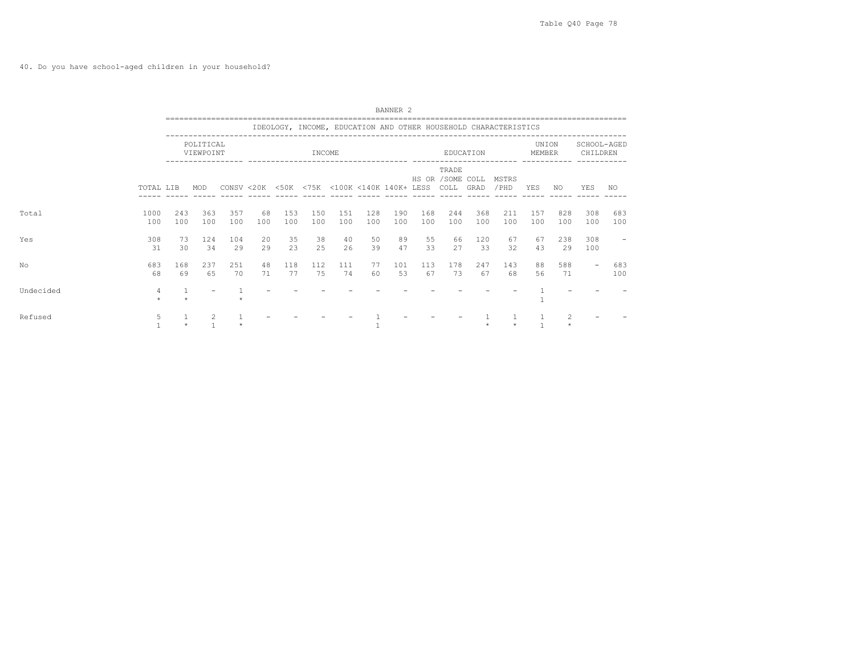40. Do you have school-aged children in your household?

|           |             |              |                        |            |           |                                             |            |            |            | BANNER <sub>2</sub> |            |                                         |            |                                                                 |                 |            |                          |            |
|-----------|-------------|--------------|------------------------|------------|-----------|---------------------------------------------|------------|------------|------------|---------------------|------------|-----------------------------------------|------------|-----------------------------------------------------------------|-----------------|------------|--------------------------|------------|
|           |             |              |                        |            |           |                                             |            |            |            |                     |            |                                         |            | IDEOLOGY, INCOME, EDUCATION AND OTHER HOUSEHOLD CHARACTERISTICS |                 |            |                          |            |
|           |             |              | POLITICAL<br>VIEWPOINT |            |           |                                             | INCOME     |            |            |                     |            |                                         | EDUCATION  |                                                                 | UNION<br>MEMBER |            | SCHOOL-AGED<br>CHILDREN  |            |
|           | TOTAL LIB   |              | MOD                    |            |           | CONSV <20K <50K <75K <100K <140K 140K+ LESS |            |            |            |                     |            | TRADE<br>HS OR / SOME COLL<br>COLL GRAD |            | MSTRS<br>/ PHD                                                  | YES             | NO.        | YES                      | NO.        |
| Total     | 1000<br>100 | 243<br>100   | 363<br>100             | 357<br>100 | 68<br>100 | 153<br>100                                  | 150<br>100 | 151<br>100 | 128<br>100 | 190<br>100          | 168<br>100 | 244<br>100                              | 368<br>100 | 211<br>100                                                      | 157<br>100      | 828<br>100 | 308<br>100               | 683<br>100 |
| Yes       | 308<br>31   | 73<br>30     | 124<br>34              | 104<br>29  | 20<br>29  | 35<br>23                                    | 38<br>2.5  | 40<br>26   | 50<br>39   | 89<br>47            | 55<br>33   | 66<br>27                                | 120<br>33  | 67<br>32                                                        | 67<br>43        | 238<br>29  | 308<br>100               |            |
| No        | 683<br>68   | 168<br>69    | 237<br>65              | 251<br>70  | 48<br>71  | 118<br>77                                   | 112<br>75  | 111<br>74  | 77<br>60   | 101<br>53           | 113<br>67  | 178<br>73                               | 247<br>67  | 143<br>68                                                       | 88<br>56        | 588<br>71  | $\overline{\phantom{a}}$ | 683<br>100 |
| Undecided | 4           | $\mathbf{1}$ |                        |            |           |                                             |            |            |            |                     |            |                                         |            |                                                                 |                 |            |                          |            |
| Refused   | 5.          |              | 2                      |            |           |                                             |            |            |            |                     |            |                                         |            |                                                                 |                 |            |                          |            |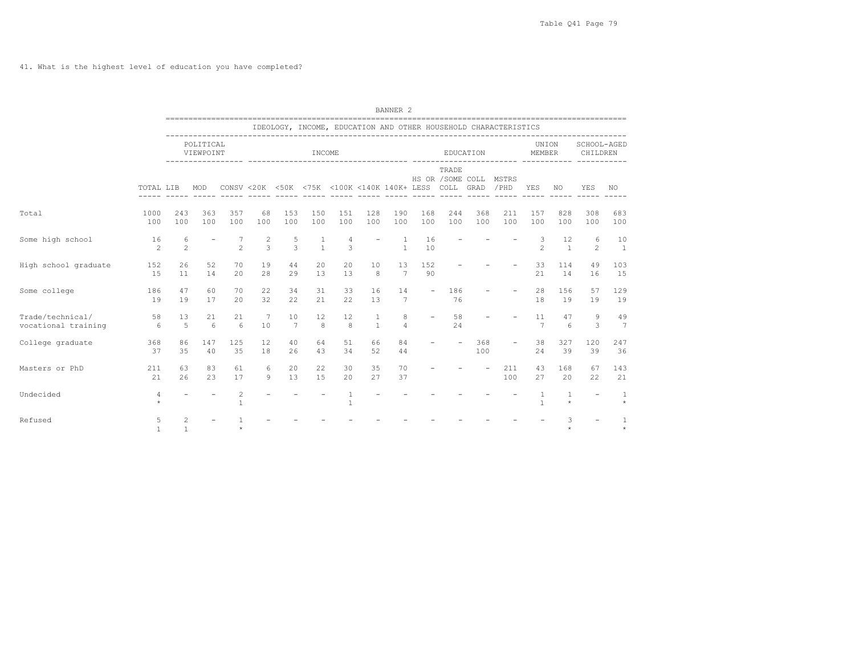41. What is the highest level of education you have completed?

|                                         |                      |                     |                        |                                |                                           |            |                   |                                                  |                   | <b>BANNER 2</b>       |                          |                           |            |                                                                 |                      |                       |                          |                      |
|-----------------------------------------|----------------------|---------------------|------------------------|--------------------------------|-------------------------------------------|------------|-------------------|--------------------------------------------------|-------------------|-----------------------|--------------------------|---------------------------|------------|-----------------------------------------------------------------|----------------------|-----------------------|--------------------------|----------------------|
|                                         |                      |                     |                        |                                |                                           |            |                   |                                                  |                   |                       |                          |                           |            | IDEOLOGY, INCOME, EDUCATION AND OTHER HOUSEHOLD CHARACTERISTICS |                      |                       |                          |                      |
|                                         |                      |                     | POLITICAL<br>VIEWPOINT |                                |                                           |            | INCOME            |                                                  |                   |                       |                          |                           | EDUCATION  |                                                                 | UNION<br>MEMBER      |                       | SCHOOL-AGED<br>CHILDREN  |                      |
|                                         | TOTAL LIB            |                     | MOD                    |                                |                                           |            |                   | CONSV <20K <50K <75K <100K <140K 140K+ LESS COLL |                   |                       |                          | TRADE<br>HS OR /SOME COLL | GRAD       | MSTRS<br>/PHD                                                   | YES                  | NO.                   | YES                      | NO                   |
| Total                                   | 1000<br>100          | 243<br>100          | 363<br>100             | 357<br>100                     | 68<br>100                                 | 153<br>100 | 150<br>100        | 151<br>100                                       | 128<br>100        | 190<br>100            | 168<br>100               | 244<br>100                | 368<br>100 | 211<br>100                                                      | 157<br>100           | 828<br>100            | 308<br>100               | 683<br>100           |
| Some high school                        | 16<br>$\mathfrak{D}$ | 6<br>$\overline{c}$ |                        | $\mathfrak{D}$                 | $\overline{\mathbf{c}}$<br>$\overline{3}$ | 5<br>3     | 1<br>$\mathbf{1}$ | 4<br>3                                           |                   | 1<br>$\mathbf{1}$     | 16<br>10                 |                           |            |                                                                 | 3<br>$\mathfrak{D}$  | 12<br>$\mathbf{1}$    | 6<br>$\overline{c}$      | 10<br>$\overline{1}$ |
| High school graduate                    | 152<br>15            | 26<br>11            | 52<br>14               | 70<br>20                       | 19<br>28                                  | 44<br>29   | 20<br>13          | 20<br>13                                         | 10<br>8           | 13<br>$7\phantom{.0}$ | 152<br>90                |                           |            |                                                                 | 33<br>21             | 114<br>14             | 49<br>16                 | 103<br>15            |
| Some college                            | 186<br>19            | 47<br>19            | 60<br>17               | 70<br>20                       | 22<br>32                                  | 34<br>22   | 31<br>21          | 33<br>22                                         | 16<br>13          | 14<br>7               | $\overline{\phantom{a}}$ | 186<br>76                 |            |                                                                 | 28<br>18             | 156<br>19             | 57<br>19                 | 129<br>19            |
| Trade/technical/<br>vocational training | 58<br>6              | 13<br>5             | 21<br>6                | 21<br>6                        | 7<br>10                                   | 10<br>7    | 12<br>8           | 12<br>8                                          | 1<br>$\mathbf{1}$ | 8<br>$\overline{4}$   |                          | 58<br>24                  |            |                                                                 | 11<br>$\overline{7}$ | 47<br>$6\overline{6}$ | 9<br>3                   | 49<br>7              |
| College graduate                        | 368<br>37            | 86<br>35            | 147<br>40              | 125<br>35                      | 12<br>18                                  | 40<br>26   | 64<br>43          | 51<br>34                                         | 66<br>52          | 84<br>44              |                          |                           | 368<br>100 | $\overline{\phantom{a}}$                                        | 38<br>24             | 327<br>39             | 120<br>39                | 247<br>36            |
| Masters or PhD                          | 211<br>21            | 63<br>26            | 83<br>23               | 61<br>17                       | 6<br>9                                    | 20<br>13   | 22<br>15          | 30<br>20                                         | 35<br>27          | 70<br>37              |                          |                           |            | 211<br>100                                                      | 43<br>27             | 168<br>20             | 67<br>22                 | 143<br>21            |
| Undecided                               | 4<br>$\star$         |                     |                        | $\overline{c}$<br>$\mathbf{1}$ |                                           |            |                   | $\mathbf{1}$                                     |                   |                       |                          |                           |            |                                                                 | $\overline{1}$       | 1<br>$\star$          | $\overline{\phantom{a}}$ | $\overline{1}$       |
| Refused                                 | 5                    | 2<br>$\overline{1}$ |                        |                                |                                           |            |                   |                                                  |                   |                       |                          |                           |            |                                                                 |                      | 3<br>$\ddot{\psi}$    |                          |                      |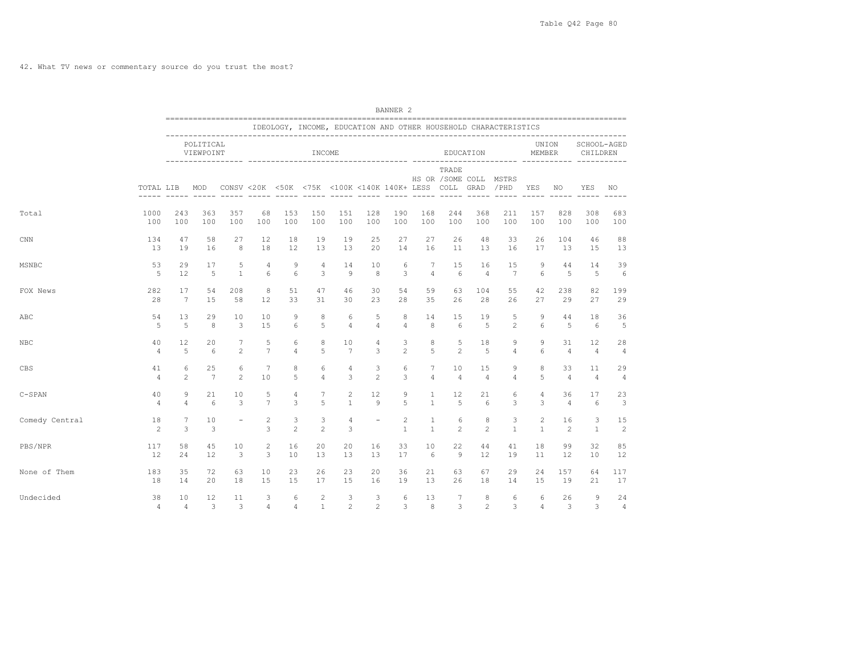42. What TV news or commentary source do you trust the most?

|                |                      |                 |                        |                |                     |                                                  |                     |                |                                                                                                                                                                                                                                                                                                                                                                                                                                                                            | BANNER <sub>2</sub>                                                                                                                                                                                                                                                                                                                                                                                                                                                        |                   |                       |                                 |                                                                 |                                |                      |                         |                      |
|----------------|----------------------|-----------------|------------------------|----------------|---------------------|--------------------------------------------------|---------------------|----------------|----------------------------------------------------------------------------------------------------------------------------------------------------------------------------------------------------------------------------------------------------------------------------------------------------------------------------------------------------------------------------------------------------------------------------------------------------------------------------|----------------------------------------------------------------------------------------------------------------------------------------------------------------------------------------------------------------------------------------------------------------------------------------------------------------------------------------------------------------------------------------------------------------------------------------------------------------------------|-------------------|-----------------------|---------------------------------|-----------------------------------------------------------------|--------------------------------|----------------------|-------------------------|----------------------|
|                |                      |                 |                        |                |                     |                                                  |                     |                |                                                                                                                                                                                                                                                                                                                                                                                                                                                                            |                                                                                                                                                                                                                                                                                                                                                                                                                                                                            |                   |                       |                                 | IDEOLOGY, INCOME, EDUCATION AND OTHER HOUSEHOLD CHARACTERISTICS |                                |                      |                         |                      |
|                |                      |                 | POLITICAL<br>VIEWPOINT |                |                     | ----------------- -----------------              | INCOME              |                |                                                                                                                                                                                                                                                                                                                                                                                                                                                                            |                                                                                                                                                                                                                                                                                                                                                                                                                                                                            |                   |                       | EDUCATION                       |                                                                 | UNION<br>MEMBER                |                      | SCHOOL-AGED<br>CHILDREN |                      |
|                | TOTAL LIB            |                 | MOD                    |                |                     | CONSV <20K <50K <75K <100K <140K 140K+ LESS COLL |                     |                | $\frac{1}{2} \left( \frac{1}{2} \right) \left( \frac{1}{2} \right) \left( \frac{1}{2} \right) \left( \frac{1}{2} \right) \left( \frac{1}{2} \right) \left( \frac{1}{2} \right) \left( \frac{1}{2} \right) \left( \frac{1}{2} \right) \left( \frac{1}{2} \right) \left( \frac{1}{2} \right) \left( \frac{1}{2} \right) \left( \frac{1}{2} \right) \left( \frac{1}{2} \right) \left( \frac{1}{2} \right) \left( \frac{1}{2} \right) \left( \frac{1}{2} \right) \left( \frac$ | $\frac{1}{2} \left( \frac{1}{2} \right) \left( \frac{1}{2} \right) \left( \frac{1}{2} \right) \left( \frac{1}{2} \right) \left( \frac{1}{2} \right) \left( \frac{1}{2} \right) \left( \frac{1}{2} \right) \left( \frac{1}{2} \right) \left( \frac{1}{2} \right) \left( \frac{1}{2} \right) \left( \frac{1}{2} \right) \left( \frac{1}{2} \right) \left( \frac{1}{2} \right) \left( \frac{1}{2} \right) \left( \frac{1}{2} \right) \left( \frac{1}{2} \right) \left( \frac$ |                   | TRADE<br>------ ----- | HS OR / SOME COLL MSTRS<br>GRAD | /PHD                                                            | YES                            | NO                   | YES                     | NO                   |
| Total          | 1000                 | 243             | 363                    | 357            | 68                  | 153                                              | 150                 | 151            | 128                                                                                                                                                                                                                                                                                                                                                                                                                                                                        | 190                                                                                                                                                                                                                                                                                                                                                                                                                                                                        | 168               | 244                   | 368                             | 211                                                             | 157                            | 828                  | 308                     | 683                  |
|                | 100                  | 100             | 100                    | 100            | 100                 | 100                                              | 100                 | 100            | 100                                                                                                                                                                                                                                                                                                                                                                                                                                                                        | 100                                                                                                                                                                                                                                                                                                                                                                                                                                                                        | 100               | 100                   | 100                             | 100                                                             | 100                            | 100                  | 100                     | 100                  |
| <b>CNN</b>     | 134                  | 47              | 58                     | 27             | 12                  | 18                                               | 19                  | 19             | 25                                                                                                                                                                                                                                                                                                                                                                                                                                                                         | 27                                                                                                                                                                                                                                                                                                                                                                                                                                                                         | 27                | 26                    | 48                              | 33                                                              | 26                             | 104                  | 46                      | 88                   |
|                | 13                   | 19              | 16                     | 8              | 18                  | 12                                               | 13                  | 13             | 20                                                                                                                                                                                                                                                                                                                                                                                                                                                                         | 14                                                                                                                                                                                                                                                                                                                                                                                                                                                                         | 16                | 11                    | 13                              | 16                                                              | 17                             | 13                   | 15                      | 13                   |
| MSNBC          | 53                   | 29              | 17                     | 5              | $\overline{4}$      | 9                                                | $\overline{4}$      | 14             | 10                                                                                                                                                                                                                                                                                                                                                                                                                                                                         | 6                                                                                                                                                                                                                                                                                                                                                                                                                                                                          | 7                 | 15                    | 16                              | 15                                                              | 9                              | 44                   | 14                      | 39                   |
|                | 5                    | 12              | $\overline{5}$         | $\mathbf{1}$   | 6                   | 6                                                | 3                   | 9              | 8                                                                                                                                                                                                                                                                                                                                                                                                                                                                          | 3                                                                                                                                                                                                                                                                                                                                                                                                                                                                          | $\overline{4}$    | 6                     | $\overline{4}$                  | $\overline{7}$                                                  | 6                              | 5                    | 5                       | 6                    |
| FOX News       | 282                  | 17              | 54                     | 208            | 8                   | 51                                               | 47                  | 46             | 30                                                                                                                                                                                                                                                                                                                                                                                                                                                                         | 54                                                                                                                                                                                                                                                                                                                                                                                                                                                                         | 59                | 63                    | 104                             | 55                                                              | 42                             | 238                  | 82                      | 199                  |
|                | 28                   | $7\phantom{.0}$ | 15                     | 58             | 12                  | 33                                               | 31                  | 30             | 23                                                                                                                                                                                                                                                                                                                                                                                                                                                                         | 28                                                                                                                                                                                                                                                                                                                                                                                                                                                                         | 35                | 26                    | 28                              | 26                                                              | 27                             | 29                   | 27                      | 29                   |
| ABC            | 54                   | 13              | 29                     | 10             | 10                  | 9                                                | 8                   | 6              | 5                                                                                                                                                                                                                                                                                                                                                                                                                                                                          | 8                                                                                                                                                                                                                                                                                                                                                                                                                                                                          | 14                | 15                    | 19                              | 5                                                               | 9                              | 44                   | 18                      | 36                   |
|                | 5                    | 5               | 8                      | 3              | 15                  | 6                                                | 5                   | $\overline{4}$ | $\overline{4}$                                                                                                                                                                                                                                                                                                                                                                                                                                                             | $\overline{4}$                                                                                                                                                                                                                                                                                                                                                                                                                                                             | 8                 | 6                     | $\overline{5}$                  | $\mathbf{2}^{\prime}$                                           | 6                              | $\overline{5}$       | 6                       | 5                    |
| NBC            | 40                   | 12              | 20                     | 7              | 5                   | 6                                                | 8                   | 10             | 4                                                                                                                                                                                                                                                                                                                                                                                                                                                                          | 3                                                                                                                                                                                                                                                                                                                                                                                                                                                                          | 8                 | 5                     | 18                              | 9                                                               | 9                              | 31                   | 12                      | 28                   |
|                | $\overline{4}$       | 5               | 6                      | $\overline{c}$ | $\overline{7}$      | $\overline{4}$                                   | 5                   | 7              | 3                                                                                                                                                                                                                                                                                                                                                                                                                                                                          | $\mathfrak{D}$                                                                                                                                                                                                                                                                                                                                                                                                                                                             | 5                 | $\overline{c}$        | 5                               | $\overline{4}$                                                  | 6                              | $\overline{4}$       | $\overline{4}$          | $\overline{4}$       |
| CBS            | 41                   | 6               | 25                     | 6              | 7                   | 8                                                | 6                   | 4              | 3                                                                                                                                                                                                                                                                                                                                                                                                                                                                          | 6                                                                                                                                                                                                                                                                                                                                                                                                                                                                          | 7                 | 10                    | 15                              | 9                                                               | 8                              | 33                   | 11                      | 29                   |
|                | 4                    | $\overline{c}$  | 7                      | $\mathfrak{D}$ | 10                  | 5                                                | $\overline{4}$      | 3              | $\mathfrak{D}$                                                                                                                                                                                                                                                                                                                                                                                                                                                             | 3                                                                                                                                                                                                                                                                                                                                                                                                                                                                          | $\overline{4}$    | $\overline{4}$        | $\overline{4}$                  | $\overline{4}$                                                  | 5                              | $\overline{4}$       | $\overline{4}$          | $\overline{4}$       |
| $C-SPAN$       | 40                   | 9               | 21                     | 10             | 5                   | $\overline{4}$                                   | $7\phantom{.0}$     | 2              | 12                                                                                                                                                                                                                                                                                                                                                                                                                                                                         | 9                                                                                                                                                                                                                                                                                                                                                                                                                                                                          | 1                 | 12                    | 21                              | 6                                                               | $\overline{4}$                 | 36                   | 17                      | 23                   |
|                | 4                    | 4               | 6                      | 3              | $\overline{7}$      | 3                                                | 5                   | $\mathbf{1}$   | $\circ$                                                                                                                                                                                                                                                                                                                                                                                                                                                                    | 5                                                                                                                                                                                                                                                                                                                                                                                                                                                                          | $\mathbf{1}$      | 5                     | 6                               | 3                                                               | 3                              | $\overline{4}$       | 6                       | 3                    |
| Comedy Central | 18<br>$\overline{c}$ | 7<br>3          | 10<br>3                |                | $\overline{c}$<br>3 | 3<br>$\overline{c}$                              | 3<br>$\overline{c}$ | 4<br>3         |                                                                                                                                                                                                                                                                                                                                                                                                                                                                            | $\overline{c}$<br>$\mathbf{1}$                                                                                                                                                                                                                                                                                                                                                                                                                                             | 1<br>$\mathbf{1}$ | 6<br>$\overline{c}$   | 8<br>$\overline{2}$             | 3<br>$\mathbf{1}$                                               | $\overline{c}$<br>$\mathbf{1}$ | 16<br>$\overline{c}$ | 3<br>$\mathbf{1}$       | 15<br>$\overline{c}$ |
| PBS/NPR        | 117                  | 58              | 45                     | 10             | 2                   | 16                                               | 20                  | 20             | 16                                                                                                                                                                                                                                                                                                                                                                                                                                                                         | 33                                                                                                                                                                                                                                                                                                                                                                                                                                                                         | 10                | 22                    | 44                              | 41                                                              | 18                             | 99                   | 32                      | 85                   |
|                | 12                   | 24              | 12                     | 3              | 3                   | 10                                               | 13                  | 13             | 13                                                                                                                                                                                                                                                                                                                                                                                                                                                                         | 17                                                                                                                                                                                                                                                                                                                                                                                                                                                                         | 6                 | 9                     | 12                              | 19                                                              | 11                             | 12                   | 10                      | 12                   |
| None of Them   | 183                  | 35              | 72                     | 63             | 10                  | 23                                               | 26                  | 23             | 20                                                                                                                                                                                                                                                                                                                                                                                                                                                                         | 36                                                                                                                                                                                                                                                                                                                                                                                                                                                                         | 21                | 63                    | 67                              | 29                                                              | 24                             | 157                  | 64                      | 117                  |
|                | 18                   | 14              | 20                     | 18             | 15                  | 15                                               | 17                  | 15             | 16                                                                                                                                                                                                                                                                                                                                                                                                                                                                         | 19                                                                                                                                                                                                                                                                                                                                                                                                                                                                         | 13                | 26                    | 18                              | 14                                                              | 15                             | 19                   | 21                      | 17                   |
| Undecided      | 38                   | 10              | 12                     | 11             | 3                   | 6                                                | $\overline{c}$      | 3              | 3                                                                                                                                                                                                                                                                                                                                                                                                                                                                          | 6                                                                                                                                                                                                                                                                                                                                                                                                                                                                          | 13                | 7                     | 8                               | 6                                                               | 6                              | 26                   | 9                       | 24                   |
|                | $\overline{4}$       | $\overline{4}$  | 3                      | 3              | 4                   | $\overline{4}$                                   | $\mathbf{1}$        | 2              | $\overline{c}$                                                                                                                                                                                                                                                                                                                                                                                                                                                             | 3                                                                                                                                                                                                                                                                                                                                                                                                                                                                          | 8                 | 3                     | $\overline{c}$                  | 3                                                               | $\overline{4}$                 | 3                    | 3                       | $\overline{4}$       |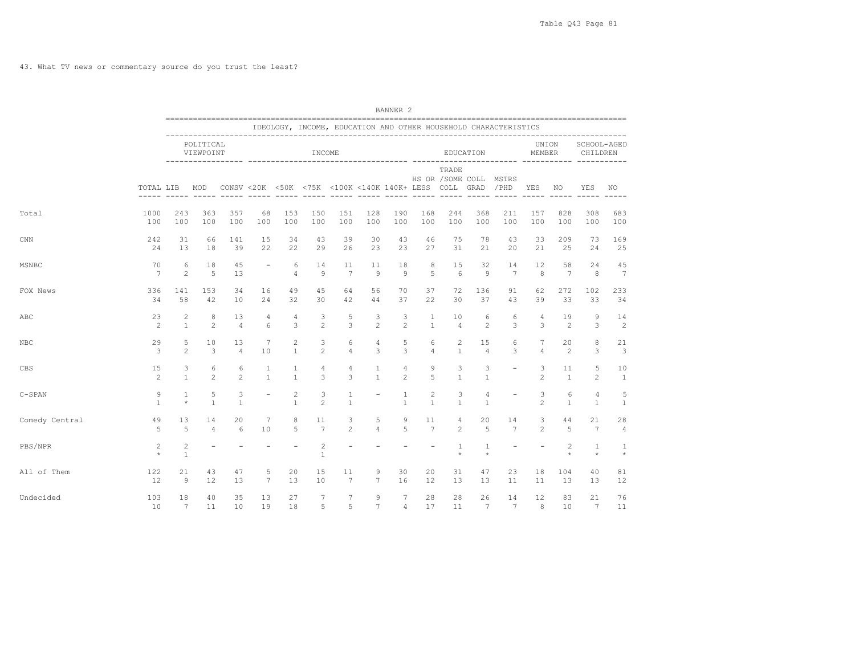43. What TV news or commentary source do you trust the least?

|                |                       |                            |                        |                   |                          |                                |                         |                                                  |                          | BANNER <sub>2</sub> |                              |                   |                                |                                                                 |                     |                           |                                |                       |
|----------------|-----------------------|----------------------------|------------------------|-------------------|--------------------------|--------------------------------|-------------------------|--------------------------------------------------|--------------------------|---------------------|------------------------------|-------------------|--------------------------------|-----------------------------------------------------------------|---------------------|---------------------------|--------------------------------|-----------------------|
|                |                       |                            |                        |                   |                          |                                |                         |                                                  |                          |                     |                              |                   |                                | IDEOLOGY, INCOME, EDUCATION AND OTHER HOUSEHOLD CHARACTERISTICS |                     |                           |                                |                       |
|                |                       |                            | POLITICAL<br>VIEWPOINT |                   |                          |                                | INCOME                  |                                                  |                          |                     |                              |                   | EDUCATION                      |                                                                 | MEMBER              | UNION                     | SCHOOL-AGED<br>CHILDREN        |                       |
|                | TOTAL LIB             |                            | MOD                    |                   |                          |                                | $- - - - - -$           | CONSV <20K <50K <75K <100K <140K 140K+ LESS COLL | $- - - - -$              |                     | ----- ----- -----            | TRADE             | GRAD                           | HS OR / SOME COLL MSTRS<br>/PHD                                 | YES<br>-----        | NO.                       | YES                            | NO                    |
| Total          | 1000                  | 243                        | 363                    | 357               | 68                       | 153                            | 150                     | 151                                              | 128                      | 190                 | 168                          | 244               | 368                            | 211                                                             | 157                 | 828                       | 308                            | 683                   |
|                | 100                   | 100                        | 100                    | 100               | 100                      | 100                            | 100                     | 100                                              | 100                      | 100                 | 100                          | 100               | 100                            | 100                                                             | 100                 | 100                       | 100                            | 100                   |
| $_{\rm CNN}$   | 242                   | 31                         | 66                     | 141               | 15                       | 34                             | 43                      | 39                                               | 30                       | 43                  | 46                           | 75                | 78                             | 43                                                              | 33                  | 209                       | 73                             | 169                   |
|                | 24                    | 13                         | 18                     | 39                | 22                       | 22                             | 29                      | 26                                               | 23                       | 23                  | 27                           | 31                | 21                             | 20                                                              | 21                  | 25                        | 24                             | 25                    |
| MSNBC          | 70<br>$7\phantom{.0}$ | 6<br>$\mathbf{2}$          | 18<br>5                | 45<br>13          | $\overline{\phantom{a}}$ | 6<br>$\overline{4}$            | 14<br>9                 | 11<br>$7\phantom{.0}$                            | 11<br>9                  | 18<br>$\mathcal{Q}$ | 8<br>5                       | 15<br>6           | 32<br>9                        | 14<br>$7\phantom{.0}$                                           | 12<br>8             | 58<br>7                   | 24<br>8                        | 45<br>$7\phantom{.0}$ |
| FOX News       | 336                   | 141                        | 153                    | 34                | 16                       | 49                             | 45                      | 64                                               | 56                       | 70                  | 37                           | 72                | 136                            | 91                                                              | 62                  | 272                       | 102                            | 233                   |
|                | 34                    | 58                         | 42                     | 10                | 24                       | 32                             | 30                      | 42                                               | 44                       | 37                  | 22                           | 30                | 37                             | 43                                                              | 39                  | 33                        | 33                             | 34                    |
| ABC            | 23                    | 2                          | 8                      | 13                | 4                        | 4                              | 3                       | 5                                                | 3                        | 3                   | 1                            | 10                | 6                              | 6                                                               | 4                   | 19                        | $\mathcal{G}$                  | 14                    |
|                | 2                     | $\mathbf{1}$               | 2                      | $\overline{4}$    | 6                        | 3                              | $\overline{c}$          | 3                                                | 2                        | 2                   | $\mathbf{1}$                 | $\overline{4}$    | $\overline{c}$                 | 3                                                               | 3                   | $\overline{2}$            | 3                              | 2                     |
| NBC            | 29                    | 5                          | 10                     | 13                | 7                        | $\overline{c}$                 | 3                       | 6                                                | 4                        | 5                   | 6                            | $\overline{c}$    | 15                             | 6                                                               | 7                   | 20                        | 8                              | 21                    |
|                | 3                     | $\mathbf{2}$               | 3                      | $\overline{4}$    | 10                       | $\mathbf{1}$                   | $\overline{c}$          | $\overline{4}$                                   | 3                        | 3                   | $\overline{4}$               | $\mathbf{1}$      | $\overline{4}$                 | 3                                                               | $\varDelta$         | $\overline{c}$            | 3                              | 3                     |
| CBS            | 15<br>2               | 3<br>$\mathbf{1}$          | 6<br>$\overline{c}$    | 6<br>2            | 1<br>$\mathbf{1}$        | 1<br>$\mathbf{1}$              | 4<br>3                  | 4<br>3                                           | 1<br>$\mathbf{1}$        | 4<br>$\overline{c}$ | 9<br>5                       | 3<br>$\mathbf{1}$ | 3<br>$\mathbf{1}$              | $\overline{\phantom{a}}$                                        | 3<br>$\overline{c}$ | 11<br>$\mathbf{1}$        | 5<br>$\overline{2}$            | 10<br>$\mathbf{1}$    |
| $C-SPAN$       | 9<br>$\mathbf{1}$     | 1<br>$\star$               | 5<br>$\mathbf{1}$      | 3<br>$\mathbf{1}$ | $\overline{\phantom{0}}$ | $\overline{c}$<br>$\mathbf{1}$ | 3<br>$\overline{c}$     | 1<br>$\mathbf{1}$                                | $\overline{\phantom{0}}$ | 1<br>$\mathbf{1}$   | $\mathbf{2}$<br>$\mathbf{1}$ | 3<br>$\mathbf{1}$ | $\overline{4}$<br>$\mathbf{1}$ | $\overline{\phantom{a}}$                                        | 3<br>$\overline{c}$ | 6<br>$\mathbf{1}$         | $\overline{4}$<br>$\mathbf{1}$ | 5<br>$\mathbf{1}$     |
| Comedy Central | 49                    | 13                         | 14                     | 20                | 7                        | 8                              | 11                      | 3                                                | 5                        | 9                   | 11                           | 4                 | 20                             | 14                                                              | 3                   | 44                        | 21                             | 28                    |
|                | 5                     | 5                          | $\overline{4}$         | 6                 | 10                       | 5                              | $7\overline{ }$         | $\overline{c}$                                   | $\overline{4}$           | 5                   | $7\phantom{.0}$              | $\overline{2}$    | 5                              | 7                                                               | 2                   | 5                         | $7\phantom{.0}$                | $\overline{4}$        |
| PBS/NPR        | 2<br>$\star$          | $\sqrt{2}$<br>$\mathbf{1}$ |                        |                   |                          |                                | $\overline{c}$<br>$1\,$ |                                                  |                          |                     |                              | 1<br>$\star$      | 1<br>$\star$                   | $\equiv$                                                        |                     | $\overline{c}$<br>$\star$ | $\mathbf{1}$<br>$\star$        | 1<br>$\star$          |
| All of Them    | 122                   | 21                         | 43                     | 47                | 5                        | 20                             | 15                      | 11                                               | 9                        | 30                  | 20                           | 31                | 47                             | 23                                                              | 18                  | 104                       | 40                             | 81                    |
|                | 12                    | $\overline{9}$             | 12                     | 13                | 7                        | 13                             | 10                      | $7\phantom{.0}$                                  | $7\phantom{.0}$          | 16                  | 12                           | 13                | 13                             | 11                                                              | 11                  | 13                        | 13                             | 12                    |
| Undecided      | 103                   | 18                         | 40                     | 35                | 13                       | 27                             | 7                       | 7                                                | 9                        | 7                   | 28                           | 28                | 26                             | 14                                                              | 12                  | 83                        | 21                             | 76                    |
|                | 10                    | $7\phantom{.0}$            | 11                     | 10                | 19                       | 18                             | 5                       | 5                                                | $7\phantom{.0}$          | $\overline{4}$      | 17                           | 11                | $7\phantom{.0}$                | $7\phantom{.0}$                                                 | 8                   | 10                        | $7\phantom{.0}$                | 11                    |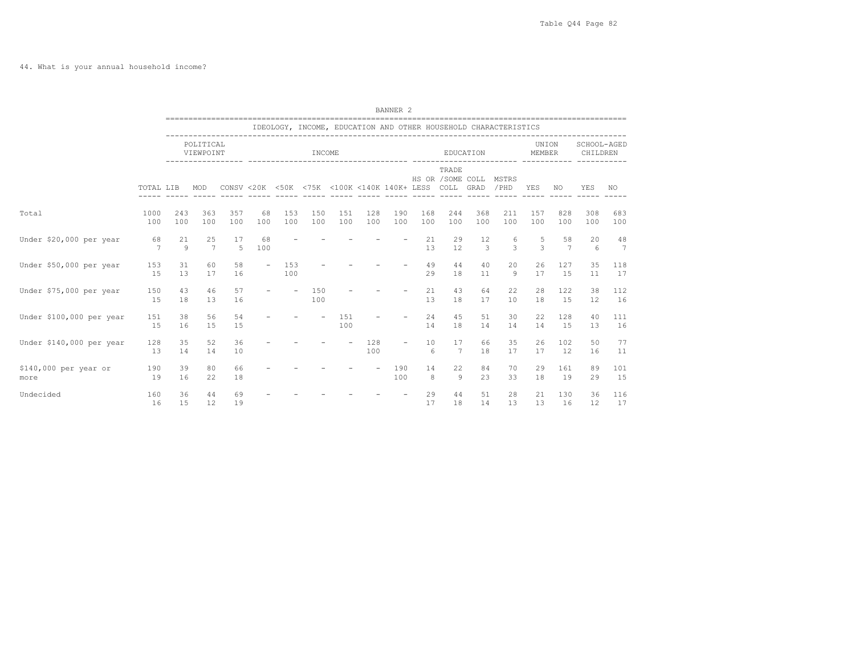44. What is your annual household income?

|                               |                      |            |                        |            |                          |            |            |                                                  |            | BANNER <sub>2</sub>      |            |                            |            |                                                                 |                 |            |                         |            |
|-------------------------------|----------------------|------------|------------------------|------------|--------------------------|------------|------------|--------------------------------------------------|------------|--------------------------|------------|----------------------------|------------|-----------------------------------------------------------------|-----------------|------------|-------------------------|------------|
|                               |                      |            |                        |            |                          |            |            |                                                  |            |                          |            |                            |            | IDEOLOGY, INCOME, EDUCATION AND OTHER HOUSEHOLD CHARACTERISTICS |                 |            |                         |            |
|                               |                      |            | POLITICAL<br>VIEWPOINT |            |                          |            | INCOME     |                                                  |            |                          |            |                            | EDUCATION  |                                                                 | UNION<br>MEMBER |            | SCHOOL-AGED<br>CHILDREN |            |
|                               | TOTAL LIB            |            | MOD                    |            |                          |            |            | CONSV <20K <50K <75K <100K <140K 140K+ LESS COLL |            |                          |            | TRADE<br>HS OR / SOME COLL | GRAD       | MSTRS<br>/PHD                                                   | YES             | NO.        | YES                     | NO.        |
| Total                         | 1000<br>100          | 243<br>100 | 363<br>100             | 357<br>100 | 68<br>100                | 153<br>100 | 150<br>100 | 151<br>100                                       | 128<br>100 | 190<br>100               | 168<br>100 | 244<br>100                 | 368<br>100 | 211<br>100                                                      | 157<br>100      | 828<br>100 | 308<br>100              | 683<br>100 |
| Under \$20,000 per year       | 68<br>$\overline{7}$ | 21<br>9    | 25<br>7                | 17<br>5    | 68<br>100                |            |            |                                                  |            |                          | 21<br>13   | 29<br>12                   | 12<br>3    | 6<br>3                                                          | 5<br>3          | 58<br>7    | 20<br>6                 | 48<br>7    |
| Under \$50,000 per year       | 153<br>15            | 31<br>13   | 60<br>17               | 58<br>16   | $\overline{\phantom{a}}$ | 153<br>100 |            |                                                  |            |                          | 49<br>29   | 44<br>18                   | 40<br>11   | 20<br>9                                                         | 26<br>17        | 127<br>15  | 35<br>11                | 118<br>17  |
| Under \$75,000 per year       | 150<br>15            | 43<br>18   | 46<br>13               | 57<br>16   | $\overline{\phantom{a}}$ | $\sim$     | 150<br>100 |                                                  |            |                          | 21<br>13   | 43<br>18                   | 64<br>17   | 22<br>10                                                        | 28<br>18        | 122<br>15  | 38<br>12                | 112<br>16  |
| Under \$100,000 per year      | 151<br>15            | 38<br>16   | 56<br>15               | 54<br>15   |                          |            |            | 1.51<br>100                                      |            |                          | 24<br>14   | 45<br>18                   | 51<br>14   | 30<br>14                                                        | 22<br>14        | 128<br>15  | 40<br>13                | 111<br>16  |
| Under \$140,000 per year      | 128<br>13            | 35<br>14   | 52<br>14               | 36<br>10   |                          |            |            | $\overline{\phantom{a}}$                         | 128<br>100 | $\overline{\phantom{0}}$ | 10<br>6    | 17<br>7                    | 66<br>18   | 35<br>17                                                        | 26<br>17        | 102<br>12  | 50<br>16                | 77<br>11   |
| \$140,000 per year or<br>more | 190<br>19            | 39<br>16   | 80<br>22               | 66<br>18   |                          |            |            |                                                  |            | 190<br>100               | 14<br>8    | 22<br>9                    | 84<br>23   | 70<br>33                                                        | 29<br>18        | 161<br>19  | 89<br>29                | 101<br>15  |
| Undecided                     | 160<br>16            | 36<br>15   | 44<br>12               | 69<br>19   |                          |            |            |                                                  |            |                          | 29<br>17   | 44<br>18                   | 51<br>14   | 28<br>13                                                        | 21<br>13        | 130<br>16  | 36<br>12                | 116<br>17  |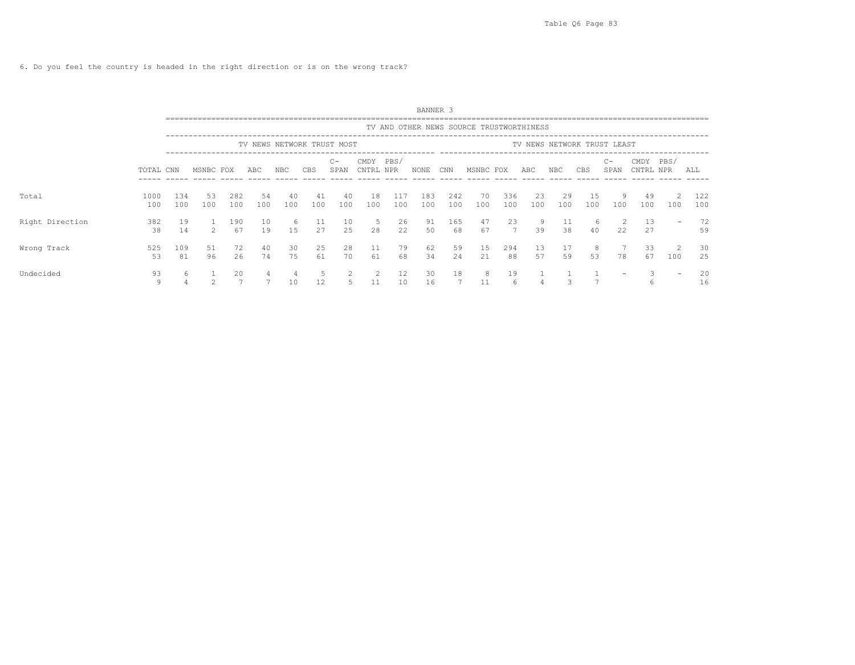6. Do you feel the country is headed in the right direction or is on the wrong track?

|                 |             |            |           |            |           |           |            |                            |                   |            | BANNER 3   |            |                                          |                      |           |           |                             |               |                   |                          |            |
|-----------------|-------------|------------|-----------|------------|-----------|-----------|------------|----------------------------|-------------------|------------|------------|------------|------------------------------------------|----------------------|-----------|-----------|-----------------------------|---------------|-------------------|--------------------------|------------|
|                 |             |            |           |            |           |           |            |                            |                   |            |            |            | TV AND OTHER NEWS SOURCE TRUSTWORTHINESS |                      |           |           |                             |               |                   |                          |            |
|                 |             |            |           |            |           |           |            | TV NEWS NETWORK TRUST MOST |                   |            |            |            |                                          |                      |           |           | TV NEWS NETWORK TRUST LEAST |               |                   |                          |            |
|                 | TOTAL CNN   |            | MSNBC FOX |            | ABC       | NBC       | <b>CBS</b> | $C -$<br>SPAN              | CMDY<br>CNTRL NPR | PBS/       | NONE       | CNN        | MSNBC FOX                                |                      | ABC       | NBC.      | CBS                         | $C -$<br>SPAN | CMDY<br>CNTRL NPR | PBS/                     | ALL        |
| Total           | 1000<br>100 | 134<br>100 | 53<br>100 | 282<br>100 | 54<br>100 | 40<br>100 | 41<br>100  | 40<br>100                  | 18<br>100         | 117<br>100 | 183<br>100 | 242<br>100 | 70<br>100                                | 336<br>100           | 23<br>100 | 29<br>100 | 15<br>100                   | 9<br>100      | 49<br>100         | 100                      | 122<br>100 |
| Right Direction | 382<br>38   | 19<br>14   |           | 190<br>67  | 10<br>19  | 6<br>15   | 11<br>27   | 10<br>25                   | -5<br>28          | 26<br>22   | 91<br>50   | 165<br>68  | 47<br>67                                 | 23<br>$\overline{7}$ | 9<br>39   | 11<br>38  | 6<br>40                     | 22            | 13<br>27          |                          | 72<br>59   |
| Wrong Track     | 525<br>53   | 109<br>81  | 51<br>96  | 72<br>26   | 40<br>74  | 30<br>75  | 25<br>61   | 28<br>70                   | 11<br>61          | 79<br>68   | 62<br>34   | 59<br>24   | 15<br>21                                 | 294<br>88            | 13<br>57  | 17<br>59  | 8<br>53                     | 78            | 33<br>67          | 2<br>100                 | 30<br>25   |
| Undecided       | 93<br>9     | 6          |           | 20         |           | 10        | 12         |                            | 2<br>11           | 12<br>10   | 30<br>16   | 18         | 8<br>11                                  | 19<br>6              |           |           |                             |               | h                 | $\overline{\phantom{0}}$ | 20<br>16   |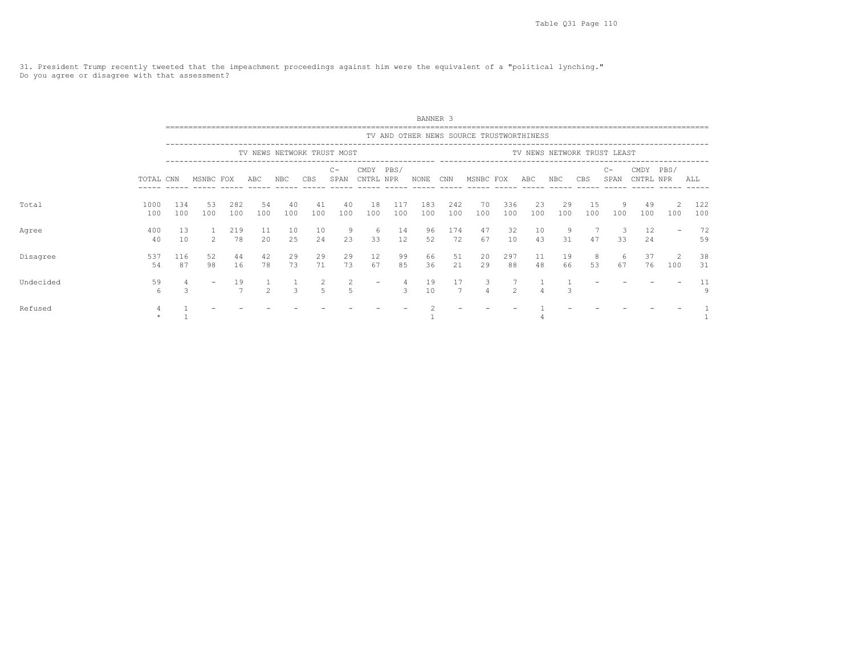31. President Trump recently tweeted that the impeachment proceedings against him were the equivalent of a "political lynching." Do you agree or disagree with that assessment?

|           |             |            |           |            |               |           |           |                            |                          |               | BANNER 3   |            |                                          |                |           |           |           |                             |                   |                      |            |
|-----------|-------------|------------|-----------|------------|---------------|-----------|-----------|----------------------------|--------------------------|---------------|------------|------------|------------------------------------------|----------------|-----------|-----------|-----------|-----------------------------|-------------------|----------------------|------------|
|           |             |            |           |            |               |           |           |                            |                          |               |            |            | TV AND OTHER NEWS SOURCE TRUSTWORTHINESS |                |           |           |           |                             |                   |                      |            |
|           |             |            |           |            |               |           |           | TV NEWS NETWORK TRUST MOST |                          |               |            |            |                                          |                |           |           |           | TV NEWS NETWORK TRUST LEAST |                   |                      |            |
|           | TOTAL CNN   |            | MSNBC FOX |            | ABC           | NBC       | CBS       | $C -$<br>SPAN              | CMDY<br>CNTRL NPR        | PBS/          | NONE       | CNN        | MSNBC FOX                                |                | ABC       | NBC       | CBS       | $C -$<br>SPAN               | CMDY<br>CNTRL NPR | PBS/                 | ALL        |
| Total     | 1000<br>100 | 134<br>100 | 53<br>100 | 282<br>100 | 54<br>100     | 40<br>100 | 41<br>100 | 40<br>100                  | 18<br>100                | 117<br>100    | 183<br>100 | 242<br>100 | 70<br>100                                | 336<br>100     | 23<br>100 | 29<br>100 | 15<br>100 | 9<br>100                    | 49<br>100         | $\mathcal{L}$<br>100 | 122<br>100 |
| Agree     | 400<br>40   | 13<br>10   | $2^{1}$   | 219<br>78  | 11<br>20      | 10<br>25  | 10<br>24  | -9<br>23                   | 6<br>33                  | 14<br>12      | 96<br>52   | 174<br>72  | 47<br>67                                 | 32<br>10       | 10<br>43  | 9<br>31   | 47        | 3<br>33                     | 12<br>24          |                      | 72<br>59   |
| Disagree  | 537<br>54   | 116<br>87  | 52<br>98  | 44<br>16   | 42<br>78      | 29<br>73  | 29<br>71  | 29<br>73                   | 12<br>67                 | 99<br>85      | 66<br>36   | 51<br>21   | 20<br>29                                 | 297<br>88      | 11<br>48  | 19<br>66  | 8<br>53   | -6<br>67                    | 37<br>76          | 2<br>100             | 38<br>31   |
| Undecided | 59<br>6     | 3          |           | 19         | $\mathcal{P}$ |           |           | 2                          | $\overline{\phantom{a}}$ | $\mathcal{L}$ | 19<br>10   | 17         | 3<br>4                                   | $\mathfrak{D}$ |           |           |           |                             |                   |                      | 11<br>9    |
| Refused   |             |            |           |            |               |           |           |                            |                          |               |            |            |                                          |                |           |           |           |                             |                   |                      |            |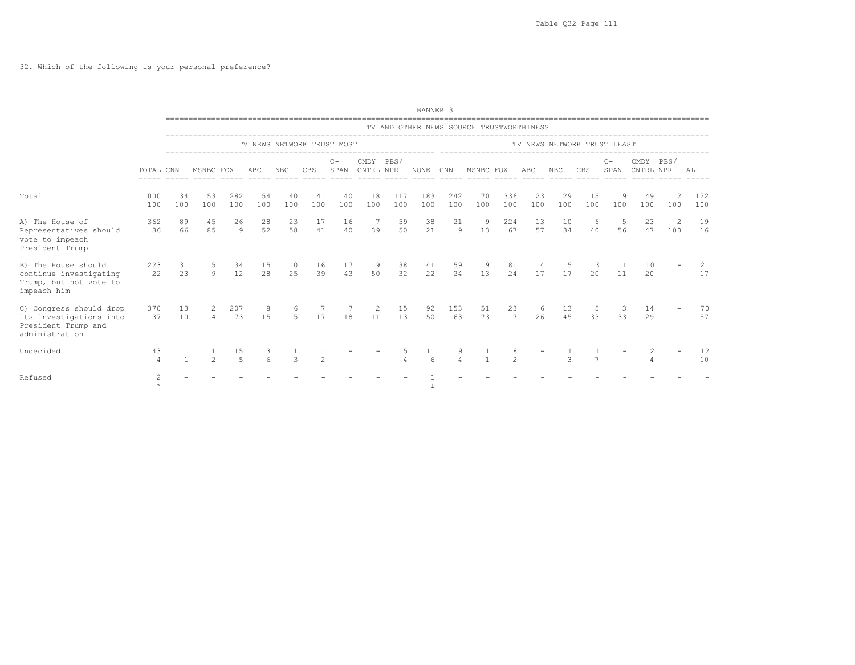|                                                                                             |                |            |                     |                      |               |                            |                |               |                        |            | BANNER 3    |                |                                          |                     |           |               |                             |               |                   |           |            |
|---------------------------------------------------------------------------------------------|----------------|------------|---------------------|----------------------|---------------|----------------------------|----------------|---------------|------------------------|------------|-------------|----------------|------------------------------------------|---------------------|-----------|---------------|-----------------------------|---------------|-------------------|-----------|------------|
|                                                                                             |                |            |                     |                      |               |                            |                |               |                        |            |             |                | TV AND OTHER NEWS SOURCE TRUSTWORTHINESS |                     |           |               |                             |               |                   |           |            |
|                                                                                             |                |            |                     |                      |               | TV NEWS NETWORK TRUST MOST |                |               |                        |            |             |                |                                          |                     |           |               | TV NEWS NETWORK TRUST LEAST |               |                   |           |            |
|                                                                                             | TOTAL CNN      |            | MSNBC FOX           |                      | ABC           | NBC                        | CBS            | $C -$<br>SPAN | CMDY PBS/<br>CNTRL NPR |            | <b>NONE</b> | CNN            | MSNBC FOX                                |                     | ABC       | <b>NBC</b>    | CBS                         | $C -$<br>SPAN | CMDY<br>CNTRL NPR | PBS/      | ALL        |
| Total                                                                                       | 1000<br>100    | 134<br>100 | 53<br>100           | 282<br>100           | 54<br>100     | 40<br>100                  | 41<br>100      | 40<br>100     | 18<br>100              | 117<br>100 | 183<br>100  | 242<br>100     | 70<br>100                                | 336<br>100          | 23<br>100 | 29<br>100     | 15<br>100                   | 9<br>100      | 49<br>100         | 100       | 122<br>100 |
| A) The House of<br>Representatives should<br>vote to impeach<br>President Trump             | 362<br>36      | 89<br>66   | 45<br>85            | 26<br>9              | 28<br>52      | 23<br>58                   | 17<br>41       | 16<br>40      | $\overline{7}$<br>39   | 59<br>50   | 38<br>21    | 21<br>$\theta$ | - 9<br>13                                | 224<br>67           | 13<br>57  | 10<br>34      | 6<br>40                     | 5<br>56       | 23<br>47          | -2<br>100 | 19<br>16   |
| B) The House should<br>continue investigating<br>Trump, but not vote to<br>impeach him      | 223<br>22      | 31<br>23   | -5<br>$\mathcal{Q}$ | 34<br>12             | 15<br>28      | 10<br>25                   | 16<br>39       | 17<br>43      | 9<br>50                | 38<br>32   | 41<br>22    | 59<br>24       | -9<br>13                                 | 81<br>24            | 17        | -5<br>17      | 3<br>20                     | 11            | 10<br>20          |           | 21<br>17   |
| C) Congress should drop<br>its investigations into<br>President Trump and<br>administration | 370<br>37      | 13<br>10   | $\overline{4}$      | 207<br>73            | 8<br>15       | -6<br>15                   | 17             | 18            | -2<br>11               | 15<br>13   | 92<br>50    | 153<br>63      | 51<br>73                                 | 23<br>7             | 6<br>26   | 13<br>45      | 5<br>33                     | 3<br>33       | 14<br>29          |           | 70<br>57   |
| Undecided                                                                                   | 43<br>$\Delta$ |            | $\mathfrak{D}$      | 15<br>$\overline{5}$ | 3<br>$\kappa$ | $\mathcal{L}$              | $\mathfrak{D}$ |               |                        |            | 11<br>6     | $\overline{4}$ | $\mathbf{1}$                             | 8<br>$\mathfrak{D}$ |           | $\mathcal{L}$ | $\overline{7}$              |               | $\overline{4}$    |           | 12<br>10   |
| Refused                                                                                     | $\mathbf{2}$   |            |                     |                      |               |                            |                |               |                        |            |             |                |                                          |                     |           |               |                             |               |                   |           |            |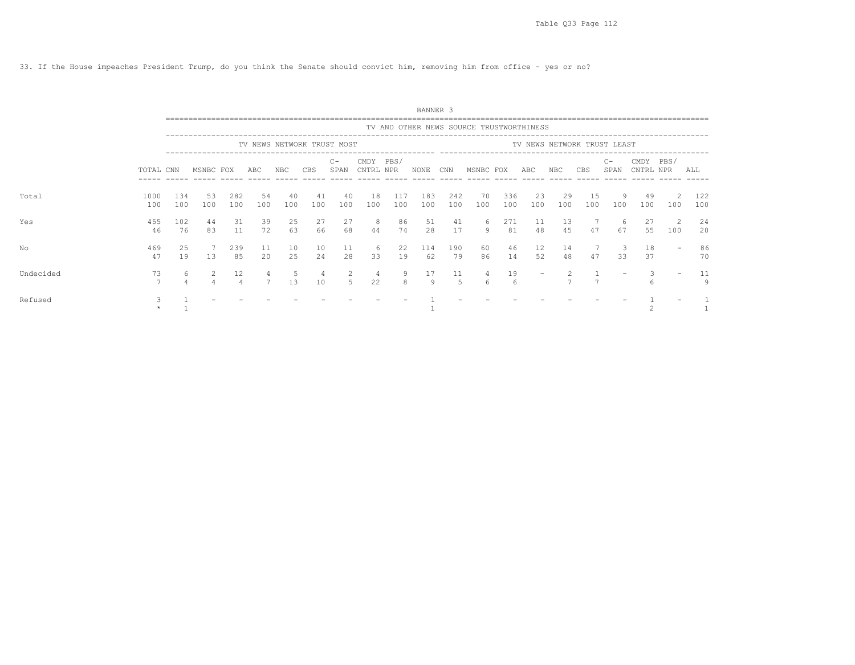33. If the House impeaches President Trump, do you think the Senate should convict him, removing him from office - yes or no?

|           |             |            |           |            |           |           |           |                                 |                   |            | BANNER 3   |            |                                          |            |                   |           |                             |               |                   |                      |            |
|-----------|-------------|------------|-----------|------------|-----------|-----------|-----------|---------------------------------|-------------------|------------|------------|------------|------------------------------------------|------------|-------------------|-----------|-----------------------------|---------------|-------------------|----------------------|------------|
|           |             |            |           |            |           |           |           | ------------------------------- |                   |            |            |            | TV AND OTHER NEWS SOURCE TRUSTWORTHINESS |            |                   |           |                             |               |                   |                      |            |
|           |             |            |           |            |           |           |           | TV NEWS NETWORK TRUST MOST      |                   |            |            |            |                                          |            |                   |           | TV NEWS NETWORK TRUST LEAST |               |                   |                      |            |
|           | TOTAL CNN   |            | MSNBC FOX |            | ABC       | NBC       | CBS       | $C -$<br>SPAN                   | CMDY<br>CNTRL NPR | PBS/       | NONE       | CNN        | MSNBC FOX                                |            | ABC               | NBC       | CBS                         | $C -$<br>SPAN | CMDY<br>CNTRL NPR | PBS/                 | ALL        |
| Total     | 1000<br>100 | 134<br>100 | 53<br>100 | 282<br>100 | 54<br>100 | 40<br>100 | 41<br>100 | 40<br>100                       | 18<br>100         | 117<br>100 | 183<br>100 | 242<br>100 | 70<br>100                                | 336<br>100 | 23<br>100         | 29<br>100 | 15<br>100                   | 9<br>100      | 49<br>100         | $\mathcal{L}$<br>100 | 122<br>100 |
| Yes       | 455<br>46   | 102<br>76  | 44<br>83  | 31<br>11   | 39<br>72  | 25<br>63  | 27<br>66  | 27<br>68                        | -8<br>44          | 86<br>74   | 51<br>28   | 41<br>17   | -6<br>9                                  | 271<br>81  | 11<br>48          | 13<br>4.5 | 47                          | 6<br>67       | 27<br>55          | 2<br>100             | 24<br>20   |
| No        | 469<br>47   | 25<br>19   | 13        | 239<br>85  | 11<br>20  | 10<br>25  | 10<br>24  | 11<br>28                        | -6<br>33          | 22<br>19   | 114<br>62  | 190<br>79  | 60<br>86                                 | 46<br>14   | 12<br>52          | 14<br>48  | 47                          | 33            | 18<br>37          |                      | 86<br>70   |
| Undecided | 73          | 6          |           | 12         |           | 13        | 4<br>10   |                                 | -4<br>22          | 9<br>8     | 17<br>9    | 11<br>.5   | 4<br>6                                   | 19<br>6    | $\qquad \qquad -$ |           |                             |               |                   |                      | 11<br>9    |
| Refused   |             |            |           |            |           |           |           |                                 |                   |            |            |            |                                          |            |                   |           |                             |               |                   |                      |            |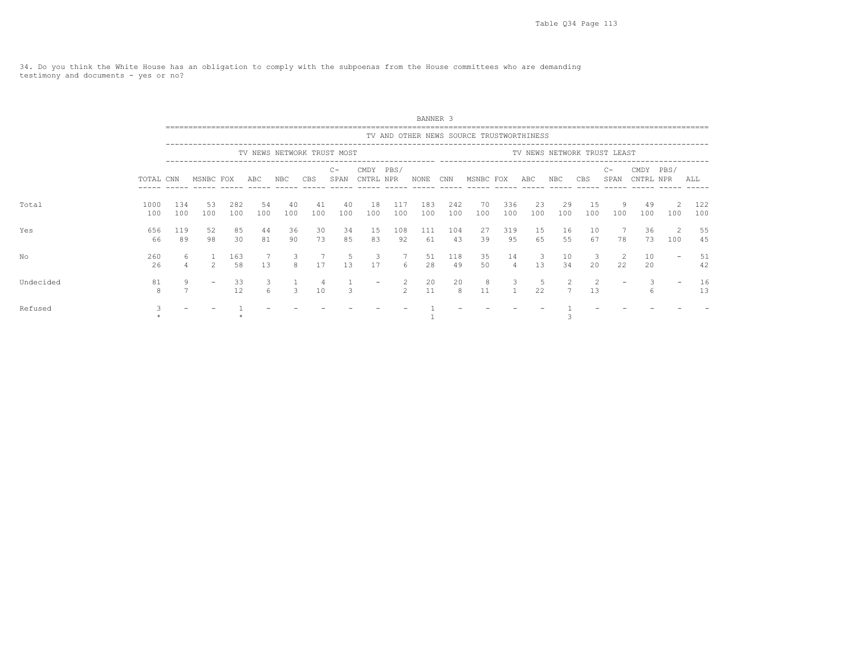34. Do you think the White House has an obligation to comply with the subpoenas from the House committees who are demanding testimony and documents - yes or no?

|           |             |            |               |            |           |           |            |                            |                          |                | BANNER <sub>3</sub> |            |                                          |            |           |            |           |                             |                   |          |            |
|-----------|-------------|------------|---------------|------------|-----------|-----------|------------|----------------------------|--------------------------|----------------|---------------------|------------|------------------------------------------|------------|-----------|------------|-----------|-----------------------------|-------------------|----------|------------|
|           |             |            |               |            |           |           |            |                            |                          |                |                     |            | TV AND OTHER NEWS SOURCE TRUSTWORTHINESS |            |           |            |           |                             |                   |          |            |
|           |             |            |               |            |           |           |            | TV NEWS NETWORK TRUST MOST |                          |                |                     |            |                                          |            |           |            |           | TV NEWS NETWORK TRUST LEAST |                   |          |            |
|           | TOTAL CNN   |            | MSNBC FOX     |            | ABC       | NBC       | CBS        | $C -$<br>SPAN              | CMDY<br>CNTRL NPR        | PBS/           | NONE                | CNN        | MSNBC FOX                                |            | ABC       | NBC        | CBS       | $C-$<br>SPAN                | CMDY<br>CNTRL NPR | PBS/     | ALL        |
| Total     | 1000<br>100 | 134<br>100 | 53<br>100     | 282<br>100 | 54<br>100 | 40<br>100 | -41<br>100 | 40<br>100                  | 18<br>100                | 117<br>100     | 183<br>100          | 242<br>100 | 70<br>100                                | 336<br>100 | 23<br>100 | -29<br>100 | 15<br>100 | 9<br>100                    | 49<br>100         | 100      | 122<br>100 |
| Yes       | 656<br>66   | 119<br>89  | 52<br>98      | 85<br>30   | 44<br>81  | 36<br>90  | 30<br>73   | 34<br>85                   | 15<br>83                 | 108<br>92      | 111<br>61           | 104<br>43  | 27<br>39                                 | 319<br>95  | 15<br>65  | 16<br>55   | 10<br>67  | 78                          | 36<br>73          | 2<br>100 | 55<br>45   |
| No        | 260<br>26   | 6<br>4     | $\mathcal{L}$ | 163<br>58  | 13        | 3<br>8    | 17         | 5<br>13                    | 3<br>17                  | 6              | 51<br>28            | 118<br>49  | 35<br>50                                 | 14<br>4    | 3<br>13   | 10<br>34   | 3<br>20   | 2<br>22                     | 10<br>20          |          | 51<br>42   |
| Undecided | 81<br>8     | 9          |               | 33<br>12   | 3.        |           | 10         |                            | $\overline{\phantom{a}}$ | $\mathfrak{D}$ | 20<br>11            | 20<br>8    | 8<br>11                                  | 3          | b.<br>22  |            | 13        |                             |                   |          | 16<br>13   |
| Refused   |             |            |               |            |           |           |            |                            |                          |                |                     |            |                                          |            |           |            |           |                             |                   |          |            |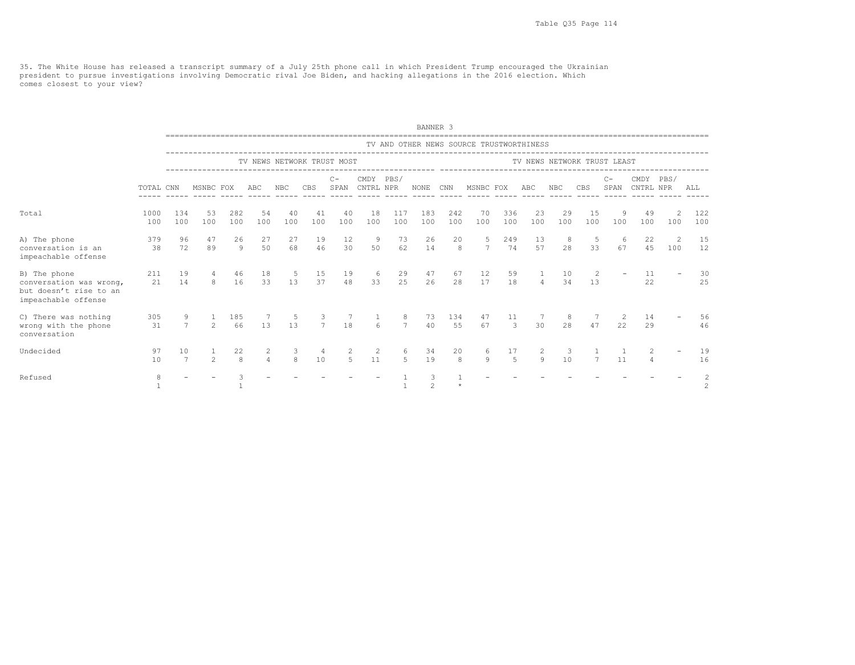35. The White House has released a transcript summary of a July 25th phone call in which President Trump encouraged the Ukrainian<br>president to pursue investigations involving Democratic rival Joe Biden, and hacking allegat comes closest to your view?

|                                                                                          |             |            |                     |                    |                     |                   |                              |                                    |                                  |                     | BANNER 3            |            |                                          |                      |                |            |                             |               |                     |                       |                                  |
|------------------------------------------------------------------------------------------|-------------|------------|---------------------|--------------------|---------------------|-------------------|------------------------------|------------------------------------|----------------------------------|---------------------|---------------------|------------|------------------------------------------|----------------------|----------------|------------|-----------------------------|---------------|---------------------|-----------------------|----------------------------------|
|                                                                                          |             |            |                     |                    |                     |                   |                              |                                    |                                  |                     |                     |            | TV AND OTHER NEWS SOURCE TRUSTWORTHINESS |                      |                |            |                             |               |                     |                       |                                  |
|                                                                                          |             |            |                     |                    |                     |                   |                              | TV NEWS NETWORK TRUST MOST         |                                  |                     |                     |            | ---------------------------              |                      |                |            | TV NEWS NETWORK TRUST LEAST |               |                     |                       |                                  |
|                                                                                          | TOTAL CNN   |            | MSNBC FOX           |                    | ABC                 | <b>NBC</b>        | <b>CBS</b>                   | $C -$<br>SPAN                      | CMDY PBS/<br>CNTRL NPR           |                     | NONE                | CNN        | MSNBC FOX                                |                      | ABC            | <b>NBC</b> | <b>CBS</b>                  | $C -$<br>SPAN | CMDY<br>CNTRL NPR   | PBS/                  | ALL                              |
| Total                                                                                    | 1000<br>100 | 134<br>100 | 53<br>100           | 282<br>100         | 54<br>100           | 40<br>100         | 41<br>100                    | 40<br>100                          | 18<br>100                        | 117<br>100          | 183<br>100          | 242<br>100 | 70<br>100                                | 336<br>100           | 23<br>100      | 29<br>100  | 15<br>100                   | 9<br>100      | -49<br>100          | 2<br>100              | 122<br>100                       |
| A) The phone<br>conversation is an<br>impeachable offense                                | 379<br>38   | 96<br>72   | 47<br>89            | 26<br>Q            | 27<br>50            | 27<br>68          | 19<br>46                     | 12<br>30                           | -9<br>50                         | 73<br>62            | 26<br>14            | 20<br>8    | 5 <sup>5</sup><br>7                      | 249<br>74            | 13<br>57       | - 8<br>2.8 | -5<br>33                    | 6<br>67       | 22<br>4.5           | $\overline{2}$<br>100 | 15<br>12                         |
| B) The phone<br>conversation was wrong,<br>but doesn't rise to an<br>impeachable offense | 211<br>21   | 19<br>14   | 4<br>8 <sup>1</sup> | 46<br>16           | 18<br>33            | - 5<br>13         | 15<br>37                     | 19<br>48                           | -6<br>33                         | 29<br>25            | 47<br>26            | 67<br>28   | 12<br>17                                 | 59<br>18             | $\overline{4}$ | 10<br>34   | 2<br>13                     |               | 11<br>22            |                       | 30<br>25                         |
| C) There was nothing<br>wrong with the phone<br>conversation                             | 305<br>31   |            | 9<br>7<br>$2^{1}$   | 185<br>66          | 7<br>13             | $5^{\circ}$<br>13 | $\overline{\mathbf{3}}$<br>7 | $7\phantom{.0}\phantom{.0}7$<br>18 | $\mathbf{1}$<br>$6 \overline{6}$ | 8<br>$\overline{7}$ | 73<br>40            | 134<br>55  | 47<br>67                                 | 11<br>$\mathcal{S}$  | 30             | - 8<br>2.8 | 7<br>47                     | 2<br>22       | 14<br>29            |                       | 56<br>46                         |
| Undecided                                                                                | 97<br>10    | 10<br>7    | $\mathcal{L}$       | 22<br>$\mathsf{R}$ | 2<br>$\overline{4}$ | 3<br>8            | 4<br>10                      | 2<br>5                             | 2<br>11                          | 6<br>$5^{\circ}$    | 34<br>19            | 20<br>8    | 6<br>9                                   | 17<br>$\overline{5}$ | 2<br>$\theta$  | 3<br>10    | 7                           | 11            | 2<br>$\overline{4}$ |                       | 19<br>16                         |
| Refused                                                                                  | 8           |            |                     |                    |                     |                   |                              |                                    |                                  |                     | 3<br>$\overline{c}$ |            |                                          |                      |                |            |                             |               |                     |                       | $\overline{c}$<br>$\overline{c}$ |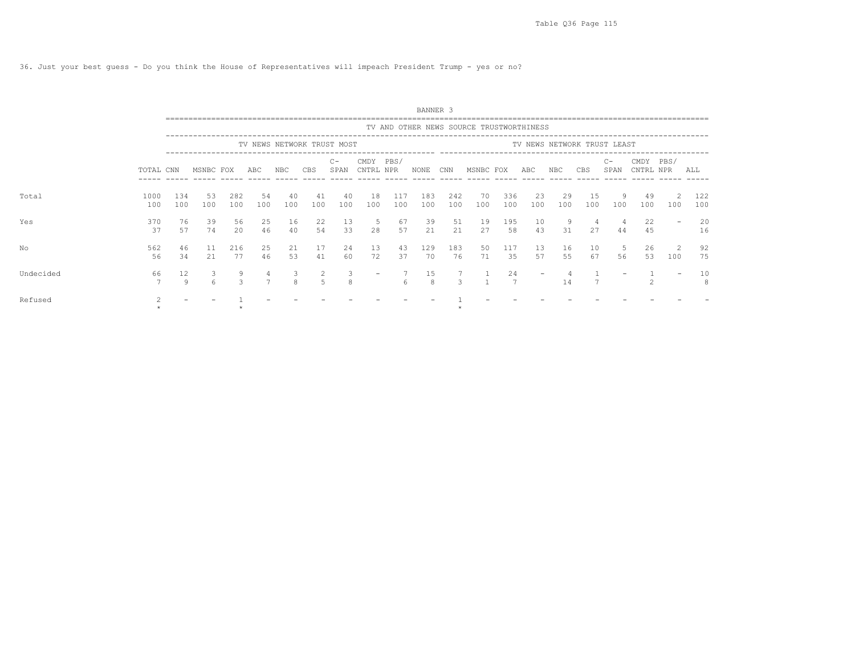36. Just your best guess - Do you think the House of Representatives will impeach President Trump - yes or no?

|           |             |                        |           |                    |           |           |           |                            |                   |            | BANNER <sub>3</sub> |               |                                          |            |                   |           |           |                             |                   |          |            |
|-----------|-------------|------------------------|-----------|--------------------|-----------|-----------|-----------|----------------------------|-------------------|------------|---------------------|---------------|------------------------------------------|------------|-------------------|-----------|-----------|-----------------------------|-------------------|----------|------------|
|           |             |                        |           |                    |           |           |           |                            |                   |            |                     |               | TV AND OTHER NEWS SOURCE TRUSTWORTHINESS |            |                   |           |           |                             |                   |          |            |
|           |             |                        |           |                    |           |           |           | TV NEWS NETWORK TRUST MOST |                   |            |                     |               |                                          |            |                   |           |           | TV NEWS NETWORK TRUST LEAST |                   |          |            |
|           | TOTAL CNN   |                        | MSNBC FOX |                    | ABC       | NBC       | CBS       | $C -$<br>SPAN              | CMDY<br>CNTRL NPR | PBS/       | NONE                | CNN           | MSNBC FOX                                |            | ABC               | NBC       | CBS       | $C -$<br>SPAN               | CMDY<br>CNTRL NPR | PBS/     | ALL        |
| Total     | 1000<br>100 | 134<br>100             | 53<br>100 | 282<br>100         | 54<br>100 | 40<br>100 | 41<br>100 | 40<br>100                  | 18<br>100         | 117<br>100 | 183<br>100          | 242<br>100    | 70<br>100                                | 336<br>100 | 23<br>100         | 29<br>100 | 15<br>100 | 9<br>100                    | 49<br>100         | 2<br>100 | 122<br>100 |
| Yes       | 370<br>37   | 76<br>57               | 39<br>74  | 56<br>$20^{\circ}$ | 25<br>46  | 16<br>40  | 22<br>54  | 13<br>33                   | 5<br>28           | 67<br>57   | 39<br>21            | 51<br>2.1     | 19<br>27                                 | 195<br>58  | 10<br>43          | -9<br>31  | 4<br>27   | 4<br>44                     | 22<br>45          |          | 20<br>16   |
| No        | 562<br>56   | 46<br>34               | 11<br>21  | 216<br>77          | 25<br>46  | 21<br>53  | 17<br>41  | 24<br>60                   | 13<br>72          | 43<br>37   | 129<br>70           | 183<br>76     | 50<br>71                                 | 117<br>35  | 13<br>57          | 16<br>55  | 10<br>67  | -5<br>56                    | 26<br>53          | 2<br>100 | 92<br>75   |
| Undecided | 66          | $12 \overline{ }$<br>Q |           | 9<br>$\mathbf{r}$  |           | 3<br>8    | 2<br>5    | 3<br>8                     |                   | $\kappa$   | 15<br>8             | $\mathcal{L}$ |                                          | 24         | $\qquad \qquad -$ | 14        |           |                             |                   |          | 10<br>8    |
| Refused   |             |                        |           |                    |           |           |           |                            |                   |            |                     |               |                                          |            |                   |           |           |                             |                   |          |            |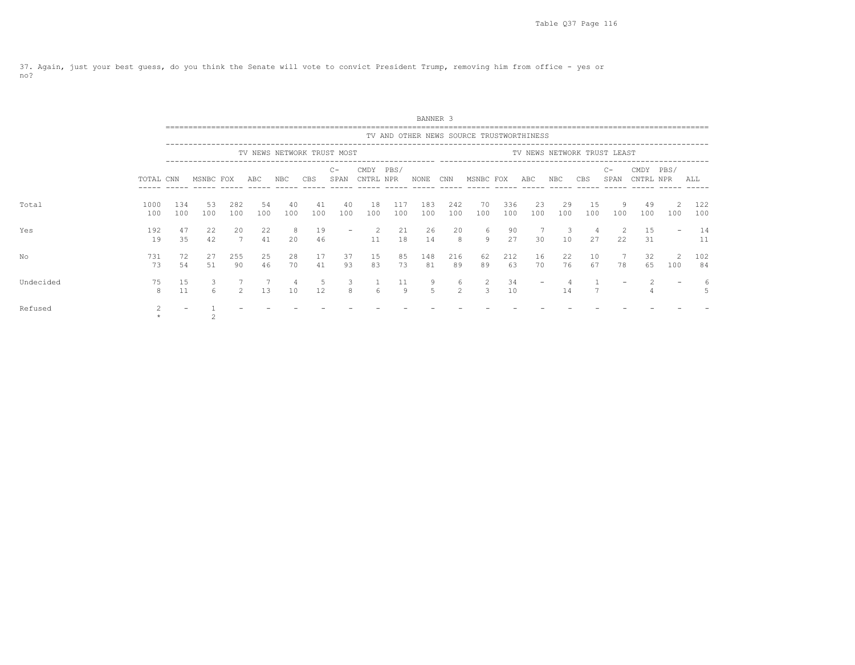37. Again, just your best guess, do you think the Senate will vote to convict President Trump, removing him from office - yes or no?

|           |             |            |           |               |                            |           |           |                 |                   |            | BANNER 3   |                     |                                          |            |                          |           |           |                             |                   |          |            |
|-----------|-------------|------------|-----------|---------------|----------------------------|-----------|-----------|-----------------|-------------------|------------|------------|---------------------|------------------------------------------|------------|--------------------------|-----------|-----------|-----------------------------|-------------------|----------|------------|
|           |             |            |           |               |                            |           |           |                 |                   |            |            |                     | TV AND OTHER NEWS SOURCE TRUSTWORTHINESS |            |                          |           |           |                             |                   |          |            |
|           |             |            |           |               | TV NEWS NETWORK TRUST MOST |           |           |                 |                   |            |            |                     |                                          |            |                          |           |           | TV NEWS NETWORK TRUST LEAST |                   |          |            |
|           | TOTAL CNN   |            | MSNBC FOX |               | ABC                        | NBC       | CBS       | $C -$<br>SPAN   | CMDY<br>CNTRL NPR | PBS/       | NONE       | CNN<br>------       | MSNBC FOX                                |            | ABC                      | NBC       | CBS       | $C -$<br>SPAN               | CMDY<br>CNTRL NPR | PBS/     | ALL        |
| Total     | 1000<br>100 | 134<br>100 | 53<br>100 | 282<br>100    | 54<br>100                  | 40<br>100 | 41<br>100 | 40<br>100       | 18<br>100         | 117<br>100 | 183<br>100 | 242<br>100          | 70<br>100                                | 336<br>100 | 23<br>100                | 29<br>100 | 15<br>100 | 9<br>100                    | -49<br>100        | 2<br>100 | 122<br>100 |
| Yes       | 192<br>19   | 47<br>35   | 22<br>42  | 20<br>7       | 22<br>41                   | 8<br>20   | 19<br>46  | $\qquad \qquad$ | -2<br>11          | 21<br>18   | 26<br>14   | 20<br>8             | 6<br>$\overline{9}$                      | 90<br>27   | 30                       | 3<br>10   | 4<br>27   | 22                          | 15<br>31          |          | 14<br>11   |
| No        | 731<br>73   | 72<br>54   | 27<br>51  | 255<br>90     | 25<br>46                   | 28<br>70  | 17<br>41  | 37<br>93        | 15<br>83          | 85<br>73   | 148<br>81  | 216<br>89           | 62<br>89                                 | 212<br>63  | 16<br>70                 | 22<br>76  | 10<br>67  | 78                          | 32<br>65          | 100      | 102<br>84  |
| Undecided | 75<br>8     | 15<br>11   |           | $\mathcal{L}$ | 13                         | 10        | .5<br>12  | 3<br>8          | 6                 | 11<br>9    | 9<br>5     | 6<br>$\overline{2}$ | 2<br>3                                   | 34<br>10   | $\overline{\phantom{0}}$ | 14        |           |                             |                   |          |            |
| Refused   |             |            |           |               |                            |           |           |                 |                   |            |            |                     |                                          |            |                          |           |           |                             |                   |          |            |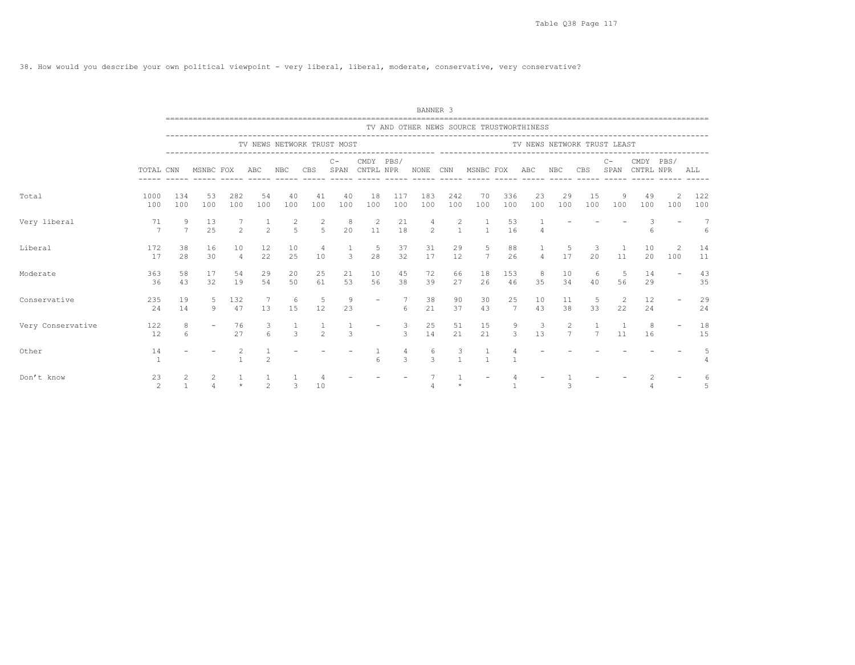38. How would you describe your own political viewpoint - very liberal, liberal, moderate, conservative, very conservative?

|                   |                      |                   |                          |                      |                |                     |                  |                            |                        |               | BANNER <sub>3</sub> |                   |                                                                        |            |                |            |                             |               |                   |                          |            |
|-------------------|----------------------|-------------------|--------------------------|----------------------|----------------|---------------------|------------------|----------------------------|------------------------|---------------|---------------------|-------------------|------------------------------------------------------------------------|------------|----------------|------------|-----------------------------|---------------|-------------------|--------------------------|------------|
|                   |                      |                   |                          |                      |                |                     |                  |                            |                        |               |                     |                   | TV AND OTHER NEWS SOURCE TRUSTWORTHINESS<br>-------------------------- |            |                |            |                             |               |                   |                          |            |
|                   |                      |                   |                          |                      |                |                     |                  | TV NEWS NETWORK TRUST MOST |                        |               |                     |                   |                                                                        |            |                |            | TV NEWS NETWORK TRUST LEAST |               |                   |                          |            |
|                   | TOTAL CNN            |                   | MSNBC FOX                |                      | ABC            | <b>NBC</b>          | <b>CBS</b>       | $C -$<br>SPAN              | CMDY PBS/<br>CNTRL NPR |               | NONE                | CNN               | __________________________________<br>MSNBC FOX                        |            | ABC            | <b>NBC</b> | CBS                         | $C -$<br>SPAN | CMDY<br>CNTRL NPR | PBS/                     | ALL        |
| Total             | 1000<br>100          | 134<br>100        | 53<br>100                | 282<br>100           | 54<br>100      | 40<br>100           | 41<br>100        | 40<br>100                  | 18<br>100              | 117<br>100    | 183<br>100          | 242<br>100        | 70<br>100                                                              | 336<br>100 | 23<br>100      | 29<br>100  | 15<br>100                   | 9<br>100      | 49<br>100         | 2<br>100                 | 122<br>100 |
| Very liberal      | 71<br>$\overline{7}$ | 9<br>7            | 13<br>25                 | $2^{1}$              | $\mathfrak{D}$ | 2<br>$\overline{2}$ | 2<br>$5^{\circ}$ | -8<br>20                   | -2<br>11               | 21<br>18      | 4<br>2              | 2<br>$\mathbf{1}$ | -1<br>$\overline{1}$                                                   | 53<br>16   | 4              |            |                             |               | 6                 |                          | 6          |
| Liberal           | 172<br>17            | 38<br>28          | 16<br>30                 | 10<br>$\overline{4}$ | 12<br>22       | 10<br>25            | 4<br>10          | 3                          | - 5<br>28              | 37<br>32      | 31<br>17            | 29<br>12          | 5<br>$7\overline{ }$                                                   | 88<br>26   | $\overline{4}$ | 5<br>17    | 3<br>2.0                    | 11            | 10<br>20          | 2<br>100                 | 14<br>11   |
| Moderate          | 363<br>36            | 58<br>43          | 17<br>32                 | 54<br>19             | 29<br>54       | 20<br>50            | 25<br>61         | 21<br>53                   | 10<br>56               | 45<br>38      | 72<br>39            | 66<br>27          | 18<br>26                                                               | 153<br>46  | 8<br>35        | 10<br>34   | 6<br>40                     | 56            | 14<br>29          |                          | 43<br>35   |
| Conservative      | 235<br>24            | 19<br>14          | 9                        | 132<br>47            | 13             | -6<br>15            | -5<br>12         | 9<br>23                    |                        | 6             | 38<br>21            | 90<br>37          | 30<br>43                                                               | 25<br>7    | 10<br>43       | 11<br>38   | 5<br>33                     | 2<br>22       | 12<br>24          |                          | 29<br>24   |
| Very Conservative | 122<br>12            | 8<br>6            | $\overline{\phantom{a}}$ | 76<br>27             | 3<br>6         | $\mathcal{L}$       | $\mathfrak{D}$   | 3                          | $\qquad \qquad$        | 3<br>3        | 25<br>14            | 51<br>21          | 15<br>21                                                               | 9<br>3     | 3<br>13        | 2<br>7     | 7                           | 11            | 8<br>16           | $\overline{\phantom{0}}$ | 18<br>15   |
| Other             | 14                   |                   |                          | 2                    |                |                     |                  |                            |                        | $\mathcal{L}$ | -6<br>$\mathcal{L}$ | 3<br>$\mathbf{1}$ | $\mathbf{1}$                                                           |            |                |            |                             |               |                   |                          |            |
| Don't know        | 23<br>$\mathfrak{D}$ | 2<br>$\mathbf{1}$ | 2                        |                      | $\sim$         | 3                   | 10               |                            |                        |               |                     |                   |                                                                        |            |                |            |                             |               |                   |                          |            |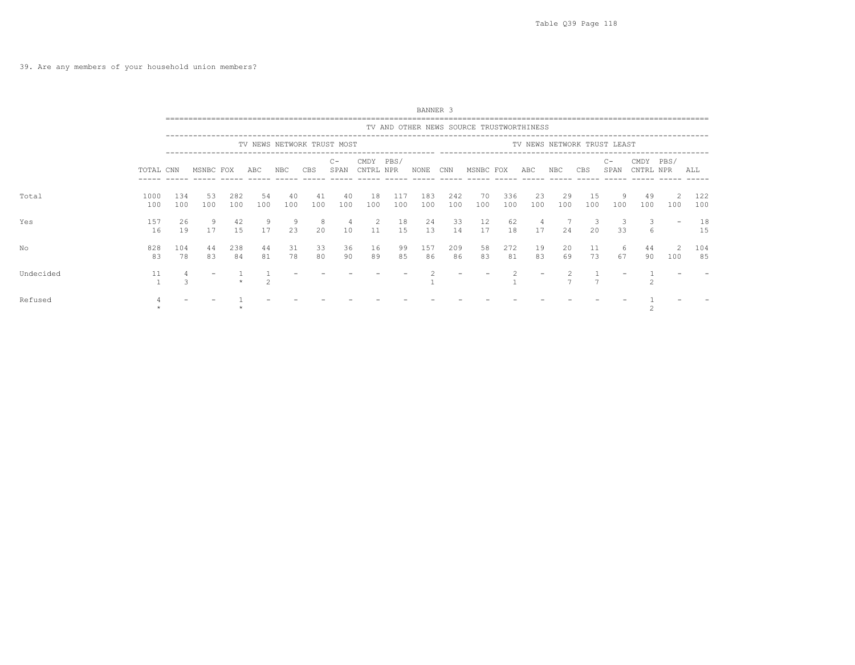## 39. Are any members of your household union members?

|           |             |            |           |            |           |           |                            |               |                   |            | BANNER 3   |            |                                          |            |                      |           |                             |               |                   |                      |            |
|-----------|-------------|------------|-----------|------------|-----------|-----------|----------------------------|---------------|-------------------|------------|------------|------------|------------------------------------------|------------|----------------------|-----------|-----------------------------|---------------|-------------------|----------------------|------------|
|           |             |            |           |            |           |           |                            |               |                   |            |            |            | TV AND OTHER NEWS SOURCE TRUSTWORTHINESS |            |                      |           |                             |               |                   |                      |            |
|           |             |            |           |            |           |           | TV NEWS NETWORK TRUST MOST |               |                   |            |            |            |                                          |            |                      |           | TV NEWS NETWORK TRUST LEAST |               |                   |                      |            |
|           | TOTAL CNN   |            | MSNBC FOX |            | ABC       | NBC       | CBS                        | $C -$<br>SPAN | CMDY<br>CNTRL NPR | PBS/       | NONE       | CNN        | MSNBC FOX                                |            | ABC                  | NBC       | CBS                         | $C -$<br>SPAN | CMDY<br>CNTRL NPR | PBS/                 | ALL        |
| Total     | 1000<br>100 | 134<br>100 | 53<br>100 | 282<br>100 | 54<br>100 | 40<br>100 | 41<br>100                  | 40<br>100     | 18<br>100         | 117<br>100 | 183<br>100 | 242<br>100 | 70<br>100                                | 336<br>100 | 23<br>100            | 29<br>100 | 15<br>100                   | -9<br>100     | 49<br>100         | $\mathcal{L}$<br>100 | 122<br>100 |
| Yes       | 157<br>16   | 26<br>19   | 9<br>17   | 42<br>15   | 9<br>17   | -9<br>23  | -8<br>20                   | -4<br>10      | 2<br>11           | 18<br>15   | 24<br>13   | 33<br>14   | 12<br>17                                 | 62<br>18   | $\overline{4}$<br>17 | 24        | 3<br>2.0                    | 33            | 3<br>6            |                      | 18<br>15   |
| No        | 828<br>83   | 104<br>78  | 44<br>83  | 238<br>84  | 44<br>81  | 31<br>78  | 33<br>80                   | 36<br>90      | 16<br>89          | 99<br>85   | 157<br>86  | 209<br>86  | 58<br>83                                 | 272<br>81  | 19<br>83             | 20<br>69  | 11<br>73                    | -6<br>67      | 44<br>90          | 100                  | 104<br>85  |
| Undecided | 11          |            |           |            |           |           |                            |               |                   |            |            |            |                                          |            |                      |           |                             |               |                   |                      |            |
| Refused   |             |            |           |            |           |           |                            |               |                   |            |            |            |                                          |            |                      |           |                             |               |                   |                      |            |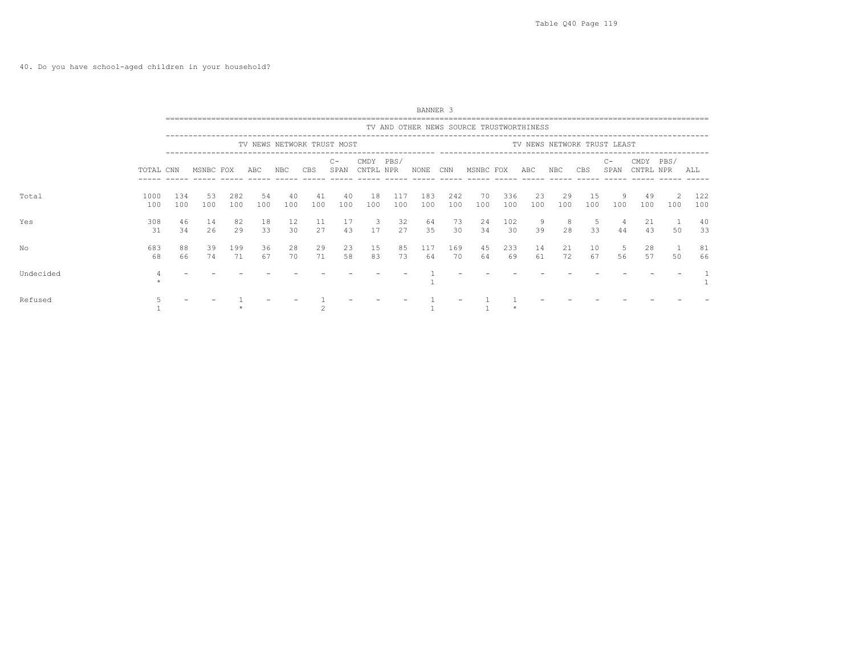|           |             |            |           |            |           |           |           |                            |                               |            | BANNER 3   |            |                                          |            |           |           |                             |              |                   |           |            |
|-----------|-------------|------------|-----------|------------|-----------|-----------|-----------|----------------------------|-------------------------------|------------|------------|------------|------------------------------------------|------------|-----------|-----------|-----------------------------|--------------|-------------------|-----------|------------|
|           |             |            |           |            |           |           |           |                            |                               |            |            |            | TV AND OTHER NEWS SOURCE TRUSTWORTHINESS |            |           |           |                             |              |                   |           |            |
|           |             |            |           |            |           |           |           | TV NEWS NETWORK TRUST MOST |                               |            |            |            |                                          |            |           |           | TV NEWS NETWORK TRUST LEAST |              |                   |           |            |
|           | TOTAL CNN   |            | MSNBC FOX |            | ABC       | NBC       | CBS       | $C -$<br>SPAN              | CMDY<br>CNTRL NPR             | PBS/       | NONE       | CNN        | MSNBC FOX                                |            | ABC       | NBC       | CBS                         | $C-$<br>SPAN | CMDY<br>CNTRL NPR | PBS/      | ALL        |
| Total     | 1000<br>100 | 134<br>100 | 53<br>100 | 282<br>100 | 54<br>100 | 40<br>100 | 41<br>100 | 40<br>100                  | 18<br>100                     | 117<br>100 | 183<br>100 | 242<br>100 | 70<br>100                                | 336<br>100 | 23<br>100 | 29<br>100 | 15<br>100                   | 9<br>100     | 49<br>100         | -2<br>100 | 122<br>100 |
| Yes       | 308<br>31   | 46<br>34   | 14<br>26  | 82<br>29   | 18<br>33  | 12<br>30  | 11<br>27  | 17<br>43                   | $\overline{\mathbf{3}}$<br>17 | 32<br>27   | 64<br>35   | 73<br>30   | 24<br>34                                 | 102<br>30  | 9<br>39   | 8<br>28   | 5<br>33                     | 44           | 21<br>43          | 50        | 40<br>33   |
| No        | 683<br>68   | 88<br>66   | 39<br>74  | 199<br>71  | 36<br>67  | 28<br>70  | 29<br>71  | 23<br>58                   | 15<br>83                      | 85<br>73   | 117<br>64  | 169<br>70  | 45<br>64                                 | 233<br>69  | 14<br>61  | 21<br>72  | 10<br>67                    | 5<br>56      | 28<br>57          | 50        | 81<br>66   |
| Undecided |             |            |           |            |           |           |           |                            |                               |            |            |            |                                          |            |           |           |                             |              |                   |           |            |
| Refused   |             |            |           |            |           |           |           |                            |                               |            |            |            |                                          |            |           |           |                             |              |                   |           |            |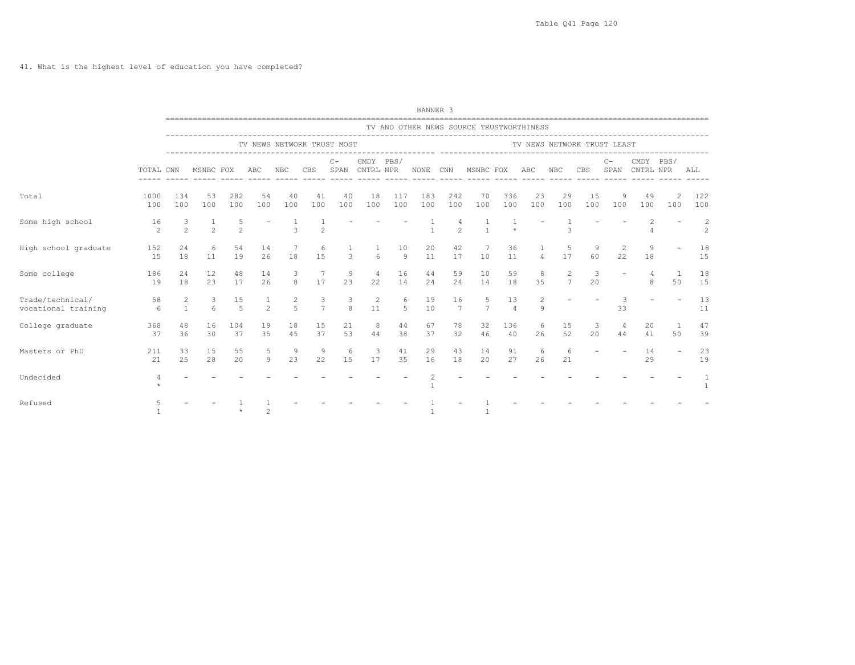|                                         |                      |                   |                       |                      |                     |                     |                     |                            |                        |                      | BANNER <sub>3</sub> |                       |                                                   |                      |                |                      |                             |              |                   |                    |                     |
|-----------------------------------------|----------------------|-------------------|-----------------------|----------------------|---------------------|---------------------|---------------------|----------------------------|------------------------|----------------------|---------------------|-----------------------|---------------------------------------------------|----------------------|----------------|----------------------|-----------------------------|--------------|-------------------|--------------------|---------------------|
|                                         |                      |                   |                       |                      |                     |                     |                     |                            |                        |                      |                     |                       | TV AND OTHER NEWS SOURCE TRUSTWORTHINESS          |                      |                |                      |                             |              |                   |                    |                     |
|                                         |                      |                   |                       |                      |                     |                     |                     | TV NEWS NETWORK TRUST MOST |                        |                      |                     |                       |                                                   |                      |                |                      | TV NEWS NETWORK TRUST LEAST |              |                   |                    |                     |
|                                         | TOTAL CNN            |                   | MSNBC FOX             |                      | ABC                 | <b>NBC</b>          | CBS                 | $C -$<br>SPAN              | CMDY PBS/<br>CNTRL NPR |                      | NONE                | CNN                   | ----------------- ------------------<br>MSNBC FOX |                      | ABC            | NBC                  | <b>CBS</b>                  | $C-$<br>SPAN | CMDY<br>CNTRL NPR | PBS/               | ALL                 |
| Total                                   | 1000<br>100          | 134<br>100        | 53<br>100             | 282<br>100           | 54<br>100           | 40<br>100           | 41<br>100           | 40<br>100                  | 18<br>100              | 117<br>100           | 183<br>100          | 242<br>100            | 70<br>100                                         | 336<br>100           | 23<br>100      | 29<br>100            | 15<br>100                   | 9<br>100     | 49<br>100         | 2<br>100           | 122<br>100          |
| Some high school                        | 16<br>$\mathfrak{D}$ | $\mathfrak{D}$    | $\mathfrak{D}$        | 5<br>$\mathfrak{D}$  |                     | 3                   | $\overline{2}$      |                            |                        |                      | $\mathbf{1}$        | $\mathfrak{D}$        |                                                   |                      |                | $\mathcal{R}$        |                             |              |                   |                    | 2<br>$\overline{c}$ |
| High school graduate                    | 152<br>15            | 24<br>18          | 6<br>11               | 54<br>19             | 14<br>26            | 18                  | 6<br>15             | 3                          | $6 \overline{6}$       | 10<br>$\overline{9}$ | 20<br>11            | 42<br>17              | 10                                                | 36<br>11             | $\overline{4}$ | 5<br>17              | 9<br>60                     | 2<br>22      | 9<br>18           |                    | 18<br>15            |
| Some college                            | 186<br>19            | 24<br>18          | 12<br>23              | 48<br>17             | 14<br>26            | 3<br>8              | - 7<br>17           | 9<br>23                    | 4<br>22                | 16<br>14             | 44<br>24            | 59<br>24              | 10<br>14                                          | 59<br>18             | 8<br>35        | 2<br>$7\phantom{.0}$ | 3<br>20                     |              | 8                 | 50                 | 18<br>15            |
| Trade/technical/<br>vocational training | 58<br>6              | 2<br>$\mathbf{1}$ | 3<br>$6 \overline{6}$ | 15<br>$\overline{5}$ | 1<br>$\overline{2}$ | 2<br>$\overline{5}$ | 3<br>$\overline{7}$ | 3<br>8                     | 2<br>11                | 6<br>5               | 19<br>10            | 16<br>$7\phantom{.0}$ | 5<br>$7\phantom{.0}$                              | 13<br>$\overline{4}$ | 9              |                      |                             | 3<br>33      |                   |                    | 13<br>11            |
| College graduate                        | 368<br>37            | 48<br>36          | 16<br>30              | 104<br>37            | 19<br>35            | 18<br>45            | 15<br>37            | 21<br>53                   | 8<br>44                | 44<br>38             | 67<br>37            | 78<br>32              | 32<br>46                                          | 136<br>40            | 6<br>26        | 15<br>52             | 3<br>20                     | 4<br>44      | 20<br>41          | $\mathbf{1}$<br>50 | 47<br>39            |
| Masters or PhD                          | 211<br>21            | 33<br>2.5         | 15<br>28              | 55<br>2.0            | 5<br>$\circ$        | 9<br>23             | 9<br>22             | 6<br>15                    | 3<br>17                | 41<br>35             | 29<br>16            | 43<br>18              | 14<br>20                                          | 91<br>27             | 6<br>26        | 6<br>21              |                             |              | 14<br>29          |                    | 23<br>19            |
| Undecided                               |                      |                   |                       |                      |                     |                     |                     |                            |                        |                      | 2                   |                       |                                                   |                      |                |                      |                             |              |                   |                    |                     |
| Refused                                 |                      |                   |                       |                      | $\mathfrak{D}$      |                     |                     |                            |                        |                      |                     |                       |                                                   |                      |                |                      |                             |              |                   |                    |                     |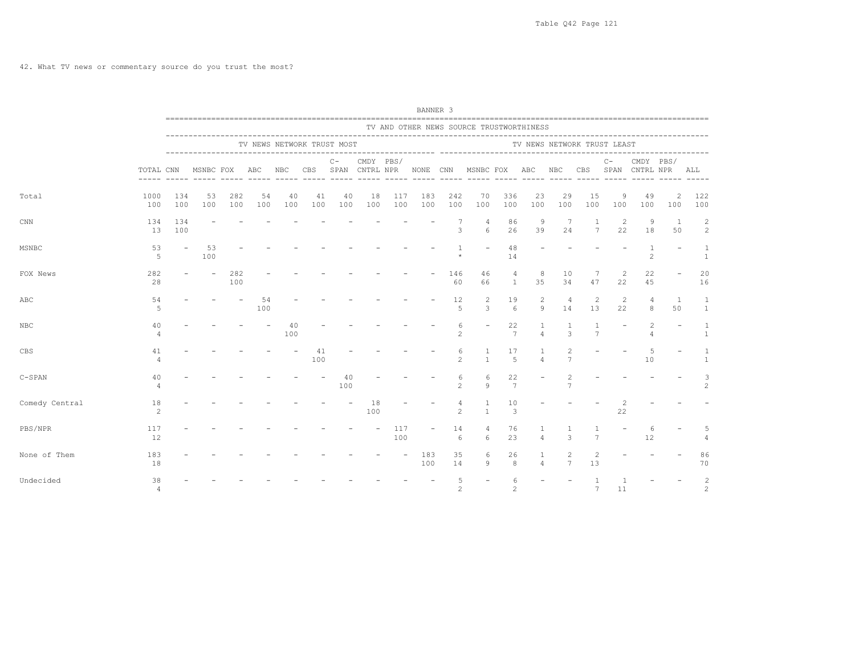|                |                      |            |                          |            |           |           |           |                             |           |            | BANNER <sub>3</sub>     |                         |                                          |                                  |                     |                                                                                    |                                  |          |                                  |                      |                              |
|----------------|----------------------|------------|--------------------------|------------|-----------|-----------|-----------|-----------------------------|-----------|------------|-------------------------|-------------------------|------------------------------------------|----------------------------------|---------------------|------------------------------------------------------------------------------------|----------------------------------|----------|----------------------------------|----------------------|------------------------------|
|                |                      |            |                          |            |           |           |           |                             |           |            |                         |                         | TV AND OTHER NEWS SOURCE TRUSTWORTHINESS |                                  |                     |                                                                                    |                                  |          |                                  |                      |                              |
|                |                      |            |                          |            |           |           |           | TV NEWS NETWORK TRUST MOST  |           |            |                         |                         |                                          |                                  |                     | TV NEWS NETWORK TRUST LEAST                                                        |                                  |          |                                  |                      |                              |
|                | TOTAL CNN            |            |                          |            |           |           |           | $C -$<br>------ ----- ----- | CMDY PBS/ |            | ----- ----- ----- ----- |                         |                                          |                                  |                     | MSNBC FOX ABC NBC CBS SPAN CNTRL NPR NONE CNN MSNBC FOX ABC NBC CBS SPAN CNTRL NPR | ______ _____ ____                | $C -$    | CMDY PBS/                        |                      | ALL                          |
| Total          | 1000<br>100          | 134<br>100 | 53<br>100                | 282<br>100 | 54<br>100 | 40<br>100 | 41<br>100 | 40<br>100                   | 18<br>100 | 117<br>100 | 183<br>100              | 242<br>100              | 70<br>100                                | 336<br>100                       | 23<br>100           | 29<br>100                                                                          | 15<br>100                        | 9<br>100 | 49<br>100                        | 2<br>100             | 122<br>100                   |
| CNN            | 134<br>13            | 134<br>100 |                          |            |           |           |           |                             |           |            |                         | 7<br>3                  | $\overline{4}$<br>6                      | 86<br>26                         | 9<br>39             | 7<br>24                                                                            | 1<br>7                           | 2<br>22  | 9<br>18                          | -1<br>50             | 2<br>2                       |
| MSNBC          | 53<br>- 5            |            | 53<br>100                |            |           |           |           |                             |           |            |                         | $\mathbf{1}$<br>$\star$ |                                          | 48<br>14                         |                     |                                                                                    |                                  |          | $\mathbf{1}$<br>$\mathfrak{D}$   |                      | $\mathbf{1}$<br>$\mathbf{1}$ |
| FOX News       | 282<br>28            |            | $\overline{\phantom{a}}$ | 282<br>100 |           |           |           |                             |           |            |                         | 146<br>60               | 46<br>66                                 | $\overline{4}$<br>$\overline{1}$ | 8<br>35             | 10<br>34                                                                           | 7<br>47                          | 2<br>22  | 22<br>45                         |                      | 20<br>16                     |
| ABC            | 54<br>.5             |            |                          |            | 54<br>100 |           |           |                             |           |            |                         | 12<br>5                 | $\overline{2}$<br>3                      | 19<br>$6^{\circ}$                | 2<br>9              | $\overline{4}$<br>14                                                               | 2<br>13                          | 2<br>22  | $\overline{4}$<br>8              | $\overline{1}$<br>50 | <sup>1</sup><br>$\mathbf{1}$ |
| NBC            | 40<br>4              |            |                          |            |           | 40<br>100 |           |                             |           |            |                         | 6<br>$\overline{2}$     |                                          | 22<br>7                          | 1<br>$\overline{4}$ | $\mathbf{1}$<br>$\mathcal{L}$                                                      | $\overline{1}$<br>$\overline{7}$ |          | $\overline{c}$<br>$\overline{4}$ |                      | $\mathbf{1}$<br>$\mathbf{1}$ |
| CBS            | 41                   |            |                          |            |           |           | 41<br>100 |                             |           |            |                         | 6<br>$2^{1}$            | 1<br>$\mathbf{1}$                        | 17<br>5                          | 1<br>$\overline{4}$ | 2<br>$\overline{7}$                                                                |                                  |          | 5<br>10                          |                      | $\mathbf{1}$<br>$\mathbf{1}$ |
| $C-SPAN$       | 40<br>4              |            |                          |            |           |           |           | 40<br>100                   |           |            |                         | 6<br>$\overline{2}$     | 6<br>9                                   | 22<br>$7\overline{ }$            |                     | $7\overline{ }$                                                                    |                                  |          |                                  |                      | 3<br>2                       |
| Comedy Central | 18<br>2              |            |                          |            |           |           |           |                             | 18<br>100 |            |                         | 4<br>$\mathcal{L}$      | $\mathbf{1}$<br>$\mathbf{1}$             | 10<br>3                          |                     |                                                                                    |                                  | 2<br>22  |                                  |                      |                              |
| PBS/NPR        | 117<br>12            |            |                          |            |           |           |           |                             |           | 117<br>100 |                         | 14<br>6                 | 6                                        | 76<br>23                         | $\overline{4}$      | 3                                                                                  | $7\phantom{.0}$                  |          | 6<br>12                          |                      | .5<br>4                      |
| None of Them   | 183<br>18            |            |                          |            |           |           |           |                             |           |            | 183<br>100              | 35<br>14                | 6<br>9                                   | 26<br>8                          | 1<br>$\overline{4}$ | 2<br>$\overline{7}$                                                                | 2<br>13                          |          |                                  |                      | 86<br>70                     |
| Undecided      | 38<br>$\overline{4}$ |            |                          |            |           |           |           |                             |           |            |                         | 5<br>$\overline{2}$     |                                          | 6<br>$\overline{2}$              |                     |                                                                                    | $7\phantom{.0}$                  | 11       |                                  |                      | $\overline{c}$<br>2          |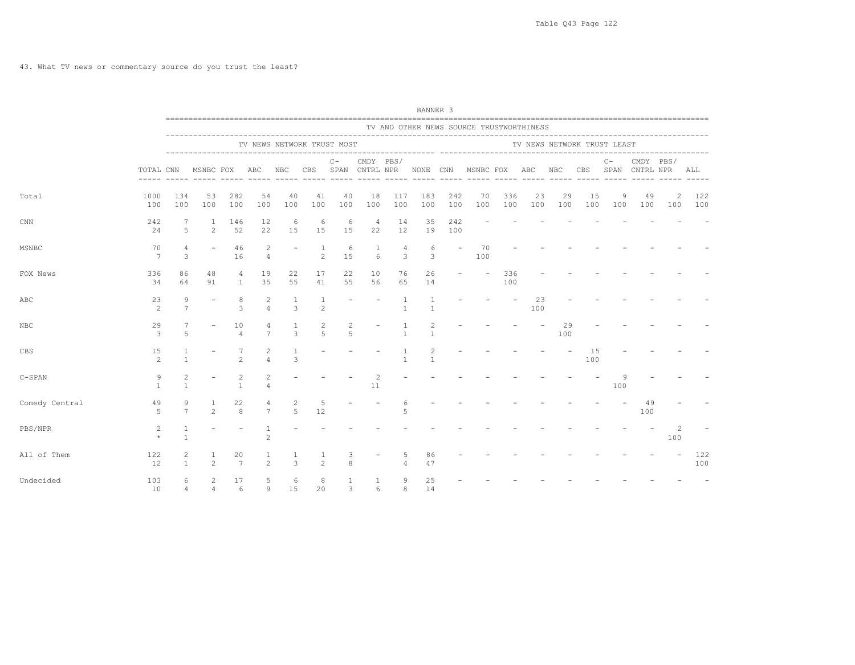|                |                     |                                |                     |                                  |                                  |                                  |                                |                            |                          |                                | BANNER 3                       |                          |                                          |            |           |                             |           |          |                                                                                       |                       |                |
|----------------|---------------------|--------------------------------|---------------------|----------------------------------|----------------------------------|----------------------------------|--------------------------------|----------------------------|--------------------------|--------------------------------|--------------------------------|--------------------------|------------------------------------------|------------|-----------|-----------------------------|-----------|----------|---------------------------------------------------------------------------------------|-----------------------|----------------|
|                |                     |                                |                     |                                  |                                  |                                  |                                |                            |                          |                                |                                |                          | TV AND OTHER NEWS SOURCE TRUSTWORTHINESS |            |           |                             |           |          |                                                                                       |                       |                |
|                |                     |                                |                     |                                  |                                  |                                  |                                | TV NEWS NETWORK TRUST MOST |                          |                                |                                |                          |                                          |            |           | TV NEWS NETWORK TRUST LEAST |           |          |                                                                                       |                       |                |
|                | TOTAL CNN           |                                | MSNBC FOX ABC       |                                  |                                  |                                  |                                | $C -$                      |                          | CMDY PBS/                      |                                |                          |                                          |            |           |                             |           | $C -$    | CMDY PBS/<br>NBC CBS SPAN CNTRL NPR NONE CNN MSNBC FOX ABC NBC CBS SPAN CNTRL NPR ALL |                       |                |
| Total          | 1000<br>100         | 134<br>100                     | 53<br>100           | 282<br>100                       | 54<br>100                        | 40<br>100                        | 41<br>100                      | 40<br>100                  | 18<br>100                | 117<br>100                     | 183<br>100                     | 242<br>100               | 70<br>100                                | 336<br>100 | 23<br>100 | 29<br>100                   | 15<br>100 | 9<br>100 | 49<br>100                                                                             | 2                     | 122<br>100 100 |
| CNN            | 242<br>24           | $5 -$                          | 1<br>2              | 146<br>52                        | 12<br>22                         | -6<br>15                         | 6<br>15                        | -6<br>15                   | $\overline{4}$<br>22     | 14<br>12                       | 35<br>19                       | 242<br>100               |                                          |            |           |                             |           |          |                                                                                       |                       |                |
| MSNBC          | 70<br>7             | $\overline{4}$<br>3            | $\sim$              | 46<br>16                         | 2<br>$\overline{4}$              | $\sim$                           | $\overline{1}$<br>$2^{1}$      | 6<br>1.5                   | $\mathbf{1}$<br>6        | $\overline{4}$<br>3            | 6<br>$\mathcal{E}$             | $\overline{\phantom{a}}$ | 70<br>100                                |            |           |                             |           |          |                                                                                       |                       |                |
| FOX News       | 336<br>34           | 86<br>64                       | 48<br>91            | 4<br>$\overline{1}$              | 19<br>35                         | 22<br>55                         | 17<br>41                       | 22<br>55                   | 10<br>56                 | 76<br>65                       | 26<br>14                       |                          | $\overline{\phantom{a}}$                 | 336<br>100 |           |                             |           |          |                                                                                       |                       |                |
| ABC            | 23<br>2             | 9<br>$\overline{7}$            |                     | 8<br>3                           | $\overline{2}$<br>$\overline{4}$ | $\overline{1}$<br>$\overline{3}$ | $\mathbf{1}$<br>$\overline{c}$ |                            | $\overline{\phantom{a}}$ | $\overline{1}$<br>$\mathbf{1}$ | $\overline{1}$<br>$\mathbf{1}$ |                          |                                          |            | 23<br>100 |                             |           |          |                                                                                       |                       |                |
| NBC            | 29<br>3             | 5                              |                     | 10<br>$\overline{4}$             | 4<br>$\overline{7}$              | 1<br>$\mathcal{L}$               | 2<br>$\overline{5}$            | 2<br>$\overline{5}$        |                          | $\mathbf{1}$                   | $\mathbf{1}$                   |                          |                                          |            |           | 29<br>100                   |           |          |                                                                                       |                       |                |
| CBS            | 15<br>2             |                                |                     | $\mathfrak{D}$                   | 2                                | -1<br>3                          |                                |                            |                          | $\mathbf{1}$                   | 2<br>$\mathbf{1}$              |                          |                                          |            |           |                             | 15<br>100 |          |                                                                                       |                       |                |
| $C-SPAN$       | 9<br>$\overline{1}$ | 2<br>$\mathbf{1}$              |                     | $\overline{2}$<br>$\overline{1}$ |                                  |                                  |                                |                            | 2<br>11                  |                                |                                |                          |                                          |            |           |                             |           | 100      |                                                                                       |                       |                |
| Comedy Central | 49<br>$5 -$         | 9<br>$\overline{7}$            | 1<br>$\mathcal{P}$  | 22<br>$\mathcal{R}$              | 4<br>$\overline{7}$              | 2<br>5                           | 5<br>12                        |                            |                          | 6<br>5                         |                                |                          |                                          |            |           |                             |           |          | 49<br>100                                                                             |                       |                |
| PBS/NPR        | $\overline{2}$      | 1<br>$\mathbf{1}$              |                     |                                  | 2                                |                                  |                                |                            |                          |                                |                                |                          |                                          |            |           |                             |           |          |                                                                                       | $\overline{c}$<br>100 |                |
| All of Them    | 122<br>12.          | $\overline{c}$<br>$\mathbf{1}$ | $\mathfrak{D}$      | 20<br>7                          | $\mathbf{1}$<br>$\overline{2}$   | 3                                | $\mathfrak{D}$                 | 3<br>8                     |                          | 5<br>$\overline{4}$            | 86<br>47                       |                          |                                          |            |           |                             |           |          |                                                                                       |                       | 122<br>100     |
| Undecided      | 103<br>10           | 6<br>$\overline{4}$            | 2<br>$\overline{4}$ | 17<br>$6\overline{6}$            | 5                                | 6<br>9 15                        | 8<br>20                        | $\mathbf{1}$<br>3          | -1<br>6                  | 9<br>8                         | 25<br>14                       |                          |                                          |            |           |                             |           |          |                                                                                       |                       |                |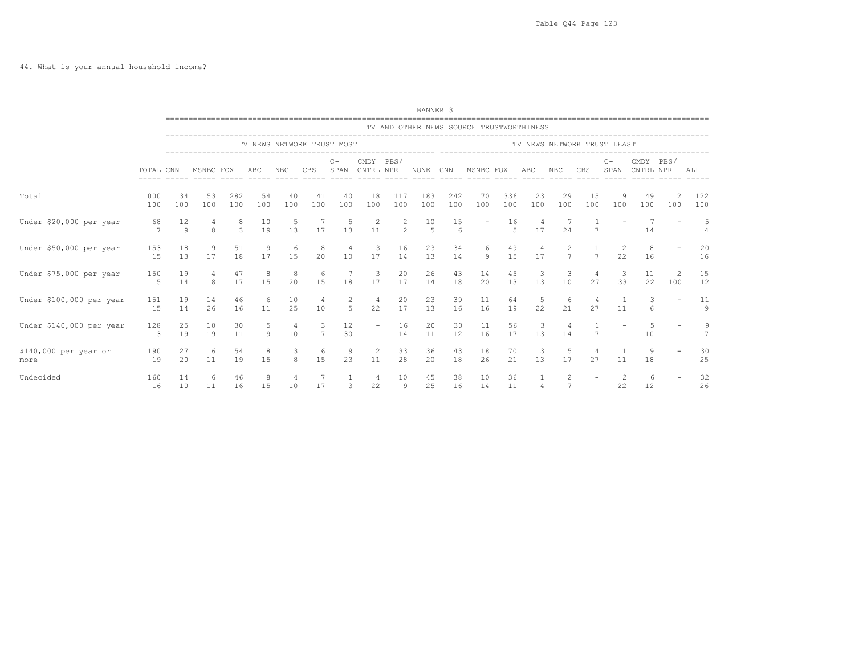|                               |                      |                    |              |                    |                      |           |                            |               |                                |               | BANNER 3                               |            |                                          |                  |                             |                                   |                      |                      |                        |          |                |
|-------------------------------|----------------------|--------------------|--------------|--------------------|----------------------|-----------|----------------------------|---------------|--------------------------------|---------------|----------------------------------------|------------|------------------------------------------|------------------|-----------------------------|-----------------------------------|----------------------|----------------------|------------------------|----------|----------------|
|                               |                      |                    |              |                    |                      |           |                            |               |                                |               |                                        |            | TV AND OTHER NEWS SOURCE TRUSTWORTHINESS |                  |                             |                                   |                      |                      |                        |          |                |
|                               |                      |                    |              |                    |                      |           | TV NEWS NETWORK TRUST MOST |               |                                |               |                                        |            |                                          |                  | TV NEWS NETWORK TRUST LEAST |                                   |                      |                      |                        |          |                |
|                               | TOTAL CNN            |                    | MSNBC FOX    |                    | ABC                  | NBC       | CBS                        | $C -$<br>SPAN | CMDY PBS/<br>CNTRL NPR         |               | NONE                                   | CNN        | MSNBC FOX                                |                  | ABC                         | NBC                               | CBS                  | $C -$<br>SPAN        | CMDY PBS/<br>CNTRL NPR |          | ALL            |
| Total                         | 1000<br>100          | 134<br>100         | 53<br>100    | 282<br>100         | 54<br>100            | 40<br>100 | 41<br>100                  | 40<br>100     | 18<br>100                      | 117<br>100    | 183<br>100                             | 242<br>100 | 70<br>100                                | 336<br>100       | 23<br>100                   | 29<br>100                         | 15<br>100            | 9<br>100             | 49<br>100              | 100      | 122<br>100     |
| Under \$20,000 per year       | 68<br>$\overline{7}$ | 12<br>$\mathsf{Q}$ | $\mathbf{8}$ | 8<br>$\mathcal{L}$ | 10<br>19             | 5<br>13   | $\overline{7}$<br>17       | 5<br>13       | $\overline{\phantom{a}}$<br>11 | $\frac{2}{2}$ | $\begin{array}{c} 10 \\ 5 \end{array}$ | 15<br>6    |                                          | 16<br>$\sqrt{2}$ | 4<br>17                     | 24                                | $7\phantom{.0}$      |                      | 14                     |          | 5              |
| Under \$50,000 per year       | 153<br>15            | 18<br>13           | 9<br>17      | 51<br>18           | $\overline{9}$<br>17 | -6<br>15  | 8<br>20                    | 10            | -3<br>17                       | 16<br>14      | 23<br>13                               | 34<br>14   | 6<br>9                                   | 49<br>15         | 4<br>17                     | 2<br>$\overline{7}$               | $7\overline{ }$      | -2<br>22             | 8<br>16                |          | 20<br>16       |
| Under \$75,000 per year       | 150<br>15            | 19<br>14           | 4<br>8       | 47<br>17           | 8<br>15              | 20        | - 6<br>15                  | 18            | -3<br>17                       | 20<br>17      | 26<br>14                               | 43<br>18   | 14<br>20                                 | 45<br>13         | -3<br>13                    | -3<br>10                          | 4<br>27              | -3<br>33             | 11<br>22               | 2<br>100 | 15<br>12       |
| Under \$100,000 per year      | 151<br>15            | 19<br>14           | 14<br>26     | 46<br>16           | 6<br>11              | 10<br>25  | 4<br>10                    | 2<br>5        | $\overline{4}$<br>22           | 20<br>17      | 23<br>13                               | 39<br>16   | 11<br>16                                 | 64<br>19         | 5<br>22                     | -6<br>21                          | $\overline{4}$<br>27 | -1<br>11             | 3<br>6                 |          | 11<br>9        |
| Under \$140,000 per year      | 128<br>13            | 25<br>19           | 10<br>19     | 30<br>11           | 5<br>$\overline{9}$  | 4<br>10   | 3<br>$7\overline{ }$       | 12<br>30      | $\overline{\phantom{a}}$       | 16<br>14      | 20<br>11                               | 30<br>12   | 11<br>16                                 | 56<br>17         | 3<br>13                     | 14                                | 7                    |                      | -5<br>10               |          | $\overline{7}$ |
| \$140,000 per year or<br>more | 190<br>19            | 27<br>20           | 6<br>11      | 54<br>19           | 8<br>15              | 3<br>8    | -6<br>15                   | 9<br>23       | -2<br>11                       | 33<br>28      | 36<br>20                               | 43<br>18   | 18<br>26                                 | 70<br>21         | 3<br>13                     | -5<br>17                          | 27                   | 11                   | 9<br>18                |          | 30<br>25       |
| Undecided                     | 160<br>16            | 14<br>10           | 6<br>11      | 46<br>16           | 8<br>15              | 4<br>10   | 17                         | 3             | 4<br>22                        | 10<br>9       | 45<br>25                               | 38<br>16   | 10<br>14                                 | 36<br>11         | -1<br>$\overline{4}$        | $\overline{c}$<br>$7\phantom{.0}$ |                      | $\overline{2}$<br>22 | -6<br>12               |          | 32<br>26       |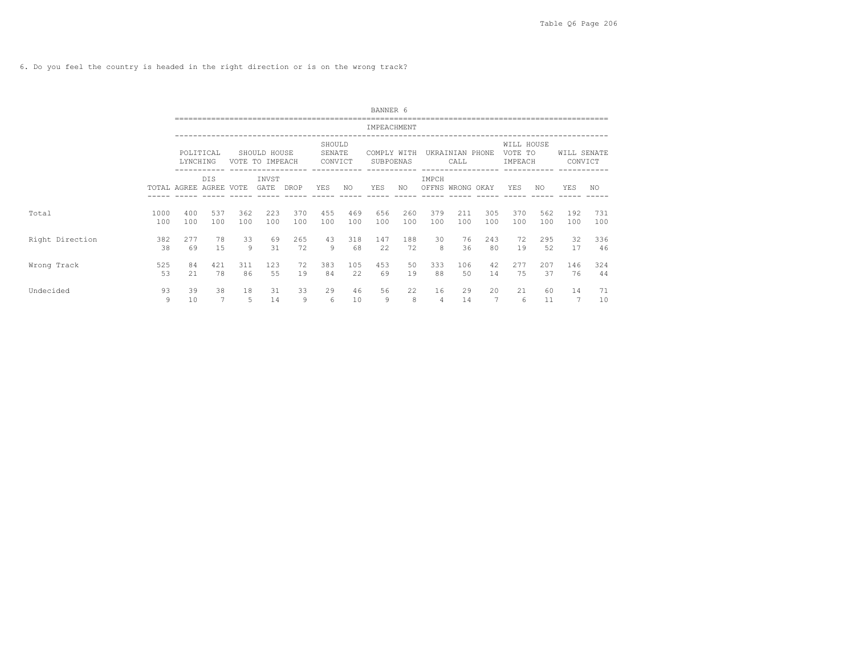6. Do you feel the country is headed in the right direction or is on the wrong track?

|                 |             |                   |            |            |                                 |            |                             |            | BANNER 6                 |            |            |                         |            |                                  |            |                        |            |
|-----------------|-------------|-------------------|------------|------------|---------------------------------|------------|-----------------------------|------------|--------------------------|------------|------------|-------------------------|------------|----------------------------------|------------|------------------------|------------|
|                 |             |                   |            |            |                                 |            |                             |            | IMPEACHMENT              |            |            |                         |            |                                  |            |                        |            |
|                 |             | LYNCHING          | POLITICAL  |            | SHOULD HOUSE<br>VOTE TO IMPEACH |            | SHOULD<br>SENATE<br>CONVICT |            | COMPLY WITH<br>SUBPOENAS |            |            | UKRAINIAN PHONE<br>CALL |            | WILL HOUSE<br>VOTE TO<br>IMPEACH |            | WILL SENATE<br>CONVICT |            |
|                 |             | TOTAL AGREE AGREE | <b>DIS</b> | VOTE       | INVST<br>GATE                   | DROP       | YES                         | NO.        | YES                      | NO         | IMPCH      | OFFNS WRONG OKAY        |            | YES                              | NO.        | YES                    | NO.        |
| Total           | 1000<br>100 | 400<br>100        | 537<br>100 | 362<br>100 | 223<br>100                      | 370<br>100 | 455<br>100                  | 469<br>100 | 656<br>100               | 260<br>100 | 379<br>100 | 211<br>100              | 305<br>100 | 370<br>100                       | 562<br>100 | 192<br>100             | 731<br>100 |
| Right Direction | 382<br>38   | 277<br>69         | 78<br>15   | 33<br>9    | 69<br>31                        | 265<br>72  | 43<br>9                     | 318<br>68  | 147<br>22                | 188<br>72  | 30<br>8    | 76<br>36                | 243<br>80  | 72<br>19                         | 295<br>52  | 32<br>17               | 336<br>46  |
| Wrong Track     | 525<br>53   | 84<br>2.1         | 421<br>78  | 311<br>86  | 123<br>55                       | 72<br>19   | 383<br>84                   | 105<br>22  | 453<br>69                | 50<br>19   | 333<br>88  | 106<br>50               | 42<br>14   | 277<br>75                        | 207<br>37  | 146<br>76              | 324<br>44  |
| Undecided       | 93<br>9     | 39<br>10          | 38         | 18<br>5    | 31<br>14                        | 33<br>9    | 29<br>6                     | 46<br>10   | 56<br>9                  | 22<br>8    | 16<br>4    | 29<br>14                | 20<br>7    | 21<br>6                          | 60<br>11   | 14<br>7                | 71<br>10   |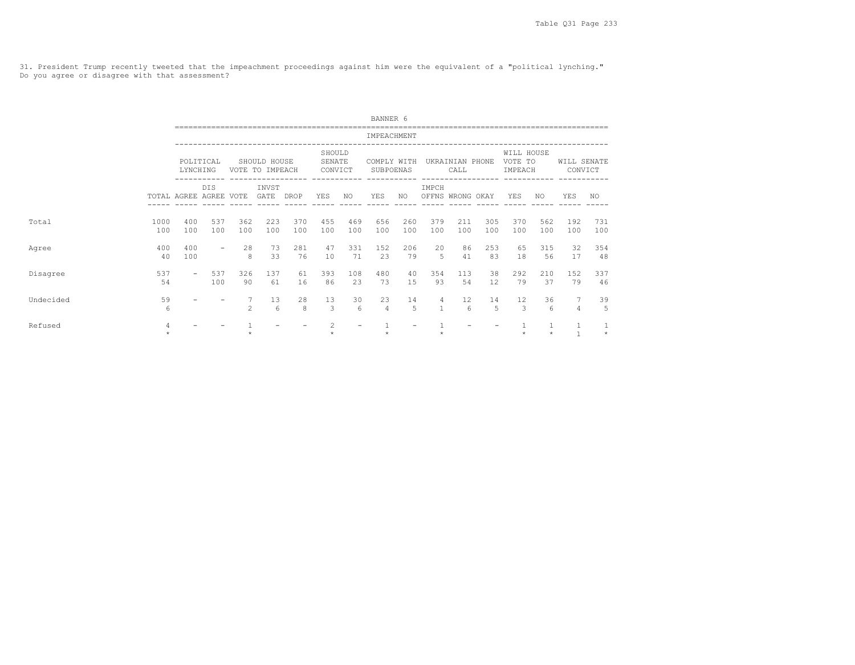31. President Trump recently tweeted that the impeachment proceedings against him were the equivalent of a "political lynching." Do you agree or disagree with that assessment?

|               |                         |                       |                     |                                 |            |                             |                 | BANNER 6                 |            |                           |                         |                                    |                                  |                         |                        |                         |
|---------------|-------------------------|-----------------------|---------------------|---------------------------------|------------|-----------------------------|-----------------|--------------------------|------------|---------------------------|-------------------------|------------------------------------|----------------------------------|-------------------------|------------------------|-------------------------|
|               |                         |                       |                     |                                 |            |                             |                 | IMPEACHMENT              |            |                           |                         |                                    |                                  |                         |                        |                         |
|               |                         | POLITICAL<br>LYNCHING |                     | SHOULD HOUSE<br>VOTE TO IMPEACH |            | SHOULD<br>SENATE<br>CONVICT |                 | COMPLY WITH<br>SUBPOENAS |            |                           | UKRAINIAN PHONE<br>CALL | __________________________________ | WILL HOUSE<br>VOTE TO<br>IMPEACH |                         | WILL SENATE<br>CONVICT |                         |
|               | TOTAL AGREE AGREE VOTE  | <b>DIS</b>            |                     | INVST<br>GATE DROP              |            | YES                         | NO <sub>1</sub> | YES                      | NO         | IMPCH<br>OFFNS WRONG OKAY |                         |                                    | YES                              | NO.                     | YES                    | NO.                     |
| 1000<br>Total | 400<br>100<br>100       | 537<br>100            | 362<br>100          | 223<br>100                      | 370<br>100 | 455<br>100                  | 469<br>100      | 656<br>100               | 260<br>100 | 379<br>100                | 211<br>100              | 305<br>100                         | 370<br>100                       | 562<br>100              | 192<br>100             | 731<br>100              |
| Agree         | 400<br>400<br>100<br>40 | $\equiv$              | 28<br>8             | 73<br>33                        | 281<br>76  | 47<br>10                    | 331<br>71       | 152<br>23                | 206<br>79  | 20<br>-5                  | 86<br>41                | 253<br>83                          | 65<br>18                         | 315<br>56               | 32<br>17               | 354<br>48               |
| Disagree      | 537<br>54               | 537<br>$\sim$<br>100  | 326<br>90           | 137<br>61                       | 61<br>16   | 393<br>86                   | 108<br>23       | 480<br>73                | 40<br>1.5  | 354<br>93                 | 113<br>54               | 38<br>12                           | 292<br>79                        | 210<br>37               | 152<br>79              | 337<br>46               |
| Undecided     | 59<br>6                 |                       | 7<br>$\mathfrak{D}$ | 13<br>6                         | 28<br>8    | 13<br>3                     | 30<br>6         | 23<br>$\overline{4}$     | 14<br>5    | 4<br>$\mathbf{1}$         | 12<br>6                 | 14<br>5                            | 12<br>3                          | 36<br>6                 | 7<br>4                 | 39<br>5                 |
| Refused       | $\overline{4}$          |                       |                     |                                 |            | $\mathfrak{D}$              |                 |                          |            |                           |                         |                                    | $\Phi$                           | $\mathbf{1}$<br>$\star$ |                        | $\mathbf{1}$<br>$\star$ |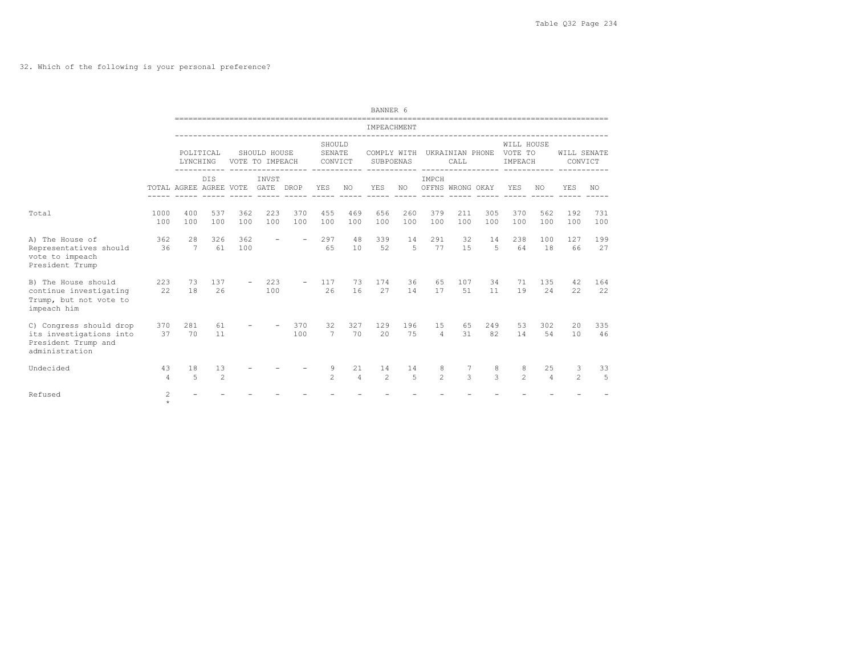32. Which of the following is your personal preference?

|                                                                                             |                         |                        |                      |            |                                 |               |                             |                      | BANNER 6                 |            |                       |                         |                    |                                  |                      |                        |            |
|---------------------------------------------------------------------------------------------|-------------------------|------------------------|----------------------|------------|---------------------------------|---------------|-----------------------------|----------------------|--------------------------|------------|-----------------------|-------------------------|--------------------|----------------------------------|----------------------|------------------------|------------|
|                                                                                             |                         |                        |                      |            |                                 |               |                             |                      | IMPEACHMENT              |            |                       |                         |                    |                                  |                      |                        |            |
|                                                                                             |                         | LYNCHING               | POLITICAL<br>------- |            | SHOULD HOUSE<br>VOTE TO IMPEACH |               | SHOULD<br>SENATE<br>CONVICT |                      | COMPLY WITH<br>SUBPOENAS |            |                       | UKRAINIAN PHONE<br>CALL |                    | WILL HOUSE<br>VOTE TO<br>IMPEACH |                      | WILL SENATE<br>CONVICT |            |
|                                                                                             |                         | TOTAL AGREE AGREE VOTE | <b>DIS</b>           |            | INVST<br>GATE                   | DROP          | <b>YES</b>                  | NO.                  | YES                      | NO.        | IMPCH                 | OFFNS WRONG OKAY        |                    | YES                              | NO.                  | YES                    | NO.        |
| Total                                                                                       | 1000<br>100             | 400<br>100             | 537<br>100           | 362<br>100 | 223<br>100                      | 370<br>100    | 455<br>100                  | 469<br>100           | 656<br>100               | 260<br>100 | 379<br>100            | 211<br>100              | 305<br>100         | 370<br>100                       | 562<br>100           | 192<br>100             | 731<br>100 |
| A) The House of<br>Representatives should<br>vote to impeach<br>President Trump             | 362<br>36               | 28<br>$7\phantom{.0}$  | 326<br>61            | 362<br>100 | $\overline{\phantom{a}}$        | $\rightarrow$ | 297<br>65                   | 48<br>10             | 339<br>52                | 14<br>5    | 291<br>77             | 32<br>15                | 14<br>5            | 238<br>64                        | 100<br>18            | 127<br>66              | 199<br>27  |
| B) The House should<br>continue investigating<br>Trump, but not vote to<br>impeach him      | 223<br>22               | 73<br>18               | 137<br>26            |            | 223<br>100                      |               | 117<br>26                   | 73<br>16             | 174<br>27                | 36<br>14   | 65<br>17              | 107<br>51               | 34<br>11           | 71<br>19                         | 135<br>24            | 42<br>22               | 164<br>22  |
| C) Congress should drop<br>its investigations into<br>President Trump and<br>administration | 370<br>37               | 281<br>70              | 61<br>11             |            |                                 | 370<br>100    | 32<br>$\overline{7}$        | 327<br>70            | 129<br>2.0               | 196<br>75  | 1.5<br>$\overline{4}$ | 65<br>31                | 249<br>82          | 53<br>14                         | 302<br>54            | 20<br>10               | 335<br>46  |
| Undecided                                                                                   | 43<br>$\overline{4}$    | 18<br>5                | 13<br>$\overline{c}$ |            |                                 |               | 9<br>$\mathfrak{D}$         | 21<br>$\overline{4}$ | 14<br>2                  | 14<br>5    | 8<br>$\mathfrak{D}$   | 7<br>3                  | 8<br>$\mathcal{L}$ | 8<br>$\mathfrak{D}$              | 25<br>$\overline{4}$ | 3<br>$\mathfrak{D}$    | 33<br>5    |
| Refused                                                                                     | $\mathbf{2}$<br>$\star$ |                        |                      |            |                                 |               |                             |                      |                          |            |                       |                         |                    |                                  |                      |                        |            |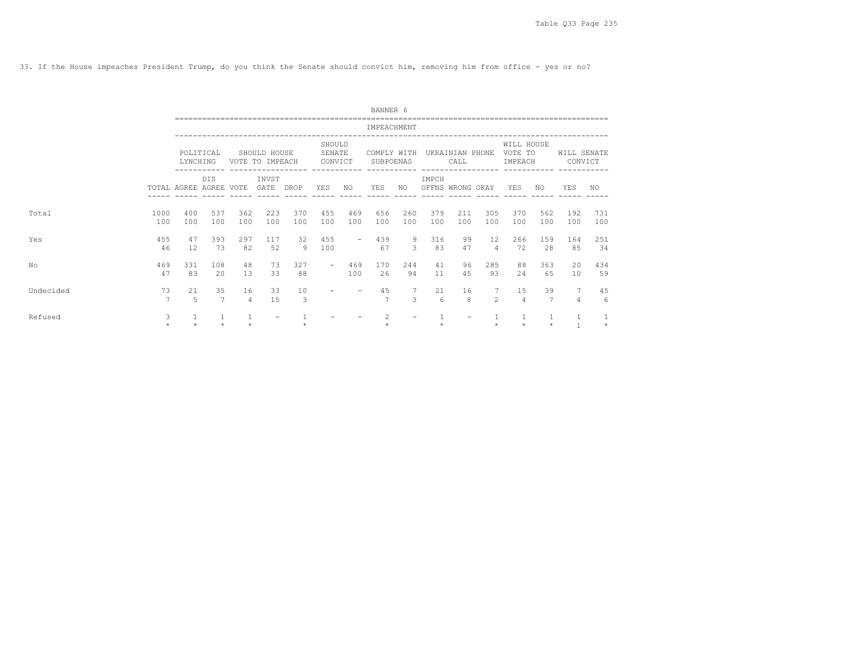33. If the House impeaches President Trump, do you think the Senate should convict him, removing him from office - yes or no?

|           |              |                        |            |                      |                                                                    |            |                             |                          | BANNER 6                 |            |                           |                                              |                        |                                  |                      |                               |            |
|-----------|--------------|------------------------|------------|----------------------|--------------------------------------------------------------------|------------|-----------------------------|--------------------------|--------------------------|------------|---------------------------|----------------------------------------------|------------------------|----------------------------------|----------------------|-------------------------------|------------|
|           |              |                        |            |                      |                                                                    |            |                             |                          | IMPEACHMENT              |            |                           |                                              |                        |                                  |                      |                               |            |
|           |              | LYNCHING               | POLITICAL  |                      | SHOULD HOUSE<br>VOTE TO IMPEACH<br>------------ ------------------ |            | SHOULD<br>SENATE<br>CONVICT |                          | COMPLY WITH<br>SUBPOENAS |            |                           | UKRAINIAN PHONE<br>CALL<br>----------------- |                        | WILL HOUSE<br>VOTE TO<br>IMPEACH |                      | WILL SENATE<br>CONVICT        |            |
|           |              | TOTAL AGREE AGREE VOTE | <b>DIS</b> |                      | INVST<br>GATE                                                      | DROP       | YES                         | NO.                      | YES                      | NO.        | IMPCH<br>OFFNS WRONG OKAY |                                              |                        | <b>YES</b>                       | NO.                  | YES                           | NO.        |
| Total     | 1000<br>100  | 400<br>100             | 537<br>100 | 362<br>100           | 223<br>100                                                         | 370<br>100 | 455<br>100                  | 469<br>100               | 656<br>100               | 260<br>100 | 379<br>100                | 211<br>100                                   | 305<br>100             | 370<br>100                       | 562<br>100           | 192<br>100                    | 731<br>100 |
| Yes       | 455<br>46    | 47<br>12               | 393<br>73  | 297<br>82            | 117<br>52                                                          | 32<br>9    | 455<br>100                  | $\overline{\phantom{a}}$ | 439<br>67                | 9<br>3     | 316<br>83                 | 99<br>47                                     | $12 \overline{ }$<br>4 | 266<br>72                        | 159<br>28            | 164<br>85                     | 251<br>34  |
| No        | 469<br>47    | 331<br>83              | 108<br>2.0 | 48<br>13             | 73<br>33                                                           | 327<br>88  | $\overline{\phantom{0}}$    | 469<br>100               | 170<br>26                | 2.44<br>94 | 41<br>11                  | 96<br>4.5                                    | 285<br>93              | 88<br>2.4                        | 363<br>65            | 20<br>10                      | 434<br>59  |
| Undecided | 73<br>7      | 21<br>$\overline{5}$   | 35<br>7    | 16<br>$\overline{4}$ | 33<br>1.5                                                          | 10<br>3    |                             |                          | 45<br>$\overline{7}$     | 3          | 21<br>6                   | 16<br>8                                      | $\mathfrak{D}$         | 15<br>4                          | 39<br>$\overline{7}$ | $7^{\circ}$<br>$\overline{4}$ | 45<br>6    |
| Refused   | 3<br>$\star$ | ÷                      |            |                      |                                                                    |            |                             |                          | 2<br>$\Phi$              |            |                           | $\qquad \qquad -$                            |                        | $\star$                          | $\star$              | 1<br>$\overline{1}$           | $\star$    |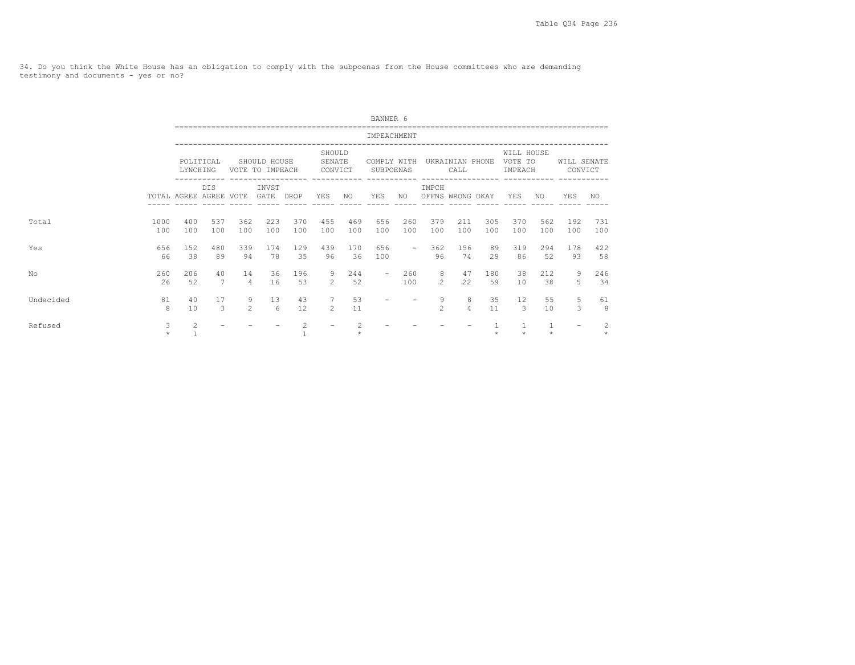34. Do you think the White House has an obligation to comply with the subpoenas from the House committees who are demanding testimony and documents - yes or no?

|           |             |                        |                     |                      |                                 |            |                             |                | BANNER 6                 |            |                                   |                         |            |                                  |                           |                        |            |
|-----------|-------------|------------------------|---------------------|----------------------|---------------------------------|------------|-----------------------------|----------------|--------------------------|------------|-----------------------------------|-------------------------|------------|----------------------------------|---------------------------|------------------------|------------|
|           |             |                        |                     |                      |                                 |            |                             |                | IMPEACHMENT              |            |                                   |                         |            |                                  |                           |                        |            |
|           |             | LYNCHING               | POLITICAL           |                      | SHOULD HOUSE<br>VOTE TO IMPEACH |            | SHOULD<br>SENATE<br>CONVICT |                | COMPLY WITH<br>SUBPOENAS |            | _________________________________ | UKRAINIAN PHONE<br>CALL |            | WILL HOUSE<br>VOTE TO<br>IMPEACH |                           | WILL SENATE<br>CONVICT |            |
|           |             | TOTAL AGREE AGREE VOTE | <b>DIS</b>          |                      | INVST<br>GATE DROP              |            | YES                         | NO.            | <b>YES</b>               | NO         | IMPCH                             | OFFNS WRONG OKAY        |            | YES                              | NO.                       | YES                    | NO         |
| Total     | 1000<br>100 | 400<br>100             | 537<br>100          | 362<br>100           | 223<br>100                      | 370<br>100 | 455<br>100                  | 469<br>100     | 656<br>100               | 260<br>100 | 379<br>100                        | 211<br>100              | 305<br>100 | 370<br>100                       | 562<br>100                | 192<br>100             | 731<br>100 |
| Yes       | 656<br>66   | 152<br>38              | 480<br>89           | 339<br>94            | 174<br>78                       | 129<br>35  | 439<br>96                   | 170<br>36      | 656<br>100               |            | 362<br>$\sim$ 100 $\mu$<br>96     | 156<br>74               | 89<br>29   | 319<br>86                        | 294<br>52                 | 178<br>93              | 422<br>58  |
| No        | 260<br>26   | 206<br>52              | 40<br>7             | 14<br>$\overline{4}$ | 36<br>16                        | 196<br>53  | 9<br>$\mathcal{L}$          | 244<br>52      | $\overline{\phantom{0}}$ | 260<br>100 | 8<br>$\mathcal{L}$                | 47<br>22                | 180<br>59  | 38<br>10                         | 212<br>38                 | 9<br>5.                | 246<br>34  |
| Undecided | 81<br>8     | 40<br>10               | 17<br>$\mathcal{L}$ | 9<br>$\mathcal{L}$   | 13<br>6                         | 43<br>12   | 7<br>$\mathfrak{D}$         | 53<br>11       |                          |            | 9<br>$\mathcal{P}$                | 8<br>$\overline{4}$     | 35<br>11   | 12<br>3                          | 55<br>10                  | 5<br>3                 | 61<br>8    |
| Refused   | 3           | 2                      |                     |                      |                                 | 2          |                             | $\mathfrak{D}$ |                          |            |                                   |                         |            |                                  | $\overline{1}$<br>$\star$ |                        |            |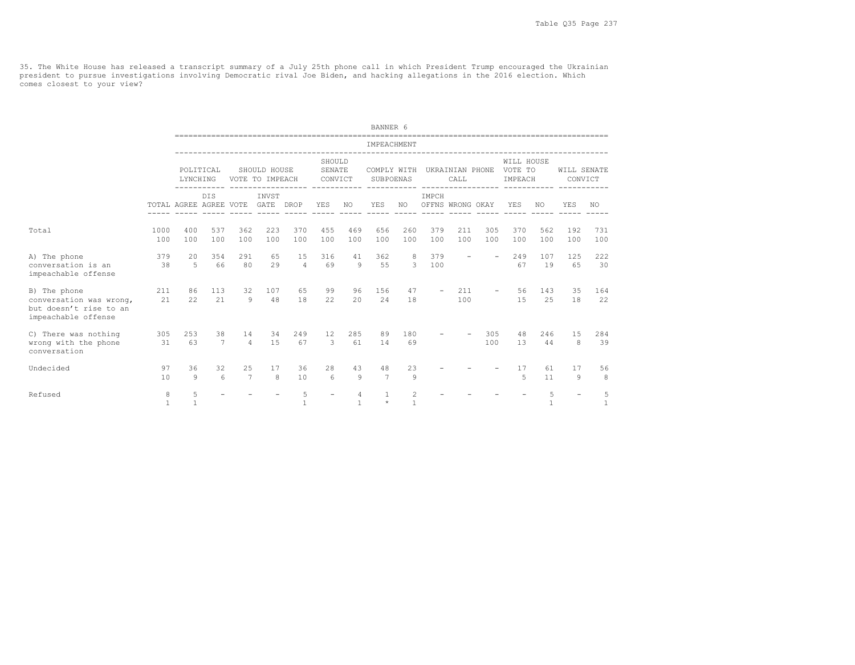35. The White House has released a transcript summary of a July 25th phone call in which President Trump encouraged the Ukrainian<br>president to pursue investigations involving Democratic rival Joe Biden, and hacking allegat comes closest to your view?

|                                                                                          |                   |                        |                       |                      |                                 |                   |                             |                    | BANNER 6                 |                                  |                           |                          |                          |                                  |            |                        |            |
|------------------------------------------------------------------------------------------|-------------------|------------------------|-----------------------|----------------------|---------------------------------|-------------------|-----------------------------|--------------------|--------------------------|----------------------------------|---------------------------|--------------------------|--------------------------|----------------------------------|------------|------------------------|------------|
|                                                                                          |                   |                        |                       |                      |                                 |                   |                             |                    | IMPEACHMENT              |                                  |                           |                          |                          |                                  |            |                        |            |
|                                                                                          |                   | LYNCHING               | POLITICAL             |                      | SHOULD HOUSE<br>VOTE TO IMPEACH |                   | SHOULD<br>SENATE<br>CONVICT |                    | COMPLY WITH<br>SUBPOENAS |                                  |                           | UKRAINIAN PHONE<br>CALL  |                          | WILL HOUSE<br>VOTE TO<br>IMPEACH |            | WILL SENATE<br>CONVICT |            |
|                                                                                          |                   | TOTAL AGREE AGREE VOTE | <b>DIS</b>            |                      | INVST<br>GATE                   | DROP              | YES                         | NO.                | <b>YES</b>               | NO.                              | IMPCH<br>OFFNS WRONG OKAY |                          |                          | YES                              | NO.        | YES                    | NO.        |
| Total                                                                                    | 1000<br>100       | 400<br>100             | 537<br>100            | 362<br>100           | 223<br>100                      | 370<br>100        | 455<br>100                  | 469<br>100         | 656<br>100               | 260<br>100                       | 379<br>100                | 211<br>100               | 305<br>100               | 370<br>100                       | 562<br>100 | 192<br>100             | 731<br>100 |
| A) The phone<br>conversation is an<br>impeachable offense                                | 379<br>38         | 20<br>5                | 354<br>66             | 291<br>80            | 65<br>29                        | 15<br>$\Delta$    | 316<br>69                   | 41<br>Q            | 362<br>55                | 8<br>3                           | 379<br>100                | $\overline{\phantom{a}}$ | $\overline{\phantom{a}}$ | 249<br>67                        | 107<br>19  | 125<br>65              | 222<br>30  |
| B) The phone<br>conversation was wrong,<br>but doesn't rise to an<br>impeachable offense | 211<br>21         | 86<br>22               | 113<br>21             | 32<br>9              | 107<br>48                       | 65<br>18          | 99<br>2.2.                  | 96<br>2.0          | 156<br>2.4               | 47<br>18                         |                           | 211<br>100               |                          | 56<br>1.5                        | 143<br>2.5 | 35<br>18               | 164<br>22  |
| C) There was nothing<br>wrong with the phone<br>conversation                             | 305<br>31         | 253<br>63              | 38<br>7               | 14<br>$\overline{4}$ | 34<br>15                        | 249<br>67         | 12<br>3                     | 285<br>61          | 89<br>14                 | 180<br>69                        |                           |                          | 305<br>100               | 48<br>13                         | 246<br>44  | 15<br>8                | 284<br>39  |
| Undecided                                                                                | 97<br>10          | 36<br>$\mathsf{Q}$     | 32<br>$6\overline{6}$ | 25<br>$\overline{7}$ | 17<br>8                         | 36<br>10          | 28<br>6                     | 43<br>$\mathbf{Q}$ | 48<br>$\overline{7}$     | 23<br>9                          |                           |                          |                          | 17<br>$\overline{5}$             | 61<br>11   | 17<br>Q                | 56<br>8    |
| Refused                                                                                  | 8<br>$\mathbf{1}$ | 5<br>$\mathbf{1}$      |                       |                      |                                 | 5<br>$\mathbf{1}$ |                             | $\overline{4}$     | $\mathbf{1}$<br>$\star$  | $\overline{c}$<br>$\overline{1}$ |                           |                          |                          |                                  | 5          |                        | 5<br>1     |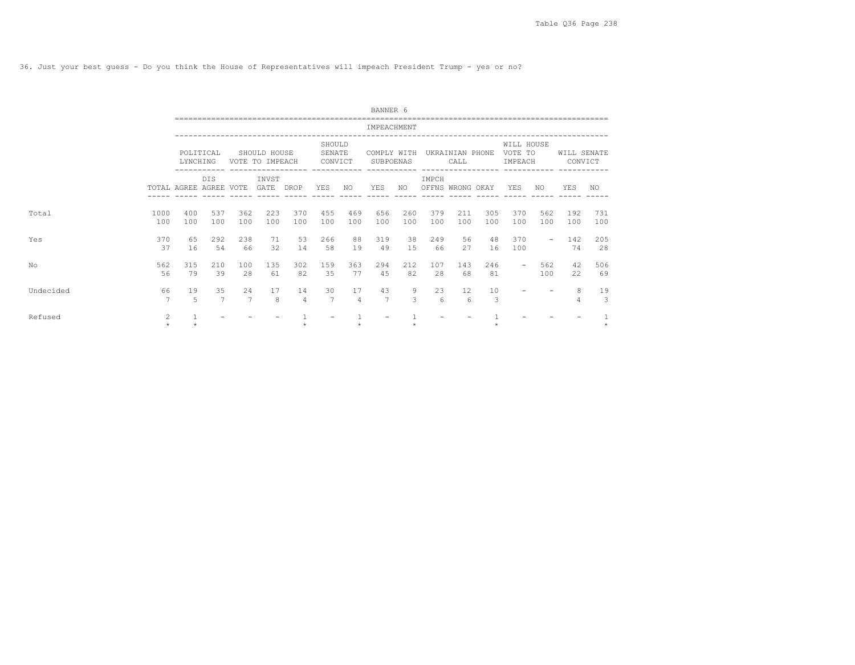36. Just your best guess - Do you think the House of Representatives will impeach President Trump - yes or no?

|           |              |                        |                      |                                                                               |                                 |                      |                             |            | BANNER 6                 |                    |            |                                                               |            |                                  |            |                        |            |
|-----------|--------------|------------------------|----------------------|-------------------------------------------------------------------------------|---------------------------------|----------------------|-----------------------------|------------|--------------------------|--------------------|------------|---------------------------------------------------------------|------------|----------------------------------|------------|------------------------|------------|
|           |              |                        |                      |                                                                               |                                 |                      |                             |            | IMPEACHMENT              |                    |            |                                                               |            |                                  |            |                        |            |
|           |              | LYNCHING               | POLITICAL            |                                                                               | SHOULD HOUSE<br>VOTE TO IMPEACH |                      | SHOULD<br>SENATE<br>CONVICT |            | COMPLY WITH<br>SUBPOENAS |                    |            | UKRAINIAN PHONE<br>CALL<br>__________________________________ |            | WILL HOUSE<br>VOTE TO<br>IMPEACH |            | WILL SENATE<br>CONVICT |            |
|           |              | TOTAL AGREE AGREE VOTE | <b>DTS</b>           | ------------ ------------------<br>INVST<br>GATE<br>DROP<br>362<br>223<br>370 |                                 |                      | YES                         | NO         | <b>YES</b>               | NO.                | IMPCH      | OFFNS WRONG OKAY                                              |            | YES                              | NO.        | YES                    | NO.        |
| Total     | 1000<br>100  | 400<br>100             | 537<br>100           | 100                                                                           | 100                             | 100                  | 455<br>100                  | 469<br>100 | 656<br>100               | 260<br>100         | 379<br>100 | 211<br>100                                                    | 305<br>100 | 370<br>100                       | 562<br>100 | 192<br>100             | 731<br>100 |
| Yes       | 370<br>37    | 65<br>16               | 292<br>54            | 238<br>66                                                                     | 71<br>32                        | 53<br>14             | 266<br>58                   | 88<br>19   | 319<br>49                | 38<br>1.5          | 249<br>66  | 56<br>27                                                      | 48<br>16   | 370<br>100                       | $\sim$     | 142<br>74              | 205<br>28  |
| No        | 562<br>56    | 315<br>79              | 210<br>39            | 100<br>28                                                                     | 135<br>61                       | 302<br>82            | 159<br>35                   | 363<br>77  | 294<br>4.5               | 212<br>82          | 107<br>28  | 143<br>68                                                     | 246<br>81  | $\overline{\phantom{0}}$         | 562<br>100 | 42<br>22               | 506<br>69  |
| Undecided | 66<br>7      | 19<br>$\overline{5}$   | 35<br>$\overline{7}$ | 2.4<br>7                                                                      | 17<br>8                         | 14<br>$\overline{4}$ | 30<br>$\overline{7}$        | 17<br>4    | 43<br>$\overline{7}$     | 9<br>$\mathcal{L}$ | 23<br>6    | $12 \overline{ }$<br>6                                        | 10<br>3    |                                  |            | 8                      | 19<br>3    |
| Refused   | 2<br>$\star$ |                        |                      |                                                                               |                                 |                      |                             |            |                          |                    |            |                                                               |            |                                  |            |                        |            |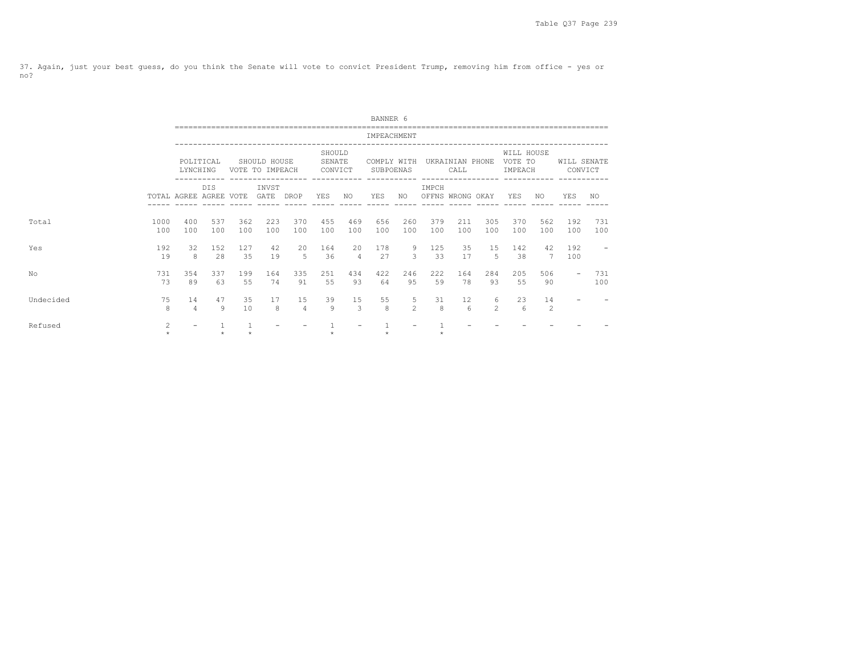37. Again, just your best guess, do you think the Senate will vote to convict President Trump, removing him from office - yes or no?

|           |             |                        |            |            |                                 |                      |                             |                                | BANNER 6                 |                    |            |                         |                     |                                  |                      |                          |                          |
|-----------|-------------|------------------------|------------|------------|---------------------------------|----------------------|-----------------------------|--------------------------------|--------------------------|--------------------|------------|-------------------------|---------------------|----------------------------------|----------------------|--------------------------|--------------------------|
|           |             |                        |            |            |                                 |                      |                             |                                | IMPEACHMENT              |                    |            |                         |                     |                                  |                      |                          |                          |
|           |             | LYNCHING               | POLITICAL  |            | SHOULD HOUSE<br>VOTE TO IMPEACH |                      | SHOULD<br>SENATE<br>CONVICT |                                | COMPLY WITH<br>SUBPOENAS |                    |            | UKRAINIAN PHONE<br>CALL |                     | WILL HOUSE<br>VOTE TO<br>IMPEACH |                      | WILL SENATE              | CONVICT                  |
|           |             | TOTAL AGREE AGREE VOTE | <b>DIS</b> |            | INVST<br>GATE DROP              |                      | YES                         | NO                             | YES                      | NO                 | IMPCH      | OFFNS WRONG OKAY        |                     | YES                              | NO                   | YES                      | NO.                      |
| Total     | 1000<br>100 | 400<br>100             | 537<br>100 | 362<br>100 | 223<br>100                      | 370<br>100           | 455<br>100                  | 469<br>100                     | 656<br>100               | 260<br>100         | 379<br>100 | 211<br>100              | 305<br>100          | 370<br>100                       | 562<br>100           | 192<br>100               | 731<br>100               |
| Yes       | 192<br>19   | 32<br>8                | 152<br>28  | 127<br>35  | 42<br>19                        | 20<br>5              | 164<br>36                   | $20^{\circ}$<br>$\overline{4}$ | 178<br>27                | 9<br>$\mathcal{L}$ | 125<br>33  | 35<br>17                | 15<br>.5            | 142<br>38                        | 42<br>7              | 192<br>100               | $\overline{\phantom{a}}$ |
| No        | 731<br>73   | 354<br>89              | 337<br>63  | 199<br>55  | 164<br>74                       | 335<br>91            | 251<br>55                   | 434<br>93                      | 422<br>64                | 246<br>95          | 222<br>59  | 164<br>78               | 284<br>93           | 205<br>55                        | 506<br>90            | $\overline{\phantom{0}}$ | 731<br>100               |
| Undecided | 75<br>8     | 14<br>$\overline{4}$   | 47<br>Q    | 35<br>10   | 17<br>8                         | 15<br>$\overline{4}$ | 39<br>Q                     | 15<br>3                        | 55<br>8                  | 5<br>$2^{1}$       | 31<br>8    | 12<br>6                 | 6<br>$\mathfrak{D}$ | 23<br>6                          | 14<br>$\overline{c}$ |                          |                          |
| Refused   | 2           |                        |            |            |                                 |                      |                             |                                |                          |                    |            |                         |                     |                                  |                      |                          |                          |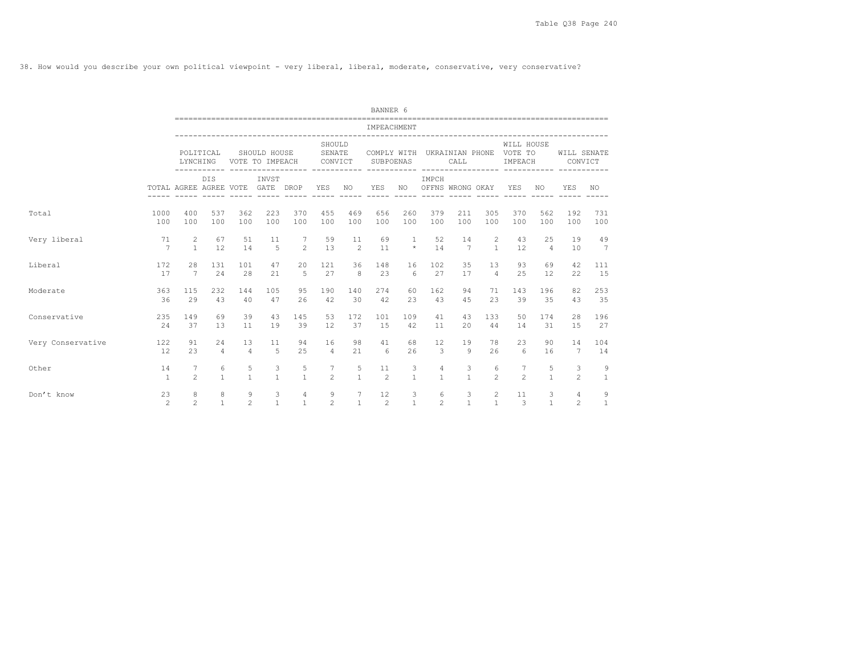38. How would you describe your own political viewpoint - very liberal, liberal, moderate, conservative, very conservative?

|                   |                      |                        |                   |                     |                                 |                                     |                             |                | BANNER 6                    |                    |                           |                   |                                |                                                              |                   |                        |                   |
|-------------------|----------------------|------------------------|-------------------|---------------------|---------------------------------|-------------------------------------|-----------------------------|----------------|-----------------------------|--------------------|---------------------------|-------------------|--------------------------------|--------------------------------------------------------------|-------------------|------------------------|-------------------|
|                   |                      |                        |                   |                     |                                 |                                     |                             |                | IMPEACHMENT                 |                    |                           |                   |                                |                                                              |                   |                        |                   |
|                   |                      | LYNCHING               | POLITICAL         |                     | SHOULD HOUSE<br>VOTE TO IMPEACH | ------ ----------------- ---------- | SHOULD<br>SENATE<br>CONVICT |                | SUBPOENAS                   |                    |                           | CALL              |                                | WILL HOUSE<br>COMPLY WITH UKRAINIAN PHONE VOTE TO<br>IMPEACH |                   | WILL SENATE<br>CONVICT |                   |
|                   |                      | TOTAL AGREE AGREE VOTE | <b>DIS</b>        |                     | INVST<br>GATE DROP              |                                     | YES                         | NO.            | <b>YES</b><br>$- - - - - -$ | NO.<br>$- - - - -$ | IMPCH<br>OFFNS WRONG OKAY |                   |                                | YES                                                          | NO.               | <b>YES</b>             | NO.               |
| Total             | 1000                 | 400                    | 537               | 362                 | 223                             | 370                                 | 455                         | 469            | 656                         | 260                | 379                       | 211               | 305                            | 370                                                          | 562               | 192                    | 731               |
|                   | 100                  | 100                    | 100               | 100                 | 100                             | 100                                 | 100                         | 100            | 100                         | 100                | 100                       | 100               | 100                            | 100                                                          | 100               | 100                    | 100               |
| Very liberal      | 71                   | $\mathbf{2}$           | 67                | 51                  | 11                              | 7                                   | 59                          | 11             | 69                          | $\overline{1}$     | 52                        | 14                | 2                              | 43                                                           | 25                | 19                     | 49                |
|                   | 7                    | $\mathbf{1}$           | 12                | 14                  | 5                               | $\mathfrak{D}$                      | 13                          | $\overline{2}$ | 11                          | $\star$            | 14                        | $\overline{7}$    | $\mathbf{1}$                   | 12                                                           | $\overline{4}$    | 10                     | $7\overline{ }$   |
| Liberal           | 172                  | 28                     | 131               | 101                 | 47                              | 20                                  | 121                         | 36             | 148                         | 16                 | 102                       | 35                | 13                             | 93                                                           | 69                | 42                     | 111               |
|                   | 17                   | 7                      | 2.4               | 28                  | 21                              | 5                                   | 27                          | $\mathcal{B}$  | 23                          | 6                  | 27                        | 17                | $\overline{4}$                 | 2.5                                                          | 12                | 22                     | 15                |
| Moderate          | 363                  | 115                    | 232               | 144                 | 105                             | 95                                  | 190                         | 140            | 274                         | 60                 | 162                       | 94                | 71                             | 143                                                          | 196               | 82                     | 253               |
|                   | 36                   | 29                     | 43                | 40                  | 47                              | 26                                  | 42                          | 30             | 42                          | 23                 | 43                        | 45                | 23                             | 39                                                           | 35                | 43                     | 35                |
| Conservative      | 235                  | 149                    | 69                | 39                  | 43                              | 145                                 | 53                          | 172            | 101                         | 109                | 41                        | 43                | 133                            | 50                                                           | 174               | 28                     | 196               |
|                   | 24                   | 37                     | 13                | 11                  | 19                              | 39                                  | 12                          | 37             | 15                          | 42                 | 11                        | 20                | 44                             | 14                                                           | 31                | 15                     | 27                |
| Very Conservative | 122                  | 91                     | 24                | 13                  | 11                              | 94                                  | 16                          | 98             | 41                          | 68                 | 12                        | 19                | 78                             | 23                                                           | 90                | 14                     | 104               |
|                   | 12                   | 23                     | $\overline{4}$    | $\overline{4}$      | $\overline{5}$                  | 25                                  | $\overline{4}$              | 21             | 6                           | 26                 | 3                         | $\mathcal{Q}$     | 26                             | $6\overline{6}$                                              | 16                | 7                      | 14                |
| Other             | 14                   | 7                      | 6                 | 5                   | 3                               | 5                                   | 7                           | 5              | 11                          | 3                  | $\overline{4}$            | 3                 | 6                              | 7                                                            | 5                 | 3                      | 9                 |
|                   | $\overline{1}$       | $\mathfrak{D}$         | $\mathbf{1}$      | $\mathbf{1}$        | $\mathbf{1}$                    | $\mathbf{1}$                        | $\overline{c}$              | $\mathbf{1}$   | $\overline{c}$              | $\overline{1}$     | $\overline{1}$            | $\mathbf{1}$      | $\mathfrak{D}$                 | $\mathfrak{D}$                                               | $\mathbf{1}$      | $\mathfrak{D}$         | $\mathbf{1}$      |
| Don't know        | 23<br>$\mathfrak{D}$ | 8<br>$\overline{2}$    | 8<br>$\mathbf{1}$ | 9<br>$\mathfrak{D}$ | 3<br>$\mathbf{1}$               | $\overline{4}$<br>$\mathbf{1}$      | 9<br>$\mathfrak{D}$         | $\mathbf{1}$   | 12<br>$\overline{2}$        | 3<br>$\mathbf{1}$  | 6<br>$\mathfrak{D}$       | 3<br>$\mathbf{1}$ | $\overline{c}$<br>$\mathbf{1}$ | 11<br>3                                                      | 3<br>$\mathbf{1}$ | 4<br>$\mathfrak{D}$    | 9<br>$\mathbf{1}$ |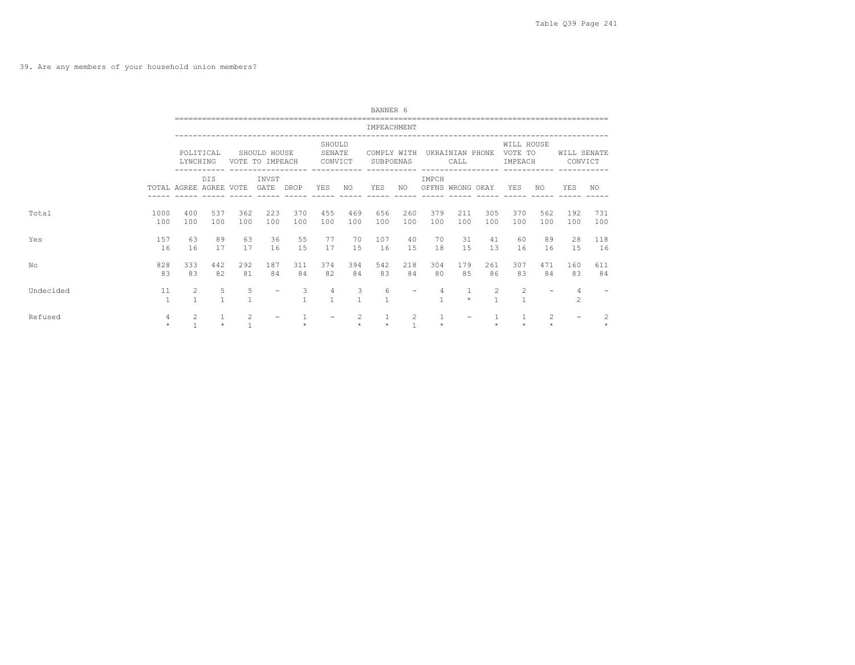39. Are any members of your household union members?

|           |                    |                        |                     |                                            |                                 |                   |                             |                   | BANNER 6                 |                    |                     |                                               |                   |                                  |                           |                        |            |
|-----------|--------------------|------------------------|---------------------|--------------------------------------------|---------------------------------|-------------------|-----------------------------|-------------------|--------------------------|--------------------|---------------------|-----------------------------------------------|-------------------|----------------------------------|---------------------------|------------------------|------------|
|           |                    |                        |                     |                                            |                                 |                   |                             |                   | IMPEACHMENT              |                    |                     |                                               |                   |                                  |                           |                        |            |
|           |                    | LYNCHING               | POLITICAL           |                                            | SHOULD HOUSE<br>VOTE TO IMPEACH |                   | SHOULD<br>SENATE<br>CONVICT |                   | COMPLY WITH<br>SUBPOENAS |                    |                     | UKRAINIAN PHONE<br>CALL<br>------------------ |                   | WILL HOUSE<br>VOTE TO<br>IMPEACH |                           | WILL SENATE<br>CONVICT |            |
|           |                    | TOTAL AGREE AGREE VOTE | <b>DIS</b>          | INVST<br>GATE<br>DROP<br>223<br>362<br>370 |                                 |                   | <b>YES</b>                  | NO.               | YES                      | NO.                | IMPCH               | OFFNS WRONG OKAY                              |                   | YES                              | NO.                       | YES                    | NO.        |
| Total     | 1000<br>100        | 400<br>100             | 537<br>100          | 100                                        | 100                             | 100               | 455<br>100                  | 469<br>100        | 656<br>100               | 260<br>100         | 379<br>100          | 211<br>100                                    | 305<br>100        | 370<br>100                       | 562<br>100                | 192<br>100             | 731<br>100 |
| Yes       | 157<br>16          | 63<br>16               | 89<br>17            | 63<br>17                                   | 36<br>16                        | 55<br>1.5         | 77<br>17                    | 70<br>1.5         | 107<br>16                | 40<br>1.5          | 70<br>18            | 31<br>15                                      | 41<br>13          | 60<br>16                         | 89<br>16                  | 28<br>1.5              | 118<br>16  |
| No        | 828<br>83          | 333<br>83              | 442<br>82           | 292<br>81                                  | 187<br>84                       | 311<br>84         | 374<br>82                   | 394<br>84         | 542<br>83                | 218<br>84          | 304<br>80           | 179<br>85                                     | 261<br>86         | 307<br>83                        | 471<br>84                 | 160<br>83              | 611<br>84  |
| Undecided | 11<br>$\mathbf{1}$ | 2                      | 5<br>$\overline{1}$ | 5<br>$\overline{1}$                        |                                 | 3<br>$\mathbf{1}$ | 4<br>$\mathbf{1}$           | 3<br>$\mathbf{1}$ | 6                        |                    | 4<br>$\overline{1}$ | $\star$                                       | 2<br>$\mathbf{1}$ | 2<br>1                           |                           | 4<br>$\mathcal{L}$     |            |
| Refused   | 4<br>$\star$       | $\overline{2}$         | $\star$             | 2                                          |                                 |                   |                             | 2<br>$\star$      | $\star$                  | 2<br>$\mathcal{L}$ |                     |                                               | $\star$           |                                  | $\overline{c}$<br>$\star$ | -                      |            |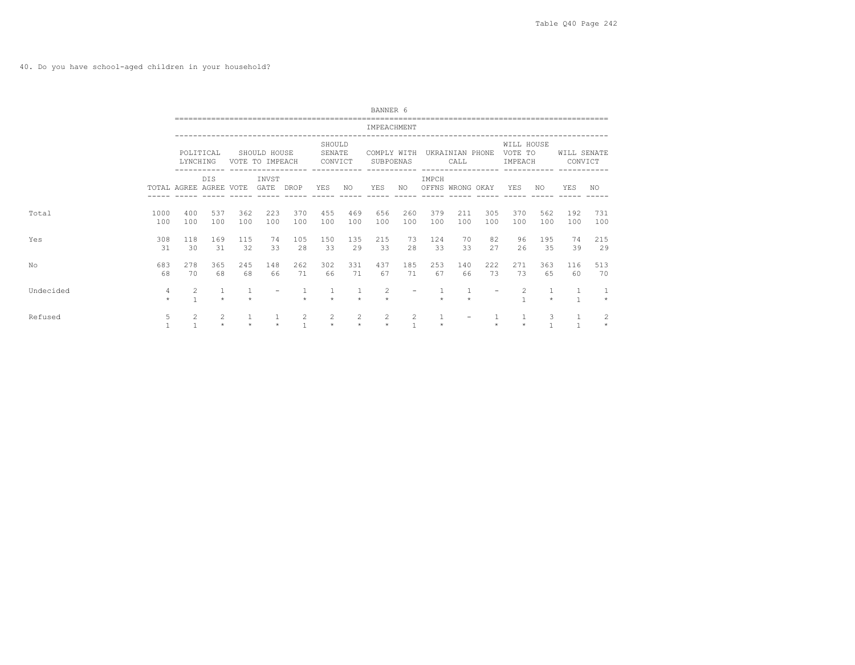40. Do you have school-aged children in your household?

|           |                   |                                |              |                                                                               |                                 |                     |                             |                           | BANNER 6                  |                                  |              |                                               |                          |                                                  |                     |                        |            |
|-----------|-------------------|--------------------------------|--------------|-------------------------------------------------------------------------------|---------------------------------|---------------------|-----------------------------|---------------------------|---------------------------|----------------------------------|--------------|-----------------------------------------------|--------------------------|--------------------------------------------------|---------------------|------------------------|------------|
|           |                   |                                |              |                                                                               |                                 |                     |                             |                           | IMPEACHMENT               |                                  |              |                                               |                          |                                                  |                     |                        |            |
|           |                   | LYNCHING                       | POLITICAL    |                                                                               | SHOULD HOUSE<br>VOTE TO IMPEACH |                     | SHOULD<br>SENATE<br>CONVICT |                           | COMPLY WITH<br>SUBPOENAS  |                                  |              | UKRAINIAN PHONE<br>CALL<br>------------------ |                          | WILL HOUSE<br>VOTE TO<br>IMPEACH<br>------------ |                     | WILL SENATE<br>CONVICT |            |
|           |                   | TOTAL AGREE AGREE VOTE         | <b>DTS</b>   | ------------ ------------------<br>INVST<br>GATE<br>DROP<br>362<br>223<br>370 |                                 |                     | YES                         | NO.                       | YES                       | NO.                              | IMPCH        | OFFNS WRONG OKAY                              |                          | <b>YES</b>                                       | NO.                 | <b>YES</b>             | NO.        |
| Total     | 1000<br>100       | 400<br>100                     | 537<br>100   | 100                                                                           | 100                             | 100                 | 455<br>100                  | 469<br>100                | 656<br>100                | 260<br>100                       | 379<br>100   | 211<br>100                                    | 305<br>100               | 370<br>100                                       | 562<br>100          | 192<br>100             | 731<br>100 |
| Yes       | 308<br>31         | 118<br>30                      | 169<br>31    | 115<br>32                                                                     | 74<br>33                        | 105<br>28           | 150<br>33                   | 135<br>29                 | 215<br>33                 | 73<br>28                         | 124<br>33    | 70<br>33                                      | 82<br>27                 | 96<br>2.6                                        | 195<br>35           | 74<br>39               | 215<br>29  |
| No        | 683<br>68         | 278<br>70                      | 365<br>68    | 245<br>68                                                                     | 148<br>66                       | 262<br>71           | 302<br>66                   | 331<br>71                 | 437<br>67                 | 185<br>71                        | 253<br>67    | 140<br>66                                     | 222<br>73                | 2.71<br>73                                       | 363<br>65           | 116<br>60              | 513<br>70  |
| Undecided | 4<br>$\star$      | 2<br>$\mathbf{1}$              | $\star$      | 1<br>$\rightarrow$                                                            |                                 | $\star$             | $\star$                     | 1<br>$\star$              | $\overline{2}$<br>$\star$ |                                  | $\star$      | $\mathbf{1}$<br>$\star$                       | $\overline{\phantom{a}}$ | 2                                                | 1<br>$\star$        | $\mathbf{1}$           | $\star$    |
| Refused   | 5<br>$\mathbf{1}$ | $\overline{2}$<br>$\mathbf{1}$ | 2<br>$\star$ | $\star$                                                                       | $\star$                         | 2<br>$\overline{1}$ | 2<br>$\star$                | $\overline{c}$<br>$\star$ | $\overline{c}$<br>$\star$ | $\overline{2}$<br>$\overline{1}$ | 1<br>$\star$ |                                               | $\star$                  | $\star$                                          | 3<br>$\overline{1}$ | $\mathbf{1}$           |            |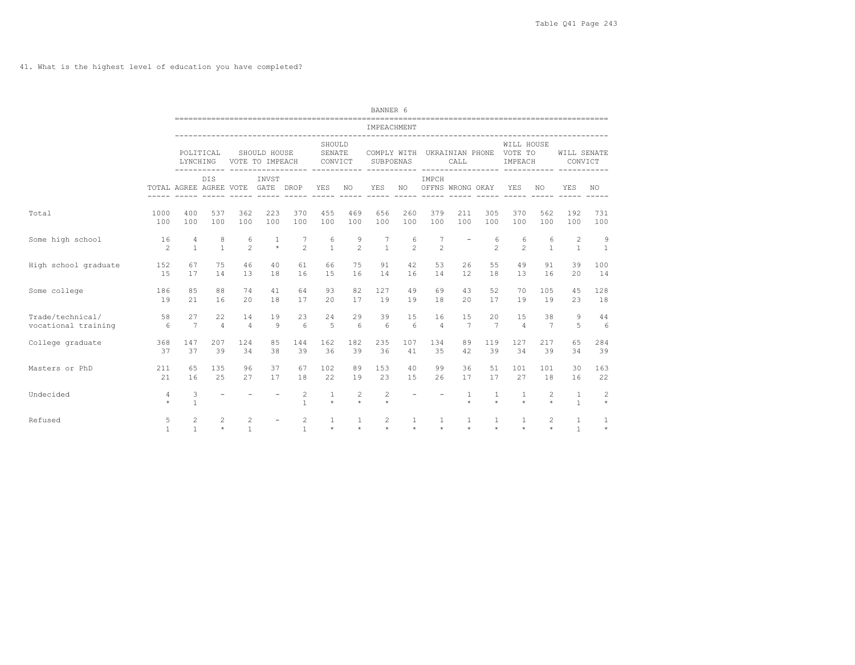41. What is the highest level of education you have completed?

|                                         |                   |                        |                           |                      |                                 |                                |                                            |                           | BANNER 6                                         |                     |                           |                         |                                      |                                  |                           |                              |                           |
|-----------------------------------------|-------------------|------------------------|---------------------------|----------------------|---------------------------------|--------------------------------|--------------------------------------------|---------------------------|--------------------------------------------------|---------------------|---------------------------|-------------------------|--------------------------------------|----------------------------------|---------------------------|------------------------------|---------------------------|
|                                         |                   |                        |                           |                      |                                 |                                |                                            |                           | IMPEACHMENT<br>--------------------------------- |                     |                           |                         |                                      |                                  |                           |                              |                           |
|                                         |                   | LYNCHING               | POLITICAL                 |                      | SHOULD HOUSE<br>VOTE TO IMPEACH |                                | SHOULD<br>SENATE<br>CONVICT<br>----------- |                           | COMPLY WITH<br>SUBPOENAS                         |                     |                           | CALL                    | UKRAINIAN PHONE<br>----------------- | WILL HOUSE<br>VOTE TO<br>IMPEACH | ------                    | WILL SENATE<br>CONVICT       |                           |
|                                         |                   | TOTAL AGREE AGREE VOTE | DIS                       |                      | INVST<br>GATE DROP              |                                | YES                                        | NO.                       | YES                                              | NO.                 | IMPCH<br>OFFNS WRONG OKAY |                         |                                      | YES                              | NO.                       | YES                          | NO.                       |
| Total                                   | 1000<br>100       | 400<br>100             | 537<br>100                | 362<br>100           | 223<br>100                      | 370<br>100                     | 455<br>100                                 | 469<br>100                | 656<br>100                                       | 260<br>100          | 379<br>100                | 211<br>100              | 305<br>100                           | 370<br>100                       | 562<br>100                | 192<br>100                   | 731<br>100                |
| Some high school                        | 16<br>2           | 4<br>1                 | 8<br>$\overline{1}$       | 6<br>$\overline{2}$  | 1<br>$\star$                    | 7<br>$\overline{2}$            | 6<br>$\mathbf{1}$                          | 9<br>$\overline{c}$       | 7<br>$\mathbf{1}$                                | 6<br>$\overline{2}$ | 7<br>$\mathfrak{D}$       |                         | 6<br>$\overline{2}$                  | 6<br>$\overline{2}$              | 6<br>$\mathbf{1}$         | $\mathbf{2}$<br>$\mathbf{1}$ | 9<br>$\mathbf{1}$         |
| High school graduate                    | 152<br>15         | 67<br>17               | 75<br>14                  | 46<br>13             | 40<br>18                        | 61<br>16                       | 66<br>1.5                                  | 75<br>16                  | 91<br>14                                         | 42<br>16            | 53<br>14                  | 26<br>12                | 55<br>18                             | 49<br>13                         | 91<br>16                  | 39<br>20                     | 100<br>14                 |
| Some college                            | 186<br>19         | 85<br>21               | 88<br>16                  | 74<br>20             | 41<br>18                        | 64<br>17                       | 93<br>20                                   | 82<br>17                  | 127<br>19                                        | 49<br>19            | 69<br>18                  | 43<br>20                | 52<br>17                             | 70<br>19                         | 105<br>19                 | 4.5<br>2.3                   | 128<br>18                 |
| Trade/technical/<br>vocational training | 58<br>6           | 27<br>7                | 22<br>$\overline{4}$      | 14<br>$\overline{4}$ | 19<br>$\circ$                   | 23<br>6                        | 24<br>5                                    | 29<br>6                   | 39<br>$6\overline{6}$                            | 15<br>6             | 16<br>$\overline{4}$      | 15<br>7                 | 2.0<br>7                             | 15<br>$\overline{a}$             | 38<br>7                   | 9<br>5                       | 44<br>6                   |
| College graduate                        | 368<br>37         | 147<br>37              | 207<br>39                 | 124<br>34            | 85<br>38                        | 144<br>39                      | 162<br>36                                  | 182<br>39                 | 235<br>36                                        | 107<br>41           | 134<br>35                 | 89<br>42                | 119<br>39                            | 127<br>34                        | 217<br>39                 | 65<br>34                     | 284<br>39                 |
| Masters or PhD                          | 211<br>21         | 65<br>16               | 135<br>25                 | 96<br>27             | 37<br>17                        | 67<br>18                       | 102<br>22                                  | 89<br>19                  | 153<br>23                                        | 40<br>15            | 99<br>26                  | 36<br>17                | 51<br>17                             | 101<br>27                        | 101<br>18                 | 30<br>16                     | 163<br>22                 |
| Undecided                               | 4<br>$\star$      | 3<br>$\mathbf{1}$      |                           |                      |                                 | 2<br>$\mathbf{1}$              | $\mathbf{1}$<br>$\star$                    | $\overline{2}$<br>$\star$ | 2<br>$\star$                                     |                     |                           | $\mathbf{1}$<br>$\star$ | $\mathbf{1}$<br>$\star$              | $\mathbf{1}$<br>$\star$          | $\overline{c}$<br>$\star$ | $\mathbf{1}$<br>$\mathbf{1}$ | $\overline{c}$<br>$\star$ |
| Refused                                 | 5<br>$\mathbf{1}$ | 2                      | $\overline{2}$<br>$\star$ | 2<br>$\mathbf{1}$    |                                 | $\overline{c}$<br>$\mathbf{1}$ | $\mathbf{1}$<br>$\star$                    | 1<br>$\star$              | 2<br>$\star$                                     | 1<br>$\star$        | -1<br>$\star$             | $\mathbf{1}$<br>$\star$ | 1<br>$\star$                         | 1.<br>$\star$                    | 2<br>$\star$              | $\mathbf{1}$<br>$\mathbf{1}$ | 1<br>$\star$              |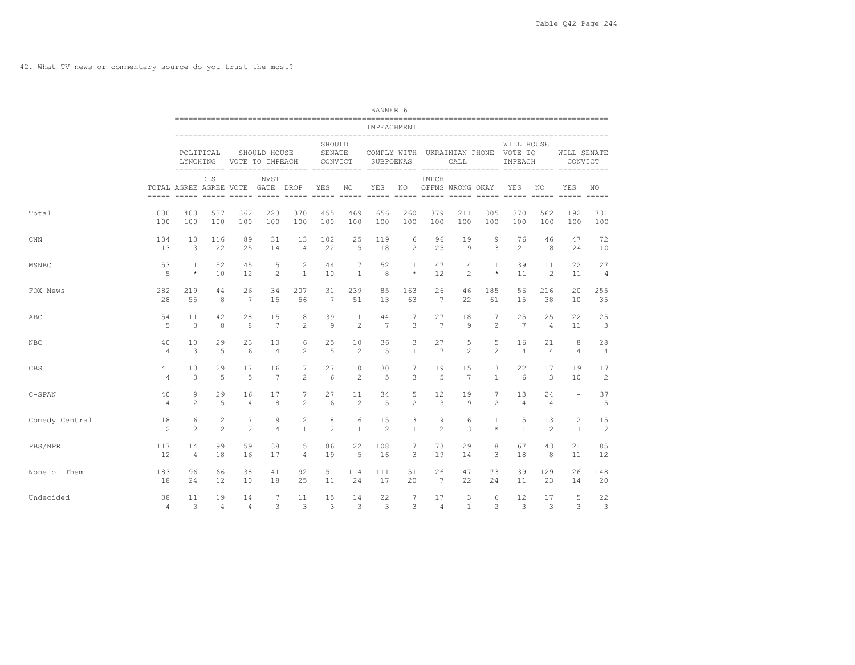42. What TV news or commentary source do you trust the most?

|                |                      |                                  |                      |                      |                                 |                     |                              |                       | BANNER 6             |                     |                 |                         |                     |                                                              |                      |                          |                                                                                                                                                               |
|----------------|----------------------|----------------------------------|----------------------|----------------------|---------------------------------|---------------------|------------------------------|-----------------------|----------------------|---------------------|-----------------|-------------------------|---------------------|--------------------------------------------------------------|----------------------|--------------------------|---------------------------------------------------------------------------------------------------------------------------------------------------------------|
|                |                      |                                  |                      |                      |                                 |                     |                              |                       | IMPEACHMENT          |                     |                 |                         |                     |                                                              |                      |                          |                                                                                                                                                               |
|                |                      | LYNCHING                         | POLITICAL            |                      | SHOULD HOUSE<br>VOTE TO IMPEACH |                     | SHOULD<br>SENATE<br>CONVICT  |                       | SUBPOENAS            |                     |                 | CALL                    |                     | WILL HOUSE<br>COMPLY WITH UKRAINIAN PHONE VOTE TO<br>IMPEACH |                      | WILL SENATE<br>CONVICT   |                                                                                                                                                               |
|                |                      | TOTAL AGREE AGREE VOTE GATE DROP | DIS.                 |                      | INVST                           |                     |                              | YES NO<br>$- - - - -$ |                      |                     | IMPCH           | YES NO OFFNS WRONG OKAY |                     | YES                                                          | NO.                  | <b>YES</b>               | NO.                                                                                                                                                           |
| Total          | 1000                 | 400                              | 537                  | 362                  | 223                             | 370                 | 455                          | 469                   | 656                  | 260                 | 379             | 211                     | 305                 | 370                                                          | 562                  | 192                      | 731                                                                                                                                                           |
|                | 100                  | 100                              | 100                  | 100                  | 100                             | 100                 | 100                          | 100                   | 100                  | 100                 | 100             | 100                     | 100                 | 100                                                          | 100                  | 100                      | 100                                                                                                                                                           |
| <b>CNN</b>     | 134                  | 13                               | 116                  | 89                   | 31                              | 13                  | 102                          | 25                    | 119                  | 6                   | 96              | 19                      | 9                   | 76                                                           | 46                   | 47                       | 72                                                                                                                                                            |
|                | 13                   | 3                                | 22                   | 25                   | 14                              | $\overline{4}$      | 22                           | $\overline{5}$        | 18                   | $\overline{2}$      | 25              | $\circ$                 | 3                   | 21                                                           | 8                    | 2.4                      | 10                                                                                                                                                            |
| MSNBC          | 53                   | $\mathbf{1}$                     | 52                   | 45                   | 5                               | 2                   | 44                           | $7\phantom{.0}$       | 52                   | $\mathbf{1}$        | 47              | $\overline{4}$          | $\mathbf{1}$        | 39                                                           | 11                   | 22.                      | 27                                                                                                                                                            |
|                | 5                    | $\star$                          | 10                   | 12                   | $\mathfrak{D}$                  | $\mathbf{1}$        | 10                           | $\mathbf{1}$          | 8                    | $\star$             | 12              | $\mathfrak{D}$          | $\star$             | 11                                                           | 2                    | 11                       | $\overline{4}$                                                                                                                                                |
| FOX News       | 282                  | 219                              | 44                   | 26                   | 34                              | 207                 | 31                           | 239                   | 85                   | 163                 | 26              | 46                      | 185                 | 56                                                           | 216                  | $20^{\circ}$             | 255                                                                                                                                                           |
|                | 28                   | 55                               | 8                    | $7\overline{ }$      | 15                              | 56                  | $7\phantom{.0}\phantom{.0}7$ | 51                    | 13                   | 63                  | $7\overline{ }$ | 22                      | 61                  | 15                                                           | 38                   | 10                       | 35                                                                                                                                                            |
| ABC            | 54                   | 11                               | 42                   | 28                   | 1.5                             | 8                   | 39                           | 11                    | 44                   | 7                   | 27              | 18                      | 7                   | 25                                                           | 25                   | 22                       | 25                                                                                                                                                            |
|                | 5                    | 3                                | 8                    | 8                    | 7                               | 2                   | $\mathsf{Q}$                 | 2                     | 7                    | 3                   | 7               | 9                       | $\overline{c}$      | 7                                                            | $\overline{4}$       | 11                       | 3                                                                                                                                                             |
| NBC            | 40                   | 10                               | 29                   | 23                   | 10                              | 6                   | 25                           | 10                    | 36                   | 3                   | 27              | 5                       | 5                   | 16                                                           | 21                   | 8                        | 28                                                                                                                                                            |
|                | $\overline{4}$       | 3                                | $\overline{5}$       | 6                    | $\overline{4}$                  | 2                   | $\overline{5}$               | 2                     | $\overline{5}$       | $\mathbf{1}$        | 7               | 2                       | $\overline{2}$      | $\overline{4}$                                               | $\overline{4}$       | $\overline{4}$           | $\overline{4}$                                                                                                                                                |
| <b>CBS</b>     | 41                   | 10                               | 29                   | 17                   | 16                              | 7                   | 27                           | 10                    | 30                   | 7                   | 19              | 15                      | 3                   | 22                                                           | 17                   | 19                       | 17                                                                                                                                                            |
|                | $\overline{4}$       | 3                                | $\overline{5}$       | 5                    | 7                               | $\mathfrak{D}$      | $6 \overline{6}$             | 2                     | $\overline{5}$       | 3                   | 5               | $7\phantom{.0}$         | $\mathbf{1}$        | $6\overline{6}$                                              | 3                    | 10                       | $\mathfrak{D}_{1}^{2}(\mathfrak{D}_{1})=\mathfrak{D}_{2}^{2}(\mathfrak{D}_{2})=\mathfrak{D}_{2}^{2}(\mathfrak{D}_{1})=\mathfrak{D}_{2}^{2}(\mathfrak{D}_{2})$ |
| $C-SPAN$       | 40<br>$\overline{4}$ | $\mathcal{Q}$<br>$\mathfrak{D}$  | 29<br>$\overline{5}$ | 16<br>$\overline{4}$ | 17<br>8                         | 7<br>$\mathfrak{D}$ | 27<br>$6 \overline{6}$       | 11<br>$\mathfrak{D}$  | 34<br>$\overline{5}$ | 5<br>$\mathfrak{D}$ | 12<br>3         | 19<br>9                 | 7<br>$\mathfrak{D}$ | 13<br>$\overline{4}$                                         | 24<br>$\overline{4}$ | $\overline{\phantom{a}}$ | 37<br>5                                                                                                                                                       |
| Comedy Central | 18                   | 6                                | 12                   | 7                    | 9                               | $\mathbf{2}$        | 8                            | 6                     | 15                   | 3                   | 9               | 6                       | $\mathbf{1}$        | 5                                                            | 13                   | $\overline{c}$           | 15                                                                                                                                                            |
|                | 2                    | $\mathfrak{D}$                   | 2                    | $\overline{2}$       | $\overline{4}$                  | $\mathbf{1}$        | $\overline{c}$               | $\mathbf{1}$          | $\overline{c}$       | $\mathbf{1}$        | $\overline{2}$  | 3                       | $\star$             | $\mathbf{1}$                                                 | 2                    | $\mathbf{1}$             | $\overline{c}$                                                                                                                                                |
| PBS/NPR        | 117                  | 14                               | 99                   | 59                   | 38                              | 15                  | 86                           | 22                    | 108                  | $\overline{7}$      | 73              | 29                      | 8                   | 67                                                           | 43                   | 21                       | 85                                                                                                                                                            |
|                | 12                   | $\overline{4}$                   | 18                   | 16                   | 17                              | $\overline{4}$      | 19                           | 5                     | 16                   | 3                   | 19              | 14                      | 3                   | 18                                                           | 8                    | 11                       | 12                                                                                                                                                            |
| None of Them   | 183                  | 96                               | 66                   | 38                   | 41                              | 92                  | 51                           | 114                   | 111                  | 51                  | 26              | 47                      | 73                  | 39                                                           | 129                  | 26                       | 148                                                                                                                                                           |
|                | 18                   | 2.4                              | $12 \overline{ }$    | 10                   | 18                              | 25                  | 11                           | 24                    | 17                   | 20                  | 7               | 22                      | 2.4                 | 11                                                           | 23                   | 14                       | 20                                                                                                                                                            |
| Undecided      | 38                   | 11                               | 19                   | 14                   | $\overline{7}$                  | 11                  | 15                           | 14                    | 22                   | $\overline{7}$      | 17              | 3                       | 6                   | $12 \overline{ }$                                            | 17                   | 5                        | 22                                                                                                                                                            |
|                | $\overline{4}$       | 3                                | $\overline{4}$       | $\overline{4}$       | 3                               | 3                   | 3                            | 3                     | 3                    | 3                   | $\overline{4}$  | $\mathbf{1}$            | $\overline{c}$      | 3                                                            | 3                    | 3                        | 3                                                                                                                                                             |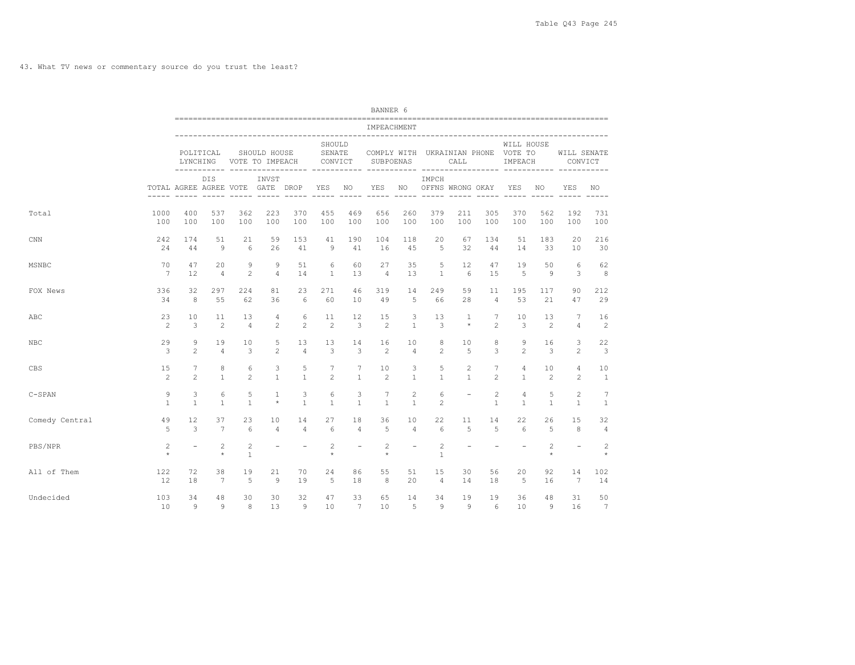43. What TV news or commentary source do you trust the least?

|                |                               |                                  |                           |                   |                                 |                          |                             |                          | BANNER 6          |                                |                                  |                          |                   |                                                              |                      |                                |                                |
|----------------|-------------------------------|----------------------------------|---------------------------|-------------------|---------------------------------|--------------------------|-----------------------------|--------------------------|-------------------|--------------------------------|----------------------------------|--------------------------|-------------------|--------------------------------------------------------------|----------------------|--------------------------------|--------------------------------|
|                |                               |                                  |                           |                   |                                 |                          |                             |                          | IMPEACHMENT       |                                |                                  |                          |                   |                                                              |                      |                                |                                |
|                |                               |                                  | POLITICAL<br>LYNCHING     |                   | SHOULD HOUSE<br>VOTE TO IMPEACH |                          | SHOULD<br>SENATE<br>CONVICT |                          | SUBPOENAS         |                                |                                  | CALL                     |                   | WILL HOUSE<br>COMPLY WITH UKRAINIAN PHONE VOTE TO<br>IMPEACH |                      | WILL SENATE<br>CONVICT         |                                |
|                |                               | TOTAL AGREE AGREE VOTE GATE DROP | DIS.                      |                   | INVST                           |                          | YES NO                      |                          | ------ -----      | $\frac{1}{2}$                  | IMPCH<br>YES NO OFFNS WRONG OKAY |                          |                   | YES                                                          | NO.<br>$- - - - - -$ | YES                            | NO.                            |
| Total          | 1000                          | 400                              | 537                       | 362               | 223                             | 370                      | 455                         | 469                      | 656               | 260                            | 379                              | 211                      | 305               | 370                                                          | 562                  | 192                            | 731                            |
|                | 100                           | 100                              | 100                       | 100               | 100                             | 100                      | 100                         | 100                      | 100               | 100                            | 100                              | 100                      | 100               | 100                                                          | 100                  | 100                            | 100                            |
| CNN            | 242                           | 174                              | 51                        | 21                | 59                              | 153                      | 41                          | 190                      | 104               | 118                            | 20                               | 67                       | 134               | 51                                                           | 183                  | 20                             | 216                            |
|                | 24                            | 44                               | 9                         | 6                 | 26                              | 41                       | 9                           | 41                       | 16                | 45                             | 5                                | 32                       | 44                | 14                                                           | 33                   | 10                             | 30                             |
| MSNBC          | 70                            | 47                               | 20                        | 9                 | 9                               | 51                       | 6                           | 60                       | 27                | 35                             | 5                                | $12 \overline{ }$        | 47                | 19                                                           | 50                   | 6                              | 62                             |
|                | 7                             | 12                               | $\overline{4}$            | $\overline{c}$    | $\overline{4}$                  | 14                       | $\mathbf{1}$                | 13                       | $\overline{4}$    | 13                             | $\overline{1}$                   | 6                        | 1.5               | 5                                                            | 9                    | 3                              | 8                              |
| FOX News       | 336                           | 32                               | 297                       | 224               | 81                              | 23                       | 271                         | 46                       | 319               | 14                             | 249                              | 59                       | 11                | 195                                                          | 117                  | 90                             | 212                            |
|                | 34                            | 8                                | 55                        | 62                | 36                              | 6                        | 60                          | 10                       | 49                | 5                              | 66                               | 28                       | $\overline{4}$    | 53                                                           | 21                   | 47                             | 29                             |
| ABC            | 23                            | 10                               | 11                        | 13                | $\overline{4}$                  | 6                        | 11                          | 12                       | 15                | 3                              | 13                               | $\mathbf{1}$             | 7                 | 10                                                           | 13                   | 7                              | 16                             |
|                | $\overline{c}$                | 3                                | $\mathfrak{D}$            | $\overline{4}$    | $\mathfrak{D}$                  | $\mathfrak{D}$           | $\mathfrak{D}$              | 3                        | $\mathfrak{D}$    | $\mathbf{1}$                   | 3                                | $\star$                  | $\mathfrak{D}$    | 3                                                            | 2                    | $\overline{4}$                 | $\overline{c}$                 |
| <b>NBC</b>     | 29                            | 9                                | 19                        | 10                | 5                               | 13                       | 13                          | 14                       | 16                | 10                             | 8                                | 10                       | 8                 | $\mathcal{Q}$                                                | 16                   | 3                              | 22                             |
|                | 3                             | $\mathfrak{D}$                   | $\overline{4}$            | 3                 | $\overline{c}$                  | $\overline{4}$           | 3                           | 3                        | 2                 | $\overline{4}$                 | $\overline{c}$                   | 5                        | 3                 | $\mathfrak{D}$                                               | 3                    | $\mathfrak{D}$                 | 3                              |
| CBS            | 15                            | 7                                | 8                         | 6                 | 3                               | 5                        | 7                           | 7                        | 10                | 3                              | 5                                | 2                        | 7                 | 4                                                            | 10                   | 4                              | 10                             |
|                | $\overline{c}$                | $\mathfrak{D}$                   | $\mathbf{1}$              | $\overline{c}$    | $\mathbf{1}$                    | $\mathbf{1}$             | $\overline{c}$              | $\mathbf{1}$             | 2                 | $\mathbf{1}$                   | $\mathbf{1}$                     | $\mathbf{1}$             | $\mathfrak{D}$    | $\mathbf{1}$                                                 | $\overline{c}$       | $\overline{c}$                 | $\mathbf{1}$                   |
| $C-SPAN$       | $\mathcal{Q}$<br>$\mathbf{1}$ | 3<br>$\overline{1}$              | 6<br>$\mathbf{1}$         | 5<br>$\mathbf{1}$ | $\mathbf{1}$<br>$\star$         | 3<br>$\mathbf{1}$        | 6<br>$\mathbf{1}$           | 3<br>$\overline{1}$      | 7<br>$\mathbf{1}$ | $\overline{c}$<br>$\mathbf{1}$ | 6<br>$\overline{c}$              | $\overline{\phantom{a}}$ | 2<br>$\mathbf{1}$ | $\overline{4}$<br>$\overline{1}$                             | 5<br>$\mathbf{1}$    | $\overline{c}$<br>$\mathbf{1}$ | $\overline{7}$<br>$\mathbf{1}$ |
| Comedy Central | 49                            | 12                               | 37                        | 23                | 10                              | 14                       | 27                          | 18                       | 36                | 10                             | 22                               | 11                       | 14                | 22                                                           | 26                   | 15                             | 32                             |
|                | $\overline{5}$                | 3                                | $\overline{7}$            | 6                 | $\overline{4}$                  | $\overline{4}$           | 6                           | $\overline{4}$           | $\overline{5}$    | $\overline{4}$                 | 6                                | 5                        | 5                 | $6\overline{6}$                                              | 5                    | 8                              | $\overline{4}$                 |
| PBS/NPR        | $\overline{c}$<br>$\star$     | $\equiv$                         | $\overline{2}$<br>$\star$ | 2<br>$\mathbf{1}$ | $\overline{\phantom{a}}$        | $\overline{\phantom{a}}$ | 2<br>$\star$                | $\overline{\phantom{a}}$ | 2<br>$\star$      | $\equiv$                       | $\overline{c}$<br>$\mathbf{1}$   | $\equiv$                 | $\equiv$          | $\equiv$                                                     | 2<br>$\star$         |                                | $\overline{c}$<br>$\star$      |
| All of Them    | 122                           | 72                               | 38                        | 19                | 21                              | 70                       | 24                          | 86                       | 55                | 51                             | 15                               | 30                       | 56                | 20                                                           | 92                   | 14                             | 102                            |
|                | 12                            | 18                               | 7                         | 5                 | 9                               | 19                       | $\overline{5}$              | 18                       | 8                 | 20                             | $\overline{4}$                   | 14                       | 18                | -5                                                           | 16                   | 7                              | 14                             |
| Undecided      | 103                           | 34                               | 48                        | 30                | 30                              | 32                       | 47                          | 33                       | 65                | 14                             | 34                               | 19                       | 19                | 36                                                           | 48                   | 31                             | 50                             |
|                | 10                            | 9                                | 9                         | 8                 | 13                              | 9                        | 10                          | $7\phantom{.0}$          | 10                | 5                              | 9                                | Q                        | 6                 | 10                                                           | 9                    | 16                             | $7\phantom{.0}$                |